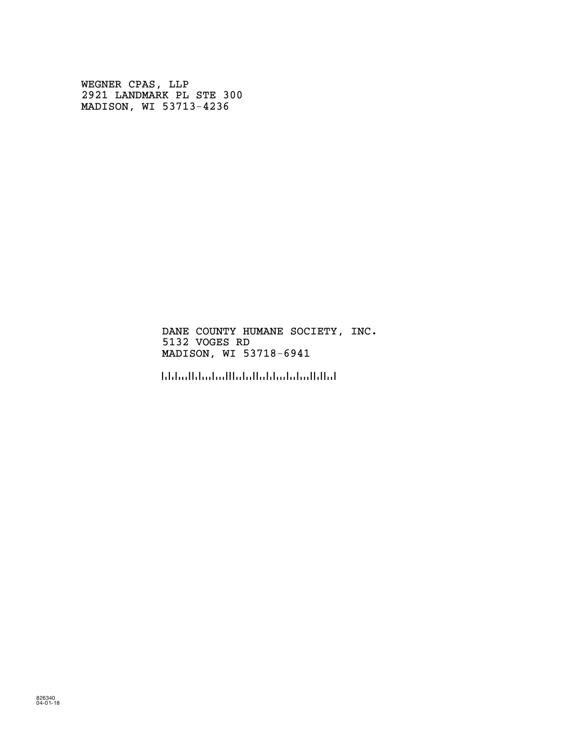WEGNER CPAS, LLP 2921 LANDMARK PL STE 300 MADISON, WI 53713-4236

> DANE COUNTY HUMANE SOCIETY, INC. 5132 VOGES RD MADISON, WI 53718-6941

!5371869416!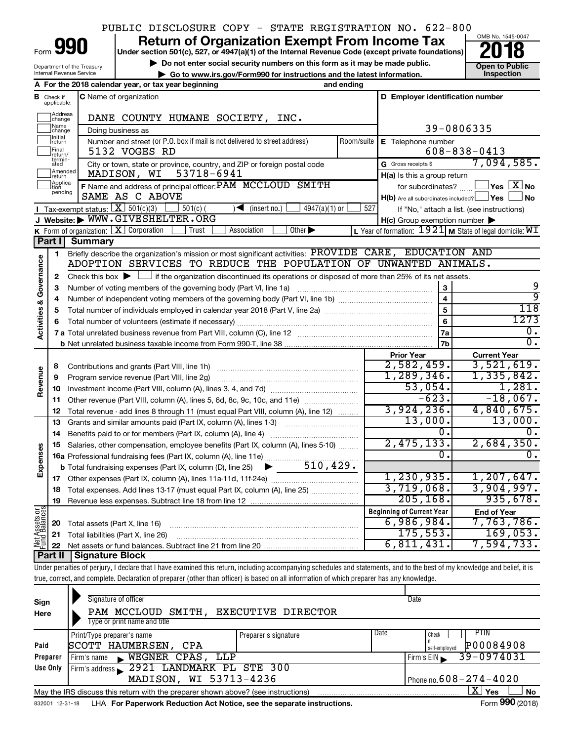### PUBLIC DISCLOSURE COPY - STATE REGISTRATION NO. 622-800

Form

Department of the Treasury Internal Revenue Service

# **990** Return of Organization Exempt From Income Tax **Punce 1845-004 Puncer section 501(c), 527, or 4947(a)(1)** of the Internal Revenue Code (except private foundations) **2018**

▶ Do not enter social security numbers on this form as it may be made public. <br>**● Go to www.irs.gov/Form990 for instructions and the latest information.** Inspection **| Go to www.irs.gov/Form990 for instructions and the latest information. Inspection**



|                         |                         | A For the 2018 calendar year, or tax year beginning                                                                                                         | and ending |                                                     |                                                                    |  |  |  |  |  |
|-------------------------|-------------------------|-------------------------------------------------------------------------------------------------------------------------------------------------------------|------------|-----------------------------------------------------|--------------------------------------------------------------------|--|--|--|--|--|
| в                       | Check if<br>applicable: | <b>C</b> Name of organization                                                                                                                               |            | D Employer identification number                    |                                                                    |  |  |  |  |  |
|                         | Address<br> change      | DANE COUNTY HUMANE SOCIETY, INC.                                                                                                                            |            |                                                     |                                                                    |  |  |  |  |  |
|                         | Name<br>change          | Doing business as                                                                                                                                           |            |                                                     | 39-0806335                                                         |  |  |  |  |  |
|                         | Initial<br> return      | Number and street (or P.O. box if mail is not delivered to street address)<br>Room/suite<br>E Telephone number                                              |            |                                                     |                                                                    |  |  |  |  |  |
|                         | Final<br>return/        | 5132 VOGES RD                                                                                                                                               |            |                                                     | $608 - 838 - 0413$                                                 |  |  |  |  |  |
|                         | termin-<br>ated         | City or town, state or province, country, and ZIP or foreign postal code                                                                                    |            | G Gross receipts \$                                 | 7,094,585.                                                         |  |  |  |  |  |
|                         | Amended<br>return       | MADISON, WI<br>53718-6941                                                                                                                                   |            | $H(a)$ is this a group return                       |                                                                    |  |  |  |  |  |
|                         | Applica-<br>pending     | F Name and address of principal officer: PAM MCCLOUD SMITH                                                                                                  |            | for subordinates?                                   | $\sqrt{\mathsf{Yes}\mathord{\;\mathbb{X}}\mathord{\;\mathsf{No}}}$ |  |  |  |  |  |
|                         |                         | SAME AS C ABOVE                                                                                                                                             |            | $H(b)$ Are all subordinates included? $\Box$ Yes    | <b>No</b>                                                          |  |  |  |  |  |
|                         |                         | <b>I</b> Tax-exempt status: $\boxed{\mathbf{X}}$ 501(c)(3)<br>$\mathcal{A}$ (insert no.)<br>$4947(a)(1)$ or<br>$501(c)$ (<br>J Website: WWW.GIVESHELTER.ORG | 527        |                                                     | If "No," attach a list. (see instructions)                         |  |  |  |  |  |
|                         |                         | <b>K</b> Form of organization: $X$ Corporation<br>Association<br>Other $\blacktriangleright$<br>Trust                                                       |            | $H(c)$ Group exemption number $\blacktriangleright$ | L Year of formation: $1921$ M State of legal domicile: $WI$        |  |  |  |  |  |
|                         | Part I                  | Summary                                                                                                                                                     |            |                                                     |                                                                    |  |  |  |  |  |
|                         | 1                       | Briefly describe the organization's mission or most significant activities: PROVIDE CARE, EDUCATION AND                                                     |            |                                                     |                                                                    |  |  |  |  |  |
| Governance              |                         | ADOPTION SERVICES TO REDUCE THE POPULATION OF UNWANTED ANIMALS.                                                                                             |            |                                                     |                                                                    |  |  |  |  |  |
|                         | $\mathbf{2}$            | Check this box $\blacktriangleright$ $\Box$ if the organization discontinued its operations or disposed of more than 25% of its net assets.                 |            |                                                     |                                                                    |  |  |  |  |  |
|                         | 3                       | Number of voting members of the governing body (Part VI, line 1a)                                                                                           |            | 3                                                   | 9                                                                  |  |  |  |  |  |
|                         | 4                       |                                                                                                                                                             |            | $\overline{\mathbf{4}}$                             | ब्र                                                                |  |  |  |  |  |
|                         | 5                       |                                                                                                                                                             | 5          | 118                                                 |                                                                    |  |  |  |  |  |
|                         | 6                       |                                                                                                                                                             |            | $\overline{6}$                                      | 1273                                                               |  |  |  |  |  |
| <b>Activities &amp;</b> |                         |                                                                                                                                                             |            | 7a                                                  | $\overline{0}$ .                                                   |  |  |  |  |  |
|                         |                         |                                                                                                                                                             |            | 7b                                                  | $\overline{\mathfrak{o}}$ .                                        |  |  |  |  |  |
|                         |                         |                                                                                                                                                             |            | <b>Prior Year</b>                                   | <b>Current Year</b>                                                |  |  |  |  |  |
|                         | 8                       | Contributions and grants (Part VIII, line 1h)                                                                                                               |            | 2,582,459.                                          | 3,521,619.                                                         |  |  |  |  |  |
| Revenue                 | 9                       | Program service revenue (Part VIII, line 2g)                                                                                                                |            | 1,289,346.                                          | 1,335,842.                                                         |  |  |  |  |  |
|                         | 10                      |                                                                                                                                                             |            | 53,054.<br>$-623.$                                  | 1,281.<br>$-18,067.$                                               |  |  |  |  |  |
|                         | 11                      | Other revenue (Part VIII, column (A), lines 5, 6d, 8c, 9c, 10c, and 11e)                                                                                    |            | 3,924,236.                                          | 4,840,675.                                                         |  |  |  |  |  |
|                         | 12<br>13                | Total revenue - add lines 8 through 11 (must equal Part VIII, column (A), line 12)                                                                          |            | 13,000.                                             | 13,000.                                                            |  |  |  |  |  |
|                         | 14                      | Grants and similar amounts paid (Part IX, column (A), lines 1-3)<br>Benefits paid to or for members (Part IX, column (A), line 4)                           |            | 0.                                                  | $\mathbf{0}$ .                                                     |  |  |  |  |  |
|                         | 15                      | Salaries, other compensation, employee benefits (Part IX, column (A), lines 5-10)                                                                           |            | 2,475,133.                                          | 2,684,350.                                                         |  |  |  |  |  |
| Expenses                |                         | 16a Professional fundraising fees (Part IX, column (A), line 11e)                                                                                           |            | 0.                                                  | 0.                                                                 |  |  |  |  |  |
|                         |                         | 510, 429.<br><b>b</b> Total fundraising expenses (Part IX, column (D), line 25)<br>▶                                                                        |            |                                                     |                                                                    |  |  |  |  |  |
|                         |                         |                                                                                                                                                             |            | 1, 230, 935.                                        | 1, 207, 647.                                                       |  |  |  |  |  |
|                         | 18                      | Total expenses. Add lines 13-17 (must equal Part IX, column (A), line 25) <i></i>                                                                           |            | 3,719,068.                                          | 3,904,997.                                                         |  |  |  |  |  |
|                         | 19                      |                                                                                                                                                             |            | 205, 168.                                           | 935,678.                                                           |  |  |  |  |  |
| t Assets or             |                         |                                                                                                                                                             |            | <b>Beginning of Current Year</b>                    | <b>End of Year</b>                                                 |  |  |  |  |  |
|                         | 20                      | Total assets (Part X, line 16)                                                                                                                              |            | 6,986,984.                                          | 7,763,786.                                                         |  |  |  |  |  |
|                         | 21                      | Total liabilities (Part X, line 26)                                                                                                                         |            | 175, 553.                                           | 169,053.                                                           |  |  |  |  |  |
| Net                     | 22                      |                                                                                                                                                             |            | 6,811,431.                                          | 7,594,733.                                                         |  |  |  |  |  |
|                         | <b>Part II</b>          | Signature Block                                                                                                                                             |            |                                                     |                                                                    |  |  |  |  |  |

Under penalties of perjury, I declare that I have examined this return, including accompanying schedules and statements, and to the best of my knowledge and belief, it is true, correct, and complete. Declaration of preparer (other than officer) is based on all information of which preparer has any knowledge.

| Sign<br>Here    | Signature of officer<br>PAM MCCLOUD SMITH, EXECUTIVE DIRECTOR<br>Type or print name and title              |                      |      | Date                                        |  |  |
|-----------------|------------------------------------------------------------------------------------------------------------|----------------------|------|---------------------------------------------|--|--|
| Paid            | Print/Type preparer's name<br>SCOTT HAUMERSEN,<br><b>CPA</b>                                               | Preparer's signature | Date | PTIN<br>Check<br>P00084908<br>self-emploved |  |  |
| Preparer        | WEGNER CPAS, LLP<br>Firm's name<br>$\blacksquare$                                                          |                      |      | 39-0974031<br>Firm's EIN                    |  |  |
| Use Only        | Firm's address 2921 LANDMARK PL STE 300                                                                    |                      |      |                                             |  |  |
|                 | MADISON, WI 53713-4236                                                                                     |                      |      | Phone no. $608 - 274 - 4020$                |  |  |
|                 | x<br>Yes<br><b>No</b><br>May the IRS discuss this return with the preparer shown above? (see instructions) |                      |      |                                             |  |  |
| 832001 12-31-18 | LHA For Paperwork Reduction Act Notice, see the separate instructions.                                     |                      |      | Form 990 (2018)                             |  |  |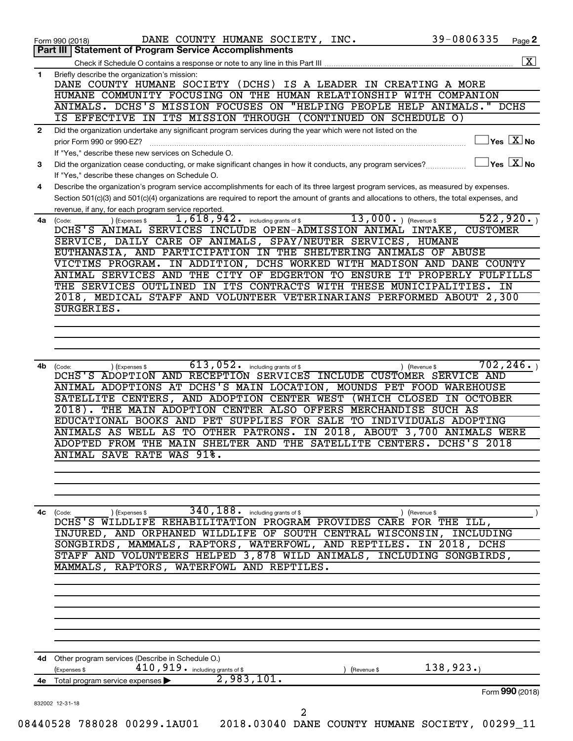|              | 39-0806335<br>DANE COUNTY HUMANE SOCIETY, INC.<br>Page 2<br>Form 990 (2018)<br>Part III   Statement of Program Service Accomplishments                          |
|--------------|-----------------------------------------------------------------------------------------------------------------------------------------------------------------|
|              |                                                                                                                                                                 |
| $\mathbf{1}$ | Briefly describe the organization's mission:                                                                                                                    |
|              | DANE COUNTY HUMANE SOCIETY (DCHS) IS A LEADER IN CREATING A MORE                                                                                                |
|              | HUMANE COMMUNITY FOCUSING ON THE HUMAN RELATIONSHIP WITH COMPANION                                                                                              |
|              | ANIMALS. DCHS'S MISSION FOCUSES ON "HELPING PEOPLE HELP ANIMALS."<br>DCHS                                                                                       |
|              | IS EFFECTIVE IN ITS MISSION THROUGH (CONTINUED ON SCHEDULE O)                                                                                                   |
| $\mathbf{2}$ | Did the organization undertake any significant program services during the year which were not listed on the                                                    |
|              | $\vert$ Yes $\vert$ $\overline{\mathrm{X}}$ $\vert$ No<br>prior Form 990 or 990-EZ?                                                                             |
|              | If "Yes," describe these new services on Schedule O.<br>$ {\mathsf Y}\mathsf{es}^- \overline{{\mathsf X}} $ No                                                  |
| 3            | Did the organization cease conducting, or make significant changes in how it conducts, any program services?<br>If "Yes," describe these changes on Schedule O. |
| 4            | Describe the organization's program service accomplishments for each of its three largest program services, as measured by expenses.                            |
|              | Section 501(c)(3) and 501(c)(4) organizations are required to report the amount of grants and allocations to others, the total expenses, and                    |
|              | revenue, if any, for each program service reported.                                                                                                             |
| 4a           | 13,000. $ $ (Revenue \$<br>522,920.<br>1,618,942.<br>including grants of \$<br>(Code:<br>(Expenses \$                                                           |
|              | DCHS'S ANIMAL SERVICES INCLUDE OPEN-ADMISSION ANIMAL INTAKE,<br><b>CUSTOMER</b>                                                                                 |
|              | SERVICE, DAILY CARE OF ANIMALS, SPAY/NEUTER SERVICES, HUMANE                                                                                                    |
|              | EUTHANASIA, AND PARTICIPATION IN THE SHELTERING ANIMALS OF ABUSE                                                                                                |
|              | VICTIMS PROGRAM. IN ADDITION, DCHS WORKED WITH MADISON AND DANE COUNTY<br>ANIMAL SERVICES AND THE CITY OF EDGERTON TO ENSURE IT PROPERLY FULFILLS               |
|              | THE SERVICES OUTLINED IN ITS CONTRACTS WITH THESE MUNICIPALITIES. IN                                                                                            |
|              | 2018, MEDICAL STAFF AND VOLUNTEER VETERINARIANS PERFORMED ABOUT 2,300                                                                                           |
|              | SURGERIES.                                                                                                                                                      |
|              |                                                                                                                                                                 |
|              |                                                                                                                                                                 |
|              |                                                                                                                                                                 |
|              |                                                                                                                                                                 |
| 4b           | 702, 246.<br>613,052.<br>including grants of \$<br>(Expenses \$<br>) (Revenue \$<br>(Code:                                                                      |
|              | DCHS'S ADOPTION AND RECEPTION SERVICES INCLUDE CUSTOMER SERVICE AND<br>ANIMAL ADOPTIONS AT DCHS'S MAIN LOCATION, MOUNDS PET FOOD WAREHOUSE                      |
|              | SATELLITE CENTERS, AND ADOPTION CENTER WEST<br>(WHICH CLOSED IN OCTOBER                                                                                         |
|              | THE MAIN ADOPTION CENTER ALSO OFFERS MERCHANDISE SUCH AS<br>$\overline{2018}$ .                                                                                 |
|              | EDUCATIONAL BOOKS AND PET SUPPLIES FOR SALE TO INDIVIDUALS ADOPTING                                                                                             |
|              | ANIMALS AS WELL AS TO OTHER PATRONS. IN 2018, ABOUT 3,700 ANIMALS WERE                                                                                          |
|              | ADOPTED FROM THE MAIN SHELTER AND THE SATELLITE CENTERS. DCHS'S 2018                                                                                            |
|              | ANIMAL SAVE RATE WAS 91%.                                                                                                                                       |
|              |                                                                                                                                                                 |
|              |                                                                                                                                                                 |
|              |                                                                                                                                                                 |
|              |                                                                                                                                                                 |
|              |                                                                                                                                                                 |
|              | $340$ , $188$ or including grants of \$<br>) (Expenses \$<br>(Code:<br>) (Revenue \$<br>DCHS'S WILDLIFE REHABILITATION PROGRAM PROVIDES CARE FOR THE ILL,       |
|              | INJURED, AND ORPHANED WILDLIFE OF SOUTH CENTRAL WISCONSIN, INCLUDING                                                                                            |
|              | SONGBIRDS, MAMMALS, RAPTORS, WATERFOWL, AND REPTILES. IN 2018, DCHS                                                                                             |
|              | STAFF AND VOLUNTEERS HELPED 3,878 WILD ANIMALS, INCLUDING SONGBIRDS,                                                                                            |
|              | MAMMALS, RAPTORS, WATERFOWL AND REPTILES.                                                                                                                       |
|              |                                                                                                                                                                 |
|              |                                                                                                                                                                 |
|              |                                                                                                                                                                 |
|              |                                                                                                                                                                 |
|              |                                                                                                                                                                 |
|              |                                                                                                                                                                 |
|              | 4d Other program services (Describe in Schedule O.)                                                                                                             |
|              | $410$ , $919$ $\cdot$ including grants of \$<br>138,923.<br>(Expenses \$<br>(Revenue \$                                                                         |
| 4c           | 2,983,101.<br>4e Total program service expenses ><br>Form 990 (2018)                                                                                            |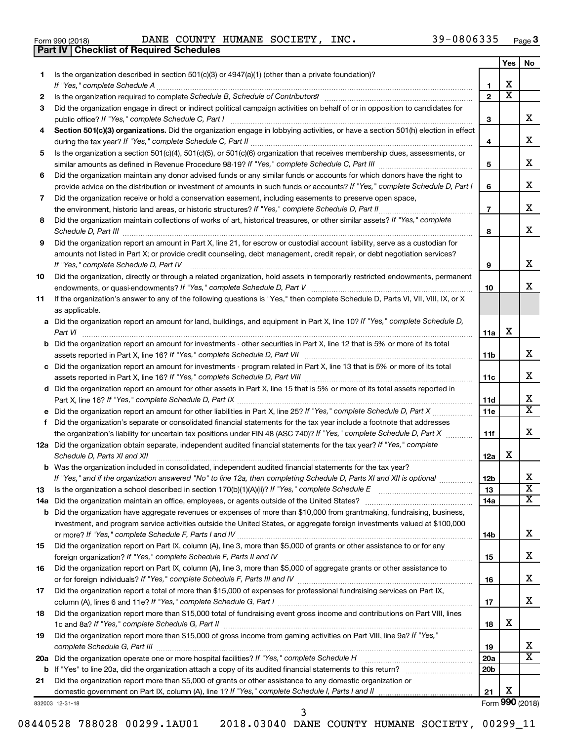|  | Form 990 (2018) |  |
|--|-----------------|--|
|  |                 |  |

**Part IV Checklist of Required Schedules**

Form 990 (2018) Page DANE COUNTY HUMANE SOCIETY, INC. 39-0806335

|     |                                                                                                                                      |                 | Yes                     | No                      |
|-----|--------------------------------------------------------------------------------------------------------------------------------------|-----------------|-------------------------|-------------------------|
| 1   | Is the organization described in section $501(c)(3)$ or $4947(a)(1)$ (other than a private foundation)?                              |                 |                         |                         |
|     | If "Yes," complete Schedule A                                                                                                        | 1               | х                       |                         |
| 2   |                                                                                                                                      | $\overline{2}$  | $\overline{\textbf{X}}$ |                         |
| 3   | Did the organization engage in direct or indirect political campaign activities on behalf of or in opposition to candidates for      |                 |                         |                         |
|     |                                                                                                                                      | 3               |                         | x                       |
| 4   | Section 501(c)(3) organizations. Did the organization engage in lobbying activities, or have a section 501(h) election in effect     |                 |                         |                         |
|     |                                                                                                                                      | 4               |                         | x                       |
| 5   | Is the organization a section 501(c)(4), 501(c)(5), or 501(c)(6) organization that receives membership dues, assessments, or         |                 |                         |                         |
|     |                                                                                                                                      | 5               |                         | x                       |
| 6   | Did the organization maintain any donor advised funds or any similar funds or accounts for which donors have the right to            |                 |                         |                         |
|     |                                                                                                                                      | 6               |                         | x                       |
|     | provide advice on the distribution or investment of amounts in such funds or accounts? If "Yes," complete Schedule D, Part I         |                 |                         |                         |
| 7   | Did the organization receive or hold a conservation easement, including easements to preserve open space,                            |                 |                         | x                       |
|     | the environment, historic land areas, or historic structures? If "Yes," complete Schedule D, Part II<br>.                            | $\overline{7}$  |                         |                         |
| 8   | Did the organization maintain collections of works of art, historical treasures, or other similar assets? If "Yes," complete         |                 |                         |                         |
|     |                                                                                                                                      | 8               |                         | x                       |
| 9   | Did the organization report an amount in Part X, line 21, for escrow or custodial account liability, serve as a custodian for        |                 |                         |                         |
|     | amounts not listed in Part X; or provide credit counseling, debt management, credit repair, or debt negotiation services?            |                 |                         |                         |
|     | If "Yes," complete Schedule D, Part IV                                                                                               | 9               |                         | x                       |
| 10  | Did the organization, directly or through a related organization, hold assets in temporarily restricted endowments, permanent        |                 |                         |                         |
|     |                                                                                                                                      | 10              |                         | x                       |
| 11  | If the organization's answer to any of the following questions is "Yes," then complete Schedule D, Parts VI, VII, VIII, IX, or X     |                 |                         |                         |
|     | as applicable.                                                                                                                       |                 |                         |                         |
|     | a Did the organization report an amount for land, buildings, and equipment in Part X, line 10? If "Yes," complete Schedule D,        |                 |                         |                         |
|     | Part VI                                                                                                                              | 11a             | X                       |                         |
|     | <b>b</b> Did the organization report an amount for investments - other securities in Part X, line 12 that is 5% or more of its total |                 |                         |                         |
|     |                                                                                                                                      | 11b             |                         | x                       |
|     | c Did the organization report an amount for investments - program related in Part X, line 13 that is 5% or more of its total         |                 |                         |                         |
|     |                                                                                                                                      | 11c             |                         | x                       |
|     | d Did the organization report an amount for other assets in Part X, line 15 that is 5% or more of its total assets reported in       |                 |                         |                         |
|     |                                                                                                                                      | 11d             |                         | х                       |
|     |                                                                                                                                      | 11e             |                         | X                       |
|     | f Did the organization's separate or consolidated financial statements for the tax year include a footnote that addresses            |                 |                         |                         |
|     | the organization's liability for uncertain tax positions under FIN 48 (ASC 740)? If "Yes," complete Schedule D, Part X               | 11f             |                         | х                       |
|     | 12a Did the organization obtain separate, independent audited financial statements for the tax year? If "Yes," complete              |                 |                         |                         |
|     | Schedule D, Parts XI and XII                                                                                                         | 12a             | х                       |                         |
|     | <b>b</b> Was the organization included in consolidated, independent audited financial statements for the tax year?                   |                 |                         |                         |
|     | If "Yes," and if the organization answered "No" to line 12a, then completing Schedule D, Parts XI and XII is optional                | 12 <sub>b</sub> |                         | Y<br>▵                  |
| 13  |                                                                                                                                      | 13              |                         | $\overline{\texttt{x}}$ |
| 14a | Did the organization maintain an office, employees, or agents outside of the United States?                                          | 14a             |                         | х                       |
| b   | Did the organization have aggregate revenues or expenses of more than \$10,000 from grantmaking, fundraising, business,              |                 |                         |                         |
|     | investment, and program service activities outside the United States, or aggregate foreign investments valued at \$100,000           |                 |                         |                         |
|     |                                                                                                                                      | 14b             |                         | x                       |
| 15  | Did the organization report on Part IX, column (A), line 3, more than \$5,000 of grants or other assistance to or for any            |                 |                         |                         |
|     |                                                                                                                                      | 15              |                         | x                       |
| 16  | Did the organization report on Part IX, column (A), line 3, more than \$5,000 of aggregate grants or other assistance to             |                 |                         |                         |
|     |                                                                                                                                      | 16              |                         | x                       |
| 17  | Did the organization report a total of more than \$15,000 of expenses for professional fundraising services on Part IX,              |                 |                         |                         |
|     |                                                                                                                                      | 17              |                         | x                       |
| 18  | Did the organization report more than \$15,000 total of fundraising event gross income and contributions on Part VIII, lines         |                 |                         |                         |
|     |                                                                                                                                      | 18              | х                       |                         |
| 19  | Did the organization report more than \$15,000 of gross income from gaming activities on Part VIII, line 9a? If "Yes,"               |                 |                         |                         |
|     | complete Schedule G, Part III                                                                                                        | 19              |                         | х                       |
|     | 20a Did the organization operate one or more hospital facilities? If "Yes," complete Schedule H                                      | 20a             |                         | X                       |
| b   |                                                                                                                                      | 20 <sub>b</sub> |                         |                         |
| 21  | Did the organization report more than \$5,000 of grants or other assistance to any domestic organization or                          |                 |                         |                         |
|     |                                                                                                                                      |                 | Х                       |                         |
|     |                                                                                                                                      | 21              |                         |                         |

3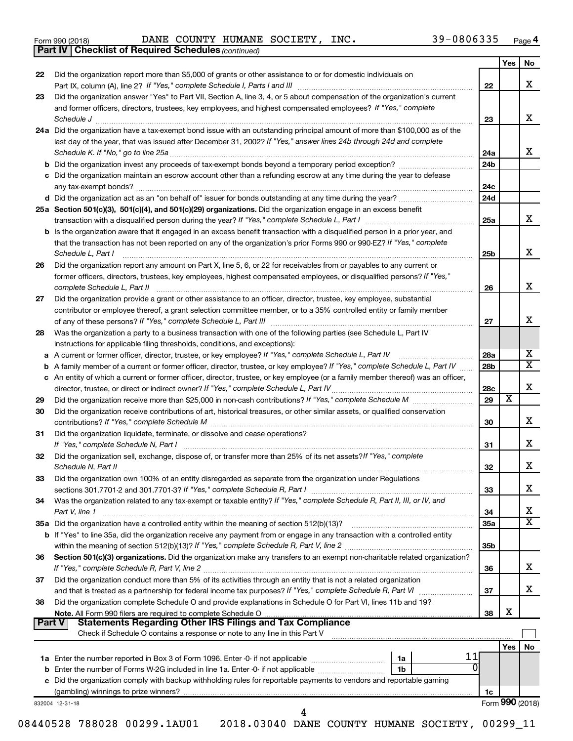|  | Form 990 (2018) |  |
|--|-----------------|--|
|  |                 |  |

*(continued)* **Part IV Checklist of Required Schedules**

Form 990 (2018) Page DANE COUNTY HUMANE SOCIETY, INC. 39-0806335

|        |                                                                                                                                                                           |                 | Yes | No                                                     |
|--------|---------------------------------------------------------------------------------------------------------------------------------------------------------------------------|-----------------|-----|--------------------------------------------------------|
| 22     | Did the organization report more than \$5,000 of grants or other assistance to or for domestic individuals on                                                             |                 |     |                                                        |
|        |                                                                                                                                                                           | 22              |     | x                                                      |
| 23     | Did the organization answer "Yes" to Part VII, Section A, line 3, 4, or 5 about compensation of the organization's current                                                |                 |     |                                                        |
|        | and former officers, directors, trustees, key employees, and highest compensated employees? If "Yes," complete<br>Schedule J <b>Execute Schedule J Execute Schedule J</b> | 23              |     | x                                                      |
|        | 24a Did the organization have a tax-exempt bond issue with an outstanding principal amount of more than \$100,000 as of the                                               |                 |     |                                                        |
|        | last day of the year, that was issued after December 31, 2002? If "Yes," answer lines 24b through 24d and complete                                                        |                 |     |                                                        |
|        |                                                                                                                                                                           | 24a             |     | x                                                      |
|        |                                                                                                                                                                           | 24 <sub>b</sub> |     |                                                        |
|        | c Did the organization maintain an escrow account other than a refunding escrow at any time during the year to defease                                                    |                 |     |                                                        |
|        |                                                                                                                                                                           | 24c             |     |                                                        |
|        |                                                                                                                                                                           | 24 <sub>d</sub> |     |                                                        |
|        | 25a Section 501(c)(3), 501(c)(4), and 501(c)(29) organizations. Did the organization engage in an excess benefit                                                          |                 |     |                                                        |
|        |                                                                                                                                                                           | 25a             |     | x                                                      |
|        | <b>b</b> Is the organization aware that it engaged in an excess benefit transaction with a disqualified person in a prior year, and                                       |                 |     |                                                        |
|        | that the transaction has not been reported on any of the organization's prior Forms 990 or 990-EZ? If "Yes," complete<br>Schedule L, Part I                               | 25b             |     | x                                                      |
| 26     | Did the organization report any amount on Part X, line 5, 6, or 22 for receivables from or payables to any current or                                                     |                 |     |                                                        |
|        | former officers, directors, trustees, key employees, highest compensated employees, or disqualified persons? If "Yes,"                                                    |                 |     |                                                        |
|        |                                                                                                                                                                           | 26              |     | X                                                      |
| 27     | Did the organization provide a grant or other assistance to an officer, director, trustee, key employee, substantial                                                      |                 |     |                                                        |
|        | contributor or employee thereof, a grant selection committee member, or to a 35% controlled entity or family member                                                       |                 |     |                                                        |
|        |                                                                                                                                                                           | 27              |     | X                                                      |
| 28     | Was the organization a party to a business transaction with one of the following parties (see Schedule L, Part IV                                                         |                 |     |                                                        |
|        | instructions for applicable filing thresholds, conditions, and exceptions):                                                                                               |                 |     |                                                        |
|        |                                                                                                                                                                           | 28a             |     | х                                                      |
|        | <b>b</b> A family member of a current or former officer, director, trustee, or key employee? If "Yes," complete Schedule L, Part IV                                       | 28b             |     | $\overline{\mathtt{x}}$                                |
|        | c An entity of which a current or former officer, director, trustee, or key employee (or a family member thereof) was an officer,                                         |                 |     |                                                        |
|        |                                                                                                                                                                           | 28c             |     | X                                                      |
| 29     |                                                                                                                                                                           | 29              | X   |                                                        |
| 30     | Did the organization receive contributions of art, historical treasures, or other similar assets, or qualified conservation                                               | 30              |     | x                                                      |
| 31     | Did the organization liquidate, terminate, or dissolve and cease operations?                                                                                              |                 |     |                                                        |
|        |                                                                                                                                                                           | 31              |     | x                                                      |
| 32     | Did the organization sell, exchange, dispose of, or transfer more than 25% of its net assets? If "Yes," complete                                                          |                 |     |                                                        |
|        |                                                                                                                                                                           |                 |     |                                                        |
|        |                                                                                                                                                                           | 32              |     |                                                        |
| 33     | Did the organization own 100% of an entity disregarded as separate from the organization under Regulations                                                                | 33              |     |                                                        |
|        |                                                                                                                                                                           |                 |     |                                                        |
|        | Was the organization related to any tax-exempt or taxable entity? If "Yes," complete Schedule R, Part II, III, or IV, and<br>Part V, line 1                               | 34              |     |                                                        |
| 34     |                                                                                                                                                                           | <b>35a</b>      |     |                                                        |
|        | b If "Yes" to line 35a, did the organization receive any payment from or engage in any transaction with a controlled entity                                               |                 |     |                                                        |
|        |                                                                                                                                                                           | 35 <sub>b</sub> |     |                                                        |
| 36     | Section 501(c)(3) organizations. Did the organization make any transfers to an exempt non-charitable related organization?                                                | 36              |     |                                                        |
| 37     | Did the organization conduct more than 5% of its activities through an entity that is not a related organization                                                          |                 |     |                                                        |
|        |                                                                                                                                                                           | 37              |     |                                                        |
| 38     | Did the organization complete Schedule O and provide explanations in Schedule O for Part VI, lines 11b and 19?                                                            |                 |     |                                                        |
|        |                                                                                                                                                                           | 38              | X   |                                                        |
| Part V | Check if Schedule O contains a response or note to any line in this Part V                                                                                                |                 |     |                                                        |
|        |                                                                                                                                                                           |                 | Yes |                                                        |
|        | 1a                                                                                                                                                                        |                 |     |                                                        |
|        | 1b                                                                                                                                                                        |                 |     |                                                        |
|        |                                                                                                                                                                           |                 |     |                                                        |
|        | c Did the organization comply with backup withholding rules for reportable payments to vendors and reportable gaming                                                      | 1c              |     | X<br>x<br>х<br>$\overline{\mathtt{x}}$<br>x<br>x<br>No |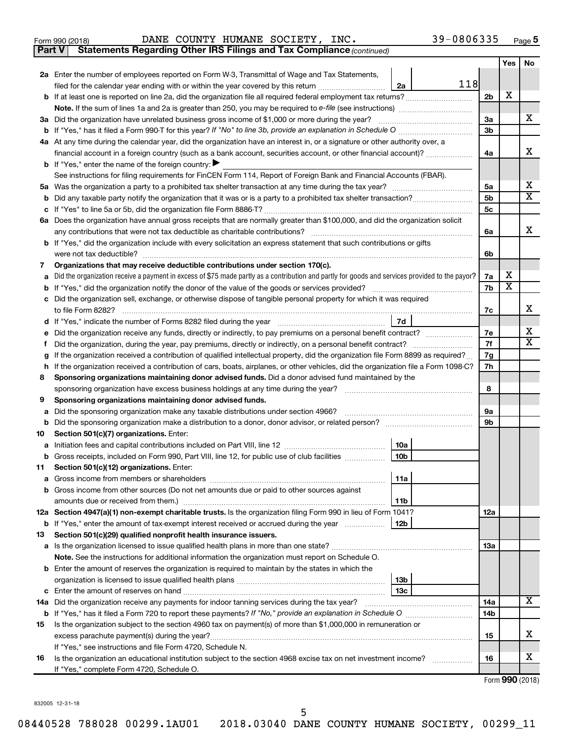Form 990 (2018) Page DANE COUNTY HUMANE SOCIETY, INC. 39-0806335

**Part V** Statements Regarding Other IRS Filings and Tax Compliance (continued)

|        |                                                                                                                                                 |                      | <b>Yes</b>              | No                      |
|--------|-------------------------------------------------------------------------------------------------------------------------------------------------|----------------------|-------------------------|-------------------------|
|        | 2a Enter the number of employees reported on Form W-3, Transmittal of Wage and Tax Statements,                                                  |                      |                         |                         |
|        | 118<br>filed for the calendar year ending with or within the year covered by this return <i>[[[[[[[[[[[[[[]]]]</i> ]]<br>2a                     |                      |                         |                         |
|        |                                                                                                                                                 | 2b                   | x                       |                         |
|        | <b>Note.</b> If the sum of lines 1a and 2a is greater than 250, you may be required to e-file (see instructions)                                |                      |                         |                         |
|        | 3a Did the organization have unrelated business gross income of \$1,000 or more during the year?                                                | За                   |                         | X                       |
|        |                                                                                                                                                 | 3 <sub>b</sub>       |                         |                         |
|        | 4a At any time during the calendar year, did the organization have an interest in, or a signature or other authority over, a                    |                      |                         |                         |
|        | financial account in a foreign country (such as a bank account, securities account, or other financial account)?                                | 4a                   |                         | x                       |
|        | <b>b</b> If "Yes," enter the name of the foreign country:                                                                                       |                      |                         |                         |
|        | See instructions for filing requirements for FinCEN Form 114, Report of Foreign Bank and Financial Accounts (FBAR).                             |                      |                         | х                       |
|        |                                                                                                                                                 | 5a<br>5 <sub>b</sub> |                         | $\overline{\mathbf{X}}$ |
|        |                                                                                                                                                 | 5 <sub>c</sub>       |                         |                         |
|        | 6a Does the organization have annual gross receipts that are normally greater than \$100,000, and did the organization solicit                  |                      |                         |                         |
|        | any contributions that were not tax deductible as charitable contributions?                                                                     | 6a                   |                         | x                       |
|        | b If "Yes," did the organization include with every solicitation an express statement that such contributions or gifts                          |                      |                         |                         |
|        | were not tax deductible?                                                                                                                        | 6b                   |                         |                         |
| 7      | Organizations that may receive deductible contributions under section 170(c).                                                                   |                      |                         |                         |
| a      | Did the organization receive a payment in excess of \$75 made partly as a contribution and partly for goods and services provided to the payor? | 7a                   | x                       |                         |
|        |                                                                                                                                                 | 7b                   | $\overline{\textbf{x}}$ |                         |
|        | c Did the organization sell, exchange, or otherwise dispose of tangible personal property for which it was required                             |                      |                         |                         |
|        | to file Form 8282?                                                                                                                              | 7с                   |                         | х                       |
|        | 7d                                                                                                                                              |                      |                         |                         |
| е      | Did the organization receive any funds, directly or indirectly, to pay premiums on a personal benefit contract?                                 | 7е                   |                         | х                       |
|        |                                                                                                                                                 | 7f                   |                         | $\overline{\mathbf{X}}$ |
|        | If the organization received a contribution of qualified intellectual property, did the organization file Form 8899 as required?                | 7g                   |                         |                         |
| h.     | If the organization received a contribution of cars, boats, airplanes, or other vehicles, did the organization file a Form 1098-C?              | 7h                   |                         |                         |
| 8      | Sponsoring organizations maintaining donor advised funds. Did a donor advised fund maintained by the                                            |                      |                         |                         |
|        | sponsoring organization have excess business holdings at any time during the year?                                                              | 8                    |                         |                         |
| 9      | Sponsoring organizations maintaining donor advised funds.                                                                                       |                      |                         |                         |
| a      | Did the sponsoring organization make any taxable distributions under section 4966?                                                              | 9а                   |                         |                         |
| b      |                                                                                                                                                 | 9b                   |                         |                         |
| 10     | Section 501(c)(7) organizations. Enter:<br>10a                                                                                                  |                      |                         |                         |
| а<br>b | 10 <sub>b</sub><br>Gross receipts, included on Form 990, Part VIII, line 12, for public use of club facilities                                  |                      |                         |                         |
| 11     | Section 501(c)(12) organizations. Enter:                                                                                                        |                      |                         |                         |
|        | 11a                                                                                                                                             |                      |                         |                         |
|        | b Gross income from other sources (Do not net amounts due or paid to other sources against                                                      |                      |                         |                         |
|        | amounts due or received from them.)<br>11b                                                                                                      |                      |                         |                         |
|        | 12a Section 4947(a)(1) non-exempt charitable trusts. Is the organization filing Form 990 in lieu of Form 1041?                                  | 12a                  |                         |                         |
|        | <b>b</b> If "Yes," enter the amount of tax-exempt interest received or accrued during the year<br>12b                                           |                      |                         |                         |
| 13     | Section 501(c)(29) qualified nonprofit health insurance issuers.                                                                                |                      |                         |                         |
|        | a Is the organization licensed to issue qualified health plans in more than one state?                                                          | 1За                  |                         |                         |
|        | Note. See the instructions for additional information the organization must report on Schedule O.                                               |                      |                         |                         |
|        | <b>b</b> Enter the amount of reserves the organization is required to maintain by the states in which the                                       |                      |                         |                         |
|        | 13b                                                                                                                                             |                      |                         |                         |
|        | 13с                                                                                                                                             |                      |                         |                         |
|        | 14a Did the organization receive any payments for indoor tanning services during the tax year?                                                  | 14a                  |                         | x                       |
|        |                                                                                                                                                 | 14b                  |                         |                         |
| 15     | Is the organization subject to the section 4960 tax on payment(s) of more than \$1,000,000 in remuneration or                                   |                      |                         | x                       |
|        | excess parachute payment(s) during the year?                                                                                                    | 15                   |                         |                         |
|        | If "Yes," see instructions and file Form 4720, Schedule N.                                                                                      |                      |                         | x                       |
| 16     | Is the organization an educational institution subject to the section 4968 excise tax on net investment income?                                 | 16                   |                         |                         |
|        | If "Yes," complete Form 4720, Schedule O.                                                                                                       |                      |                         |                         |

Form (2018) **990**

832005 12-31-18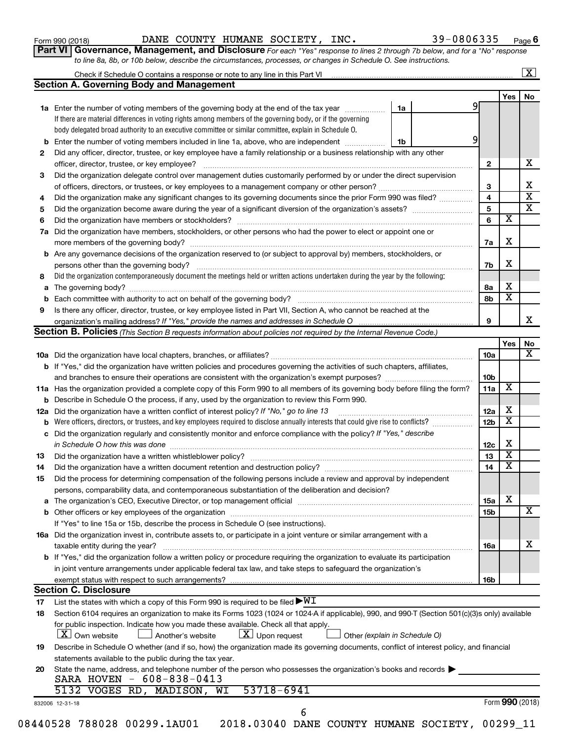| Form 990 (2018) |  |
|-----------------|--|
|-----------------|--|

Form 990 (2018) Page DANE COUNTY HUMANE SOCIETY, INC. 39-0806335

39-0806335 Page 6

|  | Part VI   Governance, Management, and Disclosure For each "Yes" response to lines 2 through 7b below, and for a "No" response |  |  |
|--|-------------------------------------------------------------------------------------------------------------------------------|--|--|
|  | to line 8a, 8b, or 10b below, describe the circumstances, processes, or changes in Schedule O. See instructions.              |  |  |

| Yes<br>9<br>1a Enter the number of voting members of the governing body at the end of the tax year<br>1a<br>If there are material differences in voting rights among members of the governing body, or if the governing<br>body delegated broad authority to an executive committee or similar committee, explain in Schedule O.<br>9<br><b>b</b> Enter the number of voting members included in line 1a, above, who are independent <i>manumum</i><br>1b<br>Did any officer, director, trustee, or key employee have a family relationship or a business relationship with any other<br>$\mathbf{2}$<br>officer, director, trustee, or key employee?<br>Did the organization delegate control over management duties customarily performed by or under the direct supervision<br>3<br>4<br>Did the organization make any significant changes to its governing documents since the prior Form 990 was filed?<br>5<br>$\overline{\textbf{x}}$<br>6<br>Did the organization have members, stockholders, or other persons who had the power to elect or appoint one or<br>X<br>7a<br><b>b</b> Are any governance decisions of the organization reserved to (or subject to approval by) members, stockholders, or<br>X<br>7b<br>Did the organization contemporaneously document the meetings held or written actions undertaken during the year by the following:<br>8а<br>a<br>8b<br>Is there any officer, director, trustee, or key employee listed in Part VII, Section A, who cannot be reached at the<br>9<br><b>Section B. Policies</b> (This Section B requests information about policies not required by the Internal Revenue Code.)<br>10a<br>b If "Yes," did the organization have written policies and procedures governing the activities of such chapters, affiliates,<br>10 <sub>b</sub><br>11a<br>11a Has the organization provided a complete copy of this Form 990 to all members of its governing body before filing the form?<br><b>b</b> Describe in Schedule O the process, if any, used by the organization to review this Form 990.<br>12a<br>Did the organization have a written conflict of interest policy? If "No," go to line 13<br>Were officers, directors, or trustees, and key employees required to disclose annually interests that could give rise to conflicts?<br>12 <sub>b</sub><br>b<br>Did the organization regularly and consistently monitor and enforce compliance with the policy? If "Yes," describe<br>с<br>12c<br>13<br>14<br>Did the organization have a written document retention and destruction policy? [11] manufaction manufaction in<br>Did the process for determining compensation of the following persons include a review and approval by independent<br>persons, comparability data, and contemporaneous substantiation of the deliberation and decision?<br>X<br>15a<br>15b<br>If "Yes" to line 15a or 15b, describe the process in Schedule O (see instructions).<br>16a Did the organization invest in, contribute assets to, or participate in a joint venture or similar arrangement with a<br>taxable entity during the year?<br>16a<br><b>b</b> If "Yes," did the organization follow a written policy or procedure requiring the organization to evaluate its participation<br>in joint venture arrangements under applicable federal tax law, and take steps to safeguard the organization's<br>exempt status with respect to such arrangements?<br>16b<br><b>Section C. Disclosure</b><br>List the states with which a copy of this Form 990 is required to be filed $\blacktriangleright\texttt{WI}$<br>17<br>Section 6104 requires an organization to make its Forms 1023 (1024 or 1024 A if applicable), 990, and 990 T (Section 501(c)(3)s only) available<br>18<br>for public inspection. Indicate how you made these available. Check all that apply.<br>$\lfloor x \rfloor$ Upon request<br>$ \mathbf{X} $ Own website<br>Another's website<br>Other (explain in Schedule O)<br>Describe in Schedule O whether (and if so, how) the organization made its governing documents, conflict of interest policy, and financial<br>19<br>statements available to the public during the tax year.<br>State the name, address, and telephone number of the person who possesses the organization's books and records<br>SARA HOVEN - 608-838-0413<br>53718-6941<br>5132 VOGES RD, MADISON, WI<br>Form 990 (2018)<br>832006 12-31-18<br>6<br>08440528 788028 00299.1AU01<br>2018.03040 DANE COUNTY HUMANE SOCIETY, 00299_11 |     | <b>Section A. Governing Body and Management</b> |  |  |                         |  |
|-----------------------------------------------------------------------------------------------------------------------------------------------------------------------------------------------------------------------------------------------------------------------------------------------------------------------------------------------------------------------------------------------------------------------------------------------------------------------------------------------------------------------------------------------------------------------------------------------------------------------------------------------------------------------------------------------------------------------------------------------------------------------------------------------------------------------------------------------------------------------------------------------------------------------------------------------------------------------------------------------------------------------------------------------------------------------------------------------------------------------------------------------------------------------------------------------------------------------------------------------------------------------------------------------------------------------------------------------------------------------------------------------------------------------------------------------------------------------------------------------------------------------------------------------------------------------------------------------------------------------------------------------------------------------------------------------------------------------------------------------------------------------------------------------------------------------------------------------------------------------------------------------------------------------------------------------------------------------------------------------------------------------------------------------------------------------------------------------------------------------------------------------------------------------------------------------------------------------------------------------------------------------------------------------------------------------------------------------------------------------------------------------------------------------------------------------------------------------------------------------------------------------------------------------------------------------------------------------------------------------------------------------------------------------------------------------------------------------------------------------------------------------------------------------------------------------------------------------------------------------------------------------------------------------------------------------------------------------------------------------------------------------------------------------------------------------------------------------------------------------------------------------------------------------------------------------------------------------------------------------------------------------------------------------------------------------------------------------------------------------------------------------------------------------------------------------------------------------------------------------------------------------------------------------------------------------------------------------------------------------------------------------------------------------------------------------------------------------------------------------------------------------------------------------------------------------------------------------------------------------------------------------------------------------------------------------------------------------------------------------------------------------------------------------------------------------------------------------------------------------------------------------------------------------------------------------------------------------------------------------------------------------------------------------------------------------------------------------------------------------------------------------------------------------------------------------------------------------------------------------|-----|-------------------------------------------------|--|--|-------------------------|--|
|                                                                                                                                                                                                                                                                                                                                                                                                                                                                                                                                                                                                                                                                                                                                                                                                                                                                                                                                                                                                                                                                                                                                                                                                                                                                                                                                                                                                                                                                                                                                                                                                                                                                                                                                                                                                                                                                                                                                                                                                                                                                                                                                                                                                                                                                                                                                                                                                                                                                                                                                                                                                                                                                                                                                                                                                                                                                                                                                                                                                                                                                                                                                                                                                                                                                                                                                                                                                                                                                                                                                                                                                                                                                                                                                                                                                                                                                                                                                                                                                                                                                                                                                                                                                                                                                                                                                                                                                                                                                                               |     |                                                 |  |  |                         |  |
|                                                                                                                                                                                                                                                                                                                                                                                                                                                                                                                                                                                                                                                                                                                                                                                                                                                                                                                                                                                                                                                                                                                                                                                                                                                                                                                                                                                                                                                                                                                                                                                                                                                                                                                                                                                                                                                                                                                                                                                                                                                                                                                                                                                                                                                                                                                                                                                                                                                                                                                                                                                                                                                                                                                                                                                                                                                                                                                                                                                                                                                                                                                                                                                                                                                                                                                                                                                                                                                                                                                                                                                                                                                                                                                                                                                                                                                                                                                                                                                                                                                                                                                                                                                                                                                                                                                                                                                                                                                                                               |     |                                                 |  |  |                         |  |
|                                                                                                                                                                                                                                                                                                                                                                                                                                                                                                                                                                                                                                                                                                                                                                                                                                                                                                                                                                                                                                                                                                                                                                                                                                                                                                                                                                                                                                                                                                                                                                                                                                                                                                                                                                                                                                                                                                                                                                                                                                                                                                                                                                                                                                                                                                                                                                                                                                                                                                                                                                                                                                                                                                                                                                                                                                                                                                                                                                                                                                                                                                                                                                                                                                                                                                                                                                                                                                                                                                                                                                                                                                                                                                                                                                                                                                                                                                                                                                                                                                                                                                                                                                                                                                                                                                                                                                                                                                                                                               |     |                                                 |  |  |                         |  |
|                                                                                                                                                                                                                                                                                                                                                                                                                                                                                                                                                                                                                                                                                                                                                                                                                                                                                                                                                                                                                                                                                                                                                                                                                                                                                                                                                                                                                                                                                                                                                                                                                                                                                                                                                                                                                                                                                                                                                                                                                                                                                                                                                                                                                                                                                                                                                                                                                                                                                                                                                                                                                                                                                                                                                                                                                                                                                                                                                                                                                                                                                                                                                                                                                                                                                                                                                                                                                                                                                                                                                                                                                                                                                                                                                                                                                                                                                                                                                                                                                                                                                                                                                                                                                                                                                                                                                                                                                                                                                               |     |                                                 |  |  |                         |  |
|                                                                                                                                                                                                                                                                                                                                                                                                                                                                                                                                                                                                                                                                                                                                                                                                                                                                                                                                                                                                                                                                                                                                                                                                                                                                                                                                                                                                                                                                                                                                                                                                                                                                                                                                                                                                                                                                                                                                                                                                                                                                                                                                                                                                                                                                                                                                                                                                                                                                                                                                                                                                                                                                                                                                                                                                                                                                                                                                                                                                                                                                                                                                                                                                                                                                                                                                                                                                                                                                                                                                                                                                                                                                                                                                                                                                                                                                                                                                                                                                                                                                                                                                                                                                                                                                                                                                                                                                                                                                                               |     |                                                 |  |  |                         |  |
|                                                                                                                                                                                                                                                                                                                                                                                                                                                                                                                                                                                                                                                                                                                                                                                                                                                                                                                                                                                                                                                                                                                                                                                                                                                                                                                                                                                                                                                                                                                                                                                                                                                                                                                                                                                                                                                                                                                                                                                                                                                                                                                                                                                                                                                                                                                                                                                                                                                                                                                                                                                                                                                                                                                                                                                                                                                                                                                                                                                                                                                                                                                                                                                                                                                                                                                                                                                                                                                                                                                                                                                                                                                                                                                                                                                                                                                                                                                                                                                                                                                                                                                                                                                                                                                                                                                                                                                                                                                                                               |     |                                                 |  |  |                         |  |
|                                                                                                                                                                                                                                                                                                                                                                                                                                                                                                                                                                                                                                                                                                                                                                                                                                                                                                                                                                                                                                                                                                                                                                                                                                                                                                                                                                                                                                                                                                                                                                                                                                                                                                                                                                                                                                                                                                                                                                                                                                                                                                                                                                                                                                                                                                                                                                                                                                                                                                                                                                                                                                                                                                                                                                                                                                                                                                                                                                                                                                                                                                                                                                                                                                                                                                                                                                                                                                                                                                                                                                                                                                                                                                                                                                                                                                                                                                                                                                                                                                                                                                                                                                                                                                                                                                                                                                                                                                                                                               | 2   |                                                 |  |  |                         |  |
|                                                                                                                                                                                                                                                                                                                                                                                                                                                                                                                                                                                                                                                                                                                                                                                                                                                                                                                                                                                                                                                                                                                                                                                                                                                                                                                                                                                                                                                                                                                                                                                                                                                                                                                                                                                                                                                                                                                                                                                                                                                                                                                                                                                                                                                                                                                                                                                                                                                                                                                                                                                                                                                                                                                                                                                                                                                                                                                                                                                                                                                                                                                                                                                                                                                                                                                                                                                                                                                                                                                                                                                                                                                                                                                                                                                                                                                                                                                                                                                                                                                                                                                                                                                                                                                                                                                                                                                                                                                                                               |     |                                                 |  |  |                         |  |
|                                                                                                                                                                                                                                                                                                                                                                                                                                                                                                                                                                                                                                                                                                                                                                                                                                                                                                                                                                                                                                                                                                                                                                                                                                                                                                                                                                                                                                                                                                                                                                                                                                                                                                                                                                                                                                                                                                                                                                                                                                                                                                                                                                                                                                                                                                                                                                                                                                                                                                                                                                                                                                                                                                                                                                                                                                                                                                                                                                                                                                                                                                                                                                                                                                                                                                                                                                                                                                                                                                                                                                                                                                                                                                                                                                                                                                                                                                                                                                                                                                                                                                                                                                                                                                                                                                                                                                                                                                                                                               | 3   |                                                 |  |  |                         |  |
|                                                                                                                                                                                                                                                                                                                                                                                                                                                                                                                                                                                                                                                                                                                                                                                                                                                                                                                                                                                                                                                                                                                                                                                                                                                                                                                                                                                                                                                                                                                                                                                                                                                                                                                                                                                                                                                                                                                                                                                                                                                                                                                                                                                                                                                                                                                                                                                                                                                                                                                                                                                                                                                                                                                                                                                                                                                                                                                                                                                                                                                                                                                                                                                                                                                                                                                                                                                                                                                                                                                                                                                                                                                                                                                                                                                                                                                                                                                                                                                                                                                                                                                                                                                                                                                                                                                                                                                                                                                                                               |     |                                                 |  |  |                         |  |
|                                                                                                                                                                                                                                                                                                                                                                                                                                                                                                                                                                                                                                                                                                                                                                                                                                                                                                                                                                                                                                                                                                                                                                                                                                                                                                                                                                                                                                                                                                                                                                                                                                                                                                                                                                                                                                                                                                                                                                                                                                                                                                                                                                                                                                                                                                                                                                                                                                                                                                                                                                                                                                                                                                                                                                                                                                                                                                                                                                                                                                                                                                                                                                                                                                                                                                                                                                                                                                                                                                                                                                                                                                                                                                                                                                                                                                                                                                                                                                                                                                                                                                                                                                                                                                                                                                                                                                                                                                                                                               | 4   |                                                 |  |  |                         |  |
|                                                                                                                                                                                                                                                                                                                                                                                                                                                                                                                                                                                                                                                                                                                                                                                                                                                                                                                                                                                                                                                                                                                                                                                                                                                                                                                                                                                                                                                                                                                                                                                                                                                                                                                                                                                                                                                                                                                                                                                                                                                                                                                                                                                                                                                                                                                                                                                                                                                                                                                                                                                                                                                                                                                                                                                                                                                                                                                                                                                                                                                                                                                                                                                                                                                                                                                                                                                                                                                                                                                                                                                                                                                                                                                                                                                                                                                                                                                                                                                                                                                                                                                                                                                                                                                                                                                                                                                                                                                                                               | 5   |                                                 |  |  |                         |  |
|                                                                                                                                                                                                                                                                                                                                                                                                                                                                                                                                                                                                                                                                                                                                                                                                                                                                                                                                                                                                                                                                                                                                                                                                                                                                                                                                                                                                                                                                                                                                                                                                                                                                                                                                                                                                                                                                                                                                                                                                                                                                                                                                                                                                                                                                                                                                                                                                                                                                                                                                                                                                                                                                                                                                                                                                                                                                                                                                                                                                                                                                                                                                                                                                                                                                                                                                                                                                                                                                                                                                                                                                                                                                                                                                                                                                                                                                                                                                                                                                                                                                                                                                                                                                                                                                                                                                                                                                                                                                                               | 6   |                                                 |  |  |                         |  |
|                                                                                                                                                                                                                                                                                                                                                                                                                                                                                                                                                                                                                                                                                                                                                                                                                                                                                                                                                                                                                                                                                                                                                                                                                                                                                                                                                                                                                                                                                                                                                                                                                                                                                                                                                                                                                                                                                                                                                                                                                                                                                                                                                                                                                                                                                                                                                                                                                                                                                                                                                                                                                                                                                                                                                                                                                                                                                                                                                                                                                                                                                                                                                                                                                                                                                                                                                                                                                                                                                                                                                                                                                                                                                                                                                                                                                                                                                                                                                                                                                                                                                                                                                                                                                                                                                                                                                                                                                                                                                               | 7a  |                                                 |  |  |                         |  |
|                                                                                                                                                                                                                                                                                                                                                                                                                                                                                                                                                                                                                                                                                                                                                                                                                                                                                                                                                                                                                                                                                                                                                                                                                                                                                                                                                                                                                                                                                                                                                                                                                                                                                                                                                                                                                                                                                                                                                                                                                                                                                                                                                                                                                                                                                                                                                                                                                                                                                                                                                                                                                                                                                                                                                                                                                                                                                                                                                                                                                                                                                                                                                                                                                                                                                                                                                                                                                                                                                                                                                                                                                                                                                                                                                                                                                                                                                                                                                                                                                                                                                                                                                                                                                                                                                                                                                                                                                                                                                               |     |                                                 |  |  |                         |  |
|                                                                                                                                                                                                                                                                                                                                                                                                                                                                                                                                                                                                                                                                                                                                                                                                                                                                                                                                                                                                                                                                                                                                                                                                                                                                                                                                                                                                                                                                                                                                                                                                                                                                                                                                                                                                                                                                                                                                                                                                                                                                                                                                                                                                                                                                                                                                                                                                                                                                                                                                                                                                                                                                                                                                                                                                                                                                                                                                                                                                                                                                                                                                                                                                                                                                                                                                                                                                                                                                                                                                                                                                                                                                                                                                                                                                                                                                                                                                                                                                                                                                                                                                                                                                                                                                                                                                                                                                                                                                                               |     |                                                 |  |  |                         |  |
|                                                                                                                                                                                                                                                                                                                                                                                                                                                                                                                                                                                                                                                                                                                                                                                                                                                                                                                                                                                                                                                                                                                                                                                                                                                                                                                                                                                                                                                                                                                                                                                                                                                                                                                                                                                                                                                                                                                                                                                                                                                                                                                                                                                                                                                                                                                                                                                                                                                                                                                                                                                                                                                                                                                                                                                                                                                                                                                                                                                                                                                                                                                                                                                                                                                                                                                                                                                                                                                                                                                                                                                                                                                                                                                                                                                                                                                                                                                                                                                                                                                                                                                                                                                                                                                                                                                                                                                                                                                                                               |     |                                                 |  |  |                         |  |
|                                                                                                                                                                                                                                                                                                                                                                                                                                                                                                                                                                                                                                                                                                                                                                                                                                                                                                                                                                                                                                                                                                                                                                                                                                                                                                                                                                                                                                                                                                                                                                                                                                                                                                                                                                                                                                                                                                                                                                                                                                                                                                                                                                                                                                                                                                                                                                                                                                                                                                                                                                                                                                                                                                                                                                                                                                                                                                                                                                                                                                                                                                                                                                                                                                                                                                                                                                                                                                                                                                                                                                                                                                                                                                                                                                                                                                                                                                                                                                                                                                                                                                                                                                                                                                                                                                                                                                                                                                                                                               | 8   |                                                 |  |  |                         |  |
|                                                                                                                                                                                                                                                                                                                                                                                                                                                                                                                                                                                                                                                                                                                                                                                                                                                                                                                                                                                                                                                                                                                                                                                                                                                                                                                                                                                                                                                                                                                                                                                                                                                                                                                                                                                                                                                                                                                                                                                                                                                                                                                                                                                                                                                                                                                                                                                                                                                                                                                                                                                                                                                                                                                                                                                                                                                                                                                                                                                                                                                                                                                                                                                                                                                                                                                                                                                                                                                                                                                                                                                                                                                                                                                                                                                                                                                                                                                                                                                                                                                                                                                                                                                                                                                                                                                                                                                                                                                                                               |     |                                                 |  |  | X                       |  |
|                                                                                                                                                                                                                                                                                                                                                                                                                                                                                                                                                                                                                                                                                                                                                                                                                                                                                                                                                                                                                                                                                                                                                                                                                                                                                                                                                                                                                                                                                                                                                                                                                                                                                                                                                                                                                                                                                                                                                                                                                                                                                                                                                                                                                                                                                                                                                                                                                                                                                                                                                                                                                                                                                                                                                                                                                                                                                                                                                                                                                                                                                                                                                                                                                                                                                                                                                                                                                                                                                                                                                                                                                                                                                                                                                                                                                                                                                                                                                                                                                                                                                                                                                                                                                                                                                                                                                                                                                                                                                               |     |                                                 |  |  | $\overline{\textbf{x}}$ |  |
|                                                                                                                                                                                                                                                                                                                                                                                                                                                                                                                                                                                                                                                                                                                                                                                                                                                                                                                                                                                                                                                                                                                                                                                                                                                                                                                                                                                                                                                                                                                                                                                                                                                                                                                                                                                                                                                                                                                                                                                                                                                                                                                                                                                                                                                                                                                                                                                                                                                                                                                                                                                                                                                                                                                                                                                                                                                                                                                                                                                                                                                                                                                                                                                                                                                                                                                                                                                                                                                                                                                                                                                                                                                                                                                                                                                                                                                                                                                                                                                                                                                                                                                                                                                                                                                                                                                                                                                                                                                                                               | 9   |                                                 |  |  |                         |  |
|                                                                                                                                                                                                                                                                                                                                                                                                                                                                                                                                                                                                                                                                                                                                                                                                                                                                                                                                                                                                                                                                                                                                                                                                                                                                                                                                                                                                                                                                                                                                                                                                                                                                                                                                                                                                                                                                                                                                                                                                                                                                                                                                                                                                                                                                                                                                                                                                                                                                                                                                                                                                                                                                                                                                                                                                                                                                                                                                                                                                                                                                                                                                                                                                                                                                                                                                                                                                                                                                                                                                                                                                                                                                                                                                                                                                                                                                                                                                                                                                                                                                                                                                                                                                                                                                                                                                                                                                                                                                                               |     |                                                 |  |  |                         |  |
|                                                                                                                                                                                                                                                                                                                                                                                                                                                                                                                                                                                                                                                                                                                                                                                                                                                                                                                                                                                                                                                                                                                                                                                                                                                                                                                                                                                                                                                                                                                                                                                                                                                                                                                                                                                                                                                                                                                                                                                                                                                                                                                                                                                                                                                                                                                                                                                                                                                                                                                                                                                                                                                                                                                                                                                                                                                                                                                                                                                                                                                                                                                                                                                                                                                                                                                                                                                                                                                                                                                                                                                                                                                                                                                                                                                                                                                                                                                                                                                                                                                                                                                                                                                                                                                                                                                                                                                                                                                                                               |     |                                                 |  |  |                         |  |
|                                                                                                                                                                                                                                                                                                                                                                                                                                                                                                                                                                                                                                                                                                                                                                                                                                                                                                                                                                                                                                                                                                                                                                                                                                                                                                                                                                                                                                                                                                                                                                                                                                                                                                                                                                                                                                                                                                                                                                                                                                                                                                                                                                                                                                                                                                                                                                                                                                                                                                                                                                                                                                                                                                                                                                                                                                                                                                                                                                                                                                                                                                                                                                                                                                                                                                                                                                                                                                                                                                                                                                                                                                                                                                                                                                                                                                                                                                                                                                                                                                                                                                                                                                                                                                                                                                                                                                                                                                                                                               |     |                                                 |  |  | Yes                     |  |
|                                                                                                                                                                                                                                                                                                                                                                                                                                                                                                                                                                                                                                                                                                                                                                                                                                                                                                                                                                                                                                                                                                                                                                                                                                                                                                                                                                                                                                                                                                                                                                                                                                                                                                                                                                                                                                                                                                                                                                                                                                                                                                                                                                                                                                                                                                                                                                                                                                                                                                                                                                                                                                                                                                                                                                                                                                                                                                                                                                                                                                                                                                                                                                                                                                                                                                                                                                                                                                                                                                                                                                                                                                                                                                                                                                                                                                                                                                                                                                                                                                                                                                                                                                                                                                                                                                                                                                                                                                                                                               |     |                                                 |  |  |                         |  |
|                                                                                                                                                                                                                                                                                                                                                                                                                                                                                                                                                                                                                                                                                                                                                                                                                                                                                                                                                                                                                                                                                                                                                                                                                                                                                                                                                                                                                                                                                                                                                                                                                                                                                                                                                                                                                                                                                                                                                                                                                                                                                                                                                                                                                                                                                                                                                                                                                                                                                                                                                                                                                                                                                                                                                                                                                                                                                                                                                                                                                                                                                                                                                                                                                                                                                                                                                                                                                                                                                                                                                                                                                                                                                                                                                                                                                                                                                                                                                                                                                                                                                                                                                                                                                                                                                                                                                                                                                                                                                               |     |                                                 |  |  |                         |  |
|                                                                                                                                                                                                                                                                                                                                                                                                                                                                                                                                                                                                                                                                                                                                                                                                                                                                                                                                                                                                                                                                                                                                                                                                                                                                                                                                                                                                                                                                                                                                                                                                                                                                                                                                                                                                                                                                                                                                                                                                                                                                                                                                                                                                                                                                                                                                                                                                                                                                                                                                                                                                                                                                                                                                                                                                                                                                                                                                                                                                                                                                                                                                                                                                                                                                                                                                                                                                                                                                                                                                                                                                                                                                                                                                                                                                                                                                                                                                                                                                                                                                                                                                                                                                                                                                                                                                                                                                                                                                                               |     |                                                 |  |  |                         |  |
|                                                                                                                                                                                                                                                                                                                                                                                                                                                                                                                                                                                                                                                                                                                                                                                                                                                                                                                                                                                                                                                                                                                                                                                                                                                                                                                                                                                                                                                                                                                                                                                                                                                                                                                                                                                                                                                                                                                                                                                                                                                                                                                                                                                                                                                                                                                                                                                                                                                                                                                                                                                                                                                                                                                                                                                                                                                                                                                                                                                                                                                                                                                                                                                                                                                                                                                                                                                                                                                                                                                                                                                                                                                                                                                                                                                                                                                                                                                                                                                                                                                                                                                                                                                                                                                                                                                                                                                                                                                                                               |     |                                                 |  |  | X                       |  |
|                                                                                                                                                                                                                                                                                                                                                                                                                                                                                                                                                                                                                                                                                                                                                                                                                                                                                                                                                                                                                                                                                                                                                                                                                                                                                                                                                                                                                                                                                                                                                                                                                                                                                                                                                                                                                                                                                                                                                                                                                                                                                                                                                                                                                                                                                                                                                                                                                                                                                                                                                                                                                                                                                                                                                                                                                                                                                                                                                                                                                                                                                                                                                                                                                                                                                                                                                                                                                                                                                                                                                                                                                                                                                                                                                                                                                                                                                                                                                                                                                                                                                                                                                                                                                                                                                                                                                                                                                                                                                               |     |                                                 |  |  |                         |  |
|                                                                                                                                                                                                                                                                                                                                                                                                                                                                                                                                                                                                                                                                                                                                                                                                                                                                                                                                                                                                                                                                                                                                                                                                                                                                                                                                                                                                                                                                                                                                                                                                                                                                                                                                                                                                                                                                                                                                                                                                                                                                                                                                                                                                                                                                                                                                                                                                                                                                                                                                                                                                                                                                                                                                                                                                                                                                                                                                                                                                                                                                                                                                                                                                                                                                                                                                                                                                                                                                                                                                                                                                                                                                                                                                                                                                                                                                                                                                                                                                                                                                                                                                                                                                                                                                                                                                                                                                                                                                                               | 12a |                                                 |  |  | х                       |  |
|                                                                                                                                                                                                                                                                                                                                                                                                                                                                                                                                                                                                                                                                                                                                                                                                                                                                                                                                                                                                                                                                                                                                                                                                                                                                                                                                                                                                                                                                                                                                                                                                                                                                                                                                                                                                                                                                                                                                                                                                                                                                                                                                                                                                                                                                                                                                                                                                                                                                                                                                                                                                                                                                                                                                                                                                                                                                                                                                                                                                                                                                                                                                                                                                                                                                                                                                                                                                                                                                                                                                                                                                                                                                                                                                                                                                                                                                                                                                                                                                                                                                                                                                                                                                                                                                                                                                                                                                                                                                                               |     |                                                 |  |  | $\overline{\textbf{x}}$ |  |
|                                                                                                                                                                                                                                                                                                                                                                                                                                                                                                                                                                                                                                                                                                                                                                                                                                                                                                                                                                                                                                                                                                                                                                                                                                                                                                                                                                                                                                                                                                                                                                                                                                                                                                                                                                                                                                                                                                                                                                                                                                                                                                                                                                                                                                                                                                                                                                                                                                                                                                                                                                                                                                                                                                                                                                                                                                                                                                                                                                                                                                                                                                                                                                                                                                                                                                                                                                                                                                                                                                                                                                                                                                                                                                                                                                                                                                                                                                                                                                                                                                                                                                                                                                                                                                                                                                                                                                                                                                                                                               |     |                                                 |  |  |                         |  |
|                                                                                                                                                                                                                                                                                                                                                                                                                                                                                                                                                                                                                                                                                                                                                                                                                                                                                                                                                                                                                                                                                                                                                                                                                                                                                                                                                                                                                                                                                                                                                                                                                                                                                                                                                                                                                                                                                                                                                                                                                                                                                                                                                                                                                                                                                                                                                                                                                                                                                                                                                                                                                                                                                                                                                                                                                                                                                                                                                                                                                                                                                                                                                                                                                                                                                                                                                                                                                                                                                                                                                                                                                                                                                                                                                                                                                                                                                                                                                                                                                                                                                                                                                                                                                                                                                                                                                                                                                                                                                               |     |                                                 |  |  | Х                       |  |
|                                                                                                                                                                                                                                                                                                                                                                                                                                                                                                                                                                                                                                                                                                                                                                                                                                                                                                                                                                                                                                                                                                                                                                                                                                                                                                                                                                                                                                                                                                                                                                                                                                                                                                                                                                                                                                                                                                                                                                                                                                                                                                                                                                                                                                                                                                                                                                                                                                                                                                                                                                                                                                                                                                                                                                                                                                                                                                                                                                                                                                                                                                                                                                                                                                                                                                                                                                                                                                                                                                                                                                                                                                                                                                                                                                                                                                                                                                                                                                                                                                                                                                                                                                                                                                                                                                                                                                                                                                                                                               | 13  |                                                 |  |  | $\overline{\mathbf{X}}$ |  |
|                                                                                                                                                                                                                                                                                                                                                                                                                                                                                                                                                                                                                                                                                                                                                                                                                                                                                                                                                                                                                                                                                                                                                                                                                                                                                                                                                                                                                                                                                                                                                                                                                                                                                                                                                                                                                                                                                                                                                                                                                                                                                                                                                                                                                                                                                                                                                                                                                                                                                                                                                                                                                                                                                                                                                                                                                                                                                                                                                                                                                                                                                                                                                                                                                                                                                                                                                                                                                                                                                                                                                                                                                                                                                                                                                                                                                                                                                                                                                                                                                                                                                                                                                                                                                                                                                                                                                                                                                                                                                               | 14  |                                                 |  |  | $\overline{\mathbf{X}}$ |  |
|                                                                                                                                                                                                                                                                                                                                                                                                                                                                                                                                                                                                                                                                                                                                                                                                                                                                                                                                                                                                                                                                                                                                                                                                                                                                                                                                                                                                                                                                                                                                                                                                                                                                                                                                                                                                                                                                                                                                                                                                                                                                                                                                                                                                                                                                                                                                                                                                                                                                                                                                                                                                                                                                                                                                                                                                                                                                                                                                                                                                                                                                                                                                                                                                                                                                                                                                                                                                                                                                                                                                                                                                                                                                                                                                                                                                                                                                                                                                                                                                                                                                                                                                                                                                                                                                                                                                                                                                                                                                                               | 15  |                                                 |  |  |                         |  |
|                                                                                                                                                                                                                                                                                                                                                                                                                                                                                                                                                                                                                                                                                                                                                                                                                                                                                                                                                                                                                                                                                                                                                                                                                                                                                                                                                                                                                                                                                                                                                                                                                                                                                                                                                                                                                                                                                                                                                                                                                                                                                                                                                                                                                                                                                                                                                                                                                                                                                                                                                                                                                                                                                                                                                                                                                                                                                                                                                                                                                                                                                                                                                                                                                                                                                                                                                                                                                                                                                                                                                                                                                                                                                                                                                                                                                                                                                                                                                                                                                                                                                                                                                                                                                                                                                                                                                                                                                                                                                               |     |                                                 |  |  |                         |  |
|                                                                                                                                                                                                                                                                                                                                                                                                                                                                                                                                                                                                                                                                                                                                                                                                                                                                                                                                                                                                                                                                                                                                                                                                                                                                                                                                                                                                                                                                                                                                                                                                                                                                                                                                                                                                                                                                                                                                                                                                                                                                                                                                                                                                                                                                                                                                                                                                                                                                                                                                                                                                                                                                                                                                                                                                                                                                                                                                                                                                                                                                                                                                                                                                                                                                                                                                                                                                                                                                                                                                                                                                                                                                                                                                                                                                                                                                                                                                                                                                                                                                                                                                                                                                                                                                                                                                                                                                                                                                                               |     |                                                 |  |  |                         |  |
|                                                                                                                                                                                                                                                                                                                                                                                                                                                                                                                                                                                                                                                                                                                                                                                                                                                                                                                                                                                                                                                                                                                                                                                                                                                                                                                                                                                                                                                                                                                                                                                                                                                                                                                                                                                                                                                                                                                                                                                                                                                                                                                                                                                                                                                                                                                                                                                                                                                                                                                                                                                                                                                                                                                                                                                                                                                                                                                                                                                                                                                                                                                                                                                                                                                                                                                                                                                                                                                                                                                                                                                                                                                                                                                                                                                                                                                                                                                                                                                                                                                                                                                                                                                                                                                                                                                                                                                                                                                                                               |     |                                                 |  |  |                         |  |
|                                                                                                                                                                                                                                                                                                                                                                                                                                                                                                                                                                                                                                                                                                                                                                                                                                                                                                                                                                                                                                                                                                                                                                                                                                                                                                                                                                                                                                                                                                                                                                                                                                                                                                                                                                                                                                                                                                                                                                                                                                                                                                                                                                                                                                                                                                                                                                                                                                                                                                                                                                                                                                                                                                                                                                                                                                                                                                                                                                                                                                                                                                                                                                                                                                                                                                                                                                                                                                                                                                                                                                                                                                                                                                                                                                                                                                                                                                                                                                                                                                                                                                                                                                                                                                                                                                                                                                                                                                                                                               |     |                                                 |  |  |                         |  |
|                                                                                                                                                                                                                                                                                                                                                                                                                                                                                                                                                                                                                                                                                                                                                                                                                                                                                                                                                                                                                                                                                                                                                                                                                                                                                                                                                                                                                                                                                                                                                                                                                                                                                                                                                                                                                                                                                                                                                                                                                                                                                                                                                                                                                                                                                                                                                                                                                                                                                                                                                                                                                                                                                                                                                                                                                                                                                                                                                                                                                                                                                                                                                                                                                                                                                                                                                                                                                                                                                                                                                                                                                                                                                                                                                                                                                                                                                                                                                                                                                                                                                                                                                                                                                                                                                                                                                                                                                                                                                               |     |                                                 |  |  |                         |  |
|                                                                                                                                                                                                                                                                                                                                                                                                                                                                                                                                                                                                                                                                                                                                                                                                                                                                                                                                                                                                                                                                                                                                                                                                                                                                                                                                                                                                                                                                                                                                                                                                                                                                                                                                                                                                                                                                                                                                                                                                                                                                                                                                                                                                                                                                                                                                                                                                                                                                                                                                                                                                                                                                                                                                                                                                                                                                                                                                                                                                                                                                                                                                                                                                                                                                                                                                                                                                                                                                                                                                                                                                                                                                                                                                                                                                                                                                                                                                                                                                                                                                                                                                                                                                                                                                                                                                                                                                                                                                                               |     |                                                 |  |  |                         |  |
|                                                                                                                                                                                                                                                                                                                                                                                                                                                                                                                                                                                                                                                                                                                                                                                                                                                                                                                                                                                                                                                                                                                                                                                                                                                                                                                                                                                                                                                                                                                                                                                                                                                                                                                                                                                                                                                                                                                                                                                                                                                                                                                                                                                                                                                                                                                                                                                                                                                                                                                                                                                                                                                                                                                                                                                                                                                                                                                                                                                                                                                                                                                                                                                                                                                                                                                                                                                                                                                                                                                                                                                                                                                                                                                                                                                                                                                                                                                                                                                                                                                                                                                                                                                                                                                                                                                                                                                                                                                                                               |     |                                                 |  |  |                         |  |
|                                                                                                                                                                                                                                                                                                                                                                                                                                                                                                                                                                                                                                                                                                                                                                                                                                                                                                                                                                                                                                                                                                                                                                                                                                                                                                                                                                                                                                                                                                                                                                                                                                                                                                                                                                                                                                                                                                                                                                                                                                                                                                                                                                                                                                                                                                                                                                                                                                                                                                                                                                                                                                                                                                                                                                                                                                                                                                                                                                                                                                                                                                                                                                                                                                                                                                                                                                                                                                                                                                                                                                                                                                                                                                                                                                                                                                                                                                                                                                                                                                                                                                                                                                                                                                                                                                                                                                                                                                                                                               |     |                                                 |  |  |                         |  |
|                                                                                                                                                                                                                                                                                                                                                                                                                                                                                                                                                                                                                                                                                                                                                                                                                                                                                                                                                                                                                                                                                                                                                                                                                                                                                                                                                                                                                                                                                                                                                                                                                                                                                                                                                                                                                                                                                                                                                                                                                                                                                                                                                                                                                                                                                                                                                                                                                                                                                                                                                                                                                                                                                                                                                                                                                                                                                                                                                                                                                                                                                                                                                                                                                                                                                                                                                                                                                                                                                                                                                                                                                                                                                                                                                                                                                                                                                                                                                                                                                                                                                                                                                                                                                                                                                                                                                                                                                                                                                               |     |                                                 |  |  |                         |  |
|                                                                                                                                                                                                                                                                                                                                                                                                                                                                                                                                                                                                                                                                                                                                                                                                                                                                                                                                                                                                                                                                                                                                                                                                                                                                                                                                                                                                                                                                                                                                                                                                                                                                                                                                                                                                                                                                                                                                                                                                                                                                                                                                                                                                                                                                                                                                                                                                                                                                                                                                                                                                                                                                                                                                                                                                                                                                                                                                                                                                                                                                                                                                                                                                                                                                                                                                                                                                                                                                                                                                                                                                                                                                                                                                                                                                                                                                                                                                                                                                                                                                                                                                                                                                                                                                                                                                                                                                                                                                                               |     |                                                 |  |  |                         |  |
|                                                                                                                                                                                                                                                                                                                                                                                                                                                                                                                                                                                                                                                                                                                                                                                                                                                                                                                                                                                                                                                                                                                                                                                                                                                                                                                                                                                                                                                                                                                                                                                                                                                                                                                                                                                                                                                                                                                                                                                                                                                                                                                                                                                                                                                                                                                                                                                                                                                                                                                                                                                                                                                                                                                                                                                                                                                                                                                                                                                                                                                                                                                                                                                                                                                                                                                                                                                                                                                                                                                                                                                                                                                                                                                                                                                                                                                                                                                                                                                                                                                                                                                                                                                                                                                                                                                                                                                                                                                                                               |     |                                                 |  |  |                         |  |
|                                                                                                                                                                                                                                                                                                                                                                                                                                                                                                                                                                                                                                                                                                                                                                                                                                                                                                                                                                                                                                                                                                                                                                                                                                                                                                                                                                                                                                                                                                                                                                                                                                                                                                                                                                                                                                                                                                                                                                                                                                                                                                                                                                                                                                                                                                                                                                                                                                                                                                                                                                                                                                                                                                                                                                                                                                                                                                                                                                                                                                                                                                                                                                                                                                                                                                                                                                                                                                                                                                                                                                                                                                                                                                                                                                                                                                                                                                                                                                                                                                                                                                                                                                                                                                                                                                                                                                                                                                                                                               |     |                                                 |  |  |                         |  |
|                                                                                                                                                                                                                                                                                                                                                                                                                                                                                                                                                                                                                                                                                                                                                                                                                                                                                                                                                                                                                                                                                                                                                                                                                                                                                                                                                                                                                                                                                                                                                                                                                                                                                                                                                                                                                                                                                                                                                                                                                                                                                                                                                                                                                                                                                                                                                                                                                                                                                                                                                                                                                                                                                                                                                                                                                                                                                                                                                                                                                                                                                                                                                                                                                                                                                                                                                                                                                                                                                                                                                                                                                                                                                                                                                                                                                                                                                                                                                                                                                                                                                                                                                                                                                                                                                                                                                                                                                                                                                               |     |                                                 |  |  |                         |  |
|                                                                                                                                                                                                                                                                                                                                                                                                                                                                                                                                                                                                                                                                                                                                                                                                                                                                                                                                                                                                                                                                                                                                                                                                                                                                                                                                                                                                                                                                                                                                                                                                                                                                                                                                                                                                                                                                                                                                                                                                                                                                                                                                                                                                                                                                                                                                                                                                                                                                                                                                                                                                                                                                                                                                                                                                                                                                                                                                                                                                                                                                                                                                                                                                                                                                                                                                                                                                                                                                                                                                                                                                                                                                                                                                                                                                                                                                                                                                                                                                                                                                                                                                                                                                                                                                                                                                                                                                                                                                                               |     |                                                 |  |  |                         |  |
|                                                                                                                                                                                                                                                                                                                                                                                                                                                                                                                                                                                                                                                                                                                                                                                                                                                                                                                                                                                                                                                                                                                                                                                                                                                                                                                                                                                                                                                                                                                                                                                                                                                                                                                                                                                                                                                                                                                                                                                                                                                                                                                                                                                                                                                                                                                                                                                                                                                                                                                                                                                                                                                                                                                                                                                                                                                                                                                                                                                                                                                                                                                                                                                                                                                                                                                                                                                                                                                                                                                                                                                                                                                                                                                                                                                                                                                                                                                                                                                                                                                                                                                                                                                                                                                                                                                                                                                                                                                                                               |     |                                                 |  |  |                         |  |
|                                                                                                                                                                                                                                                                                                                                                                                                                                                                                                                                                                                                                                                                                                                                                                                                                                                                                                                                                                                                                                                                                                                                                                                                                                                                                                                                                                                                                                                                                                                                                                                                                                                                                                                                                                                                                                                                                                                                                                                                                                                                                                                                                                                                                                                                                                                                                                                                                                                                                                                                                                                                                                                                                                                                                                                                                                                                                                                                                                                                                                                                                                                                                                                                                                                                                                                                                                                                                                                                                                                                                                                                                                                                                                                                                                                                                                                                                                                                                                                                                                                                                                                                                                                                                                                                                                                                                                                                                                                                                               |     |                                                 |  |  |                         |  |
|                                                                                                                                                                                                                                                                                                                                                                                                                                                                                                                                                                                                                                                                                                                                                                                                                                                                                                                                                                                                                                                                                                                                                                                                                                                                                                                                                                                                                                                                                                                                                                                                                                                                                                                                                                                                                                                                                                                                                                                                                                                                                                                                                                                                                                                                                                                                                                                                                                                                                                                                                                                                                                                                                                                                                                                                                                                                                                                                                                                                                                                                                                                                                                                                                                                                                                                                                                                                                                                                                                                                                                                                                                                                                                                                                                                                                                                                                                                                                                                                                                                                                                                                                                                                                                                                                                                                                                                                                                                                                               |     |                                                 |  |  |                         |  |
|                                                                                                                                                                                                                                                                                                                                                                                                                                                                                                                                                                                                                                                                                                                                                                                                                                                                                                                                                                                                                                                                                                                                                                                                                                                                                                                                                                                                                                                                                                                                                                                                                                                                                                                                                                                                                                                                                                                                                                                                                                                                                                                                                                                                                                                                                                                                                                                                                                                                                                                                                                                                                                                                                                                                                                                                                                                                                                                                                                                                                                                                                                                                                                                                                                                                                                                                                                                                                                                                                                                                                                                                                                                                                                                                                                                                                                                                                                                                                                                                                                                                                                                                                                                                                                                                                                                                                                                                                                                                                               | 20  |                                                 |  |  |                         |  |
|                                                                                                                                                                                                                                                                                                                                                                                                                                                                                                                                                                                                                                                                                                                                                                                                                                                                                                                                                                                                                                                                                                                                                                                                                                                                                                                                                                                                                                                                                                                                                                                                                                                                                                                                                                                                                                                                                                                                                                                                                                                                                                                                                                                                                                                                                                                                                                                                                                                                                                                                                                                                                                                                                                                                                                                                                                                                                                                                                                                                                                                                                                                                                                                                                                                                                                                                                                                                                                                                                                                                                                                                                                                                                                                                                                                                                                                                                                                                                                                                                                                                                                                                                                                                                                                                                                                                                                                                                                                                                               |     |                                                 |  |  |                         |  |
|                                                                                                                                                                                                                                                                                                                                                                                                                                                                                                                                                                                                                                                                                                                                                                                                                                                                                                                                                                                                                                                                                                                                                                                                                                                                                                                                                                                                                                                                                                                                                                                                                                                                                                                                                                                                                                                                                                                                                                                                                                                                                                                                                                                                                                                                                                                                                                                                                                                                                                                                                                                                                                                                                                                                                                                                                                                                                                                                                                                                                                                                                                                                                                                                                                                                                                                                                                                                                                                                                                                                                                                                                                                                                                                                                                                                                                                                                                                                                                                                                                                                                                                                                                                                                                                                                                                                                                                                                                                                                               |     |                                                 |  |  |                         |  |
|                                                                                                                                                                                                                                                                                                                                                                                                                                                                                                                                                                                                                                                                                                                                                                                                                                                                                                                                                                                                                                                                                                                                                                                                                                                                                                                                                                                                                                                                                                                                                                                                                                                                                                                                                                                                                                                                                                                                                                                                                                                                                                                                                                                                                                                                                                                                                                                                                                                                                                                                                                                                                                                                                                                                                                                                                                                                                                                                                                                                                                                                                                                                                                                                                                                                                                                                                                                                                                                                                                                                                                                                                                                                                                                                                                                                                                                                                                                                                                                                                                                                                                                                                                                                                                                                                                                                                                                                                                                                                               |     |                                                 |  |  |                         |  |
|                                                                                                                                                                                                                                                                                                                                                                                                                                                                                                                                                                                                                                                                                                                                                                                                                                                                                                                                                                                                                                                                                                                                                                                                                                                                                                                                                                                                                                                                                                                                                                                                                                                                                                                                                                                                                                                                                                                                                                                                                                                                                                                                                                                                                                                                                                                                                                                                                                                                                                                                                                                                                                                                                                                                                                                                                                                                                                                                                                                                                                                                                                                                                                                                                                                                                                                                                                                                                                                                                                                                                                                                                                                                                                                                                                                                                                                                                                                                                                                                                                                                                                                                                                                                                                                                                                                                                                                                                                                                                               |     |                                                 |  |  |                         |  |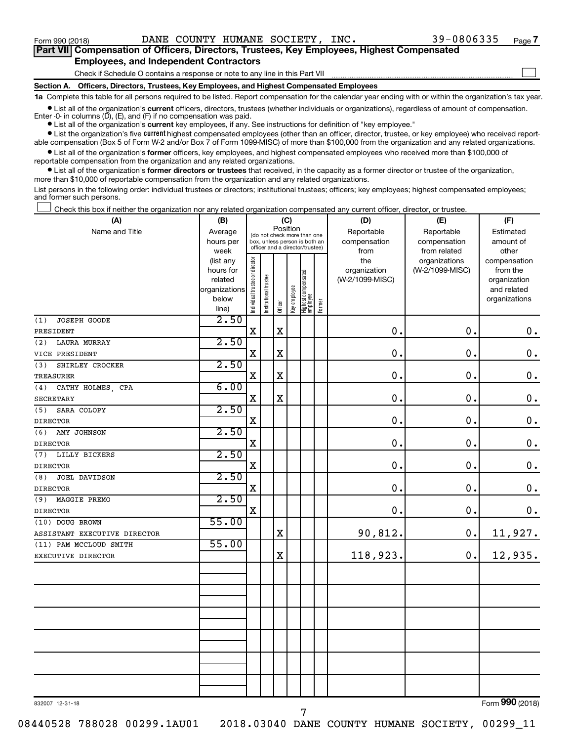$\Box$ 

| Part VII Compensation of Officers, Directors, Trustees, Key Employees, Highest Compensated |
|--------------------------------------------------------------------------------------------|
| <b>Employees, and Independent Contractors</b>                                              |

Check if Schedule O contains a response or note to any line in this Part VII

**Section A. Officers, Directors, Trustees, Key Employees, and Highest Compensated Employees**

**1a**  Complete this table for all persons required to be listed. Report compensation for the calendar year ending with or within the organization's tax year.

**•** List all of the organization's current officers, directors, trustees (whether individuals or organizations), regardless of amount of compensation. Enter -0- in columns  $(D)$ ,  $(E)$ , and  $(F)$  if no compensation was paid.

**•** List all of the organization's **current** key employees, if any. See instructions for definition of "key employee."

**•** List the organization's five current highest compensated employees (other than an officer, director, trustee, or key employee) who received reportable compensation (Box 5 of Form W-2 and/or Box 7 of Form 1099-MISC) of more than \$100,000 from the organization and any related organizations.

**•** List all of the organization's former officers, key employees, and highest compensated employees who received more than \$100,000 of reportable compensation from the organization and any related organizations.

**•** List all of the organization's former directors or trustees that received, in the capacity as a former director or trustee of the organization, more than \$10,000 of reportable compensation from the organization and any related organizations.

List persons in the following order: individual trustees or directors; institutional trustees; officers; key employees; highest compensated employees; and former such persons.

Check this box if neither the organization nor any related organization compensated any current officer, director, or trustee.  $\Box$ 

| (A)                          | (B)                  |                                |                                                                  | (C)         |              |                                 |        | (D)                             | (E)             | (F)                      |
|------------------------------|----------------------|--------------------------------|------------------------------------------------------------------|-------------|--------------|---------------------------------|--------|---------------------------------|-----------------|--------------------------|
| Name and Title               | Average              |                                | (do not check more than one                                      |             | Position     |                                 |        | Reportable                      | Reportable      | Estimated                |
|                              | hours per            |                                | box, unless person is both an<br>officer and a director/trustee) |             |              |                                 |        | compensation                    | compensation    | amount of                |
|                              | week                 |                                |                                                                  |             |              |                                 |        | from                            | from related    | other                    |
|                              | (list any            |                                |                                                                  |             |              |                                 |        | the                             | organizations   | compensation             |
|                              | hours for<br>related |                                |                                                                  |             |              |                                 |        | organization<br>(W-2/1099-MISC) | (W-2/1099-MISC) | from the<br>organization |
|                              | organizations        |                                |                                                                  |             |              |                                 |        |                                 |                 | and related              |
|                              | below                |                                |                                                                  |             |              |                                 |        |                                 |                 | organizations            |
|                              | line)                | Individual trustee or director | Institutional trustee                                            | Officer     | Key employee | Highest compensated<br>employee | Former |                                 |                 |                          |
| JOSEPH GOODE<br>(1)          | 2.50                 |                                |                                                                  |             |              |                                 |        |                                 |                 |                          |
| PRESIDENT                    |                      | $\mathbf X$                    |                                                                  | $\mathbf X$ |              |                                 |        | $\mathbf 0$ .                   | 0.              | $\mathbf 0$ .            |
| LAURA MURRAY<br>(2)          | 2.50                 |                                |                                                                  |             |              |                                 |        |                                 |                 |                          |
| VICE PRESIDENT               |                      | X                              |                                                                  | $\mathbf X$ |              |                                 |        | $\mathbf 0$ .                   | $\mathbf 0$ .   | $\mathbf 0$ .            |
| SHIRLEY CROCKER<br>(3)       | 2.50                 |                                |                                                                  |             |              |                                 |        |                                 |                 |                          |
| <b>TREASURER</b>             |                      | $\mathbf X$                    |                                                                  | $\mathbf X$ |              |                                 |        | $\mathbf 0$ .                   | 0.              | $\boldsymbol{0}$ .       |
| CATHY HOLMES, CPA<br>(4)     | 6.00                 |                                |                                                                  |             |              |                                 |        |                                 |                 |                          |
| <b>SECRETARY</b>             |                      | $\mathbf X$                    |                                                                  | $\mathbf X$ |              |                                 |        | 0.                              | 0.              | $\boldsymbol{0}$ .       |
| (5)<br>SARA COLOPY           | 2.50                 |                                |                                                                  |             |              |                                 |        |                                 |                 |                          |
| <b>DIRECTOR</b>              |                      | X                              |                                                                  |             |              |                                 |        | $\mathbf 0$ .                   | 0.              | $\mathbf 0$ .            |
| (6)<br>AMY JOHNSON           | 2.50                 |                                |                                                                  |             |              |                                 |        |                                 |                 |                          |
| <b>DIRECTOR</b>              |                      | X                              |                                                                  |             |              |                                 |        | 0.                              | $\mathbf 0$ .   | $\mathbf 0$ .            |
| LILLY BICKERS<br>(7)         | 2.50                 |                                |                                                                  |             |              |                                 |        |                                 |                 |                          |
| <b>DIRECTOR</b>              |                      | X                              |                                                                  |             |              |                                 |        | $\mathbf 0$ .                   | 0.              | $\mathbf 0$ .            |
| (8)<br>JOEL DAVIDSON         | 2.50                 |                                |                                                                  |             |              |                                 |        |                                 |                 |                          |
| <b>DIRECTOR</b>              |                      | X                              |                                                                  |             |              |                                 |        | $\mathbf 0$ .                   | $\mathbf 0$ .   | $\mathbf 0$ .            |
| (9)<br>MAGGIE PREMO          | 2.50                 |                                |                                                                  |             |              |                                 |        |                                 |                 |                          |
| <b>DIRECTOR</b>              |                      | X                              |                                                                  |             |              |                                 |        | $\mathbf 0$ .                   | 0.              | 0.                       |
| (10) DOUG BROWN              | 55.00                |                                |                                                                  |             |              |                                 |        |                                 |                 |                          |
| ASSISTANT EXECUTIVE DIRECTOR |                      |                                |                                                                  | $\mathbf X$ |              |                                 |        | 90,812.                         | 0.              | 11,927.                  |
| (11) PAM MCCLOUD SMITH       | 55.00                |                                |                                                                  |             |              |                                 |        |                                 |                 |                          |
| EXECUTIVE DIRECTOR           |                      |                                |                                                                  | X           |              |                                 |        | 118,923.                        | 0.              | 12,935.                  |
|                              |                      |                                |                                                                  |             |              |                                 |        |                                 |                 |                          |
|                              |                      |                                |                                                                  |             |              |                                 |        |                                 |                 |                          |
|                              |                      |                                |                                                                  |             |              |                                 |        |                                 |                 |                          |
|                              |                      |                                |                                                                  |             |              |                                 |        |                                 |                 |                          |
|                              |                      |                                |                                                                  |             |              |                                 |        |                                 |                 |                          |
|                              |                      |                                |                                                                  |             |              |                                 |        |                                 |                 |                          |
|                              |                      |                                |                                                                  |             |              |                                 |        |                                 |                 |                          |
|                              |                      |                                |                                                                  |             |              |                                 |        |                                 |                 |                          |
|                              |                      |                                |                                                                  |             |              |                                 |        |                                 |                 |                          |
|                              |                      |                                |                                                                  |             |              |                                 |        |                                 |                 |                          |
|                              |                      |                                |                                                                  |             |              |                                 |        |                                 |                 |                          |
|                              |                      |                                |                                                                  |             |              |                                 |        |                                 |                 |                          |

832007 12-31-18

08440528 788028 00299.1AU01 2018.03040 DANE COUNTY HUMANE SOCIETY, 00299\_11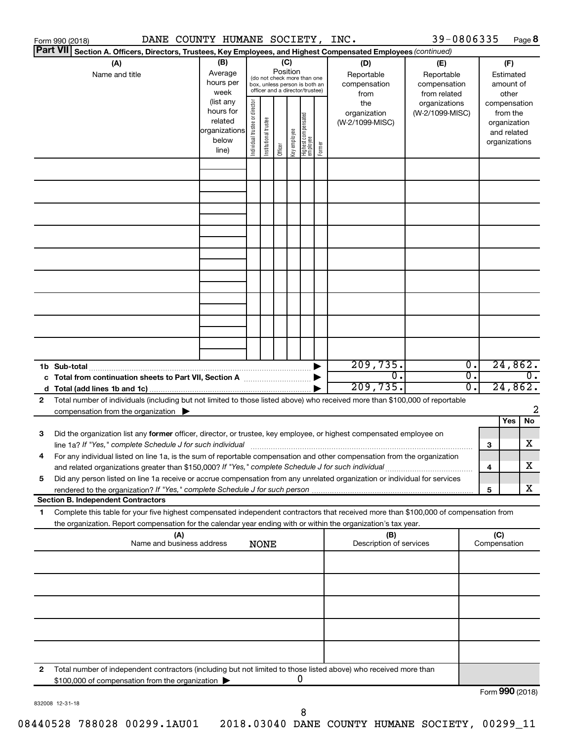|                 | DANE COUNTY HUMANE SOCIETY, INC.<br>Form 990 (2018)                                                                                  |               |                                |                       |          |              |                                                              |        |                         | 39-0806335      |                  |                 |               | Page 8           |
|-----------------|--------------------------------------------------------------------------------------------------------------------------------------|---------------|--------------------------------|-----------------------|----------|--------------|--------------------------------------------------------------|--------|-------------------------|-----------------|------------------|-----------------|---------------|------------------|
| <b>Part VII</b> | Section A. Officers, Directors, Trustees, Key Employees, and Highest Compensated Employees (continued)                               |               |                                |                       |          |              |                                                              |        |                         |                 |                  |                 |               |                  |
|                 | (A)                                                                                                                                  | (B)           |                                |                       |          | (C)          |                                                              |        | (D)                     | (E)             |                  |                 | (F)           |                  |
|                 | Name and title                                                                                                                       | Average       |                                |                       | Position |              |                                                              |        | Reportable              | Reportable      |                  |                 | Estimated     |                  |
|                 |                                                                                                                                      | hours per     |                                |                       |          |              | (do not check more than one<br>box, unless person is both an |        | compensation            | compensation    |                  |                 | amount of     |                  |
|                 |                                                                                                                                      | week          |                                |                       |          |              | officer and a director/trustee)                              |        | from                    | from related    |                  |                 | other         |                  |
|                 |                                                                                                                                      | (list any     |                                |                       |          |              |                                                              |        | the                     | organizations   |                  |                 | compensation  |                  |
|                 |                                                                                                                                      | hours for     |                                |                       |          |              |                                                              |        | organization            | (W-2/1099-MISC) |                  |                 | from the      |                  |
|                 |                                                                                                                                      | related       |                                |                       |          |              |                                                              |        | (W-2/1099-MISC)         |                 |                  |                 | organization  |                  |
|                 |                                                                                                                                      | organizations |                                |                       |          |              |                                                              |        |                         |                 |                  |                 | and related   |                  |
|                 |                                                                                                                                      | below         | Individual trustee or director | Institutional trustee |          | Key employee | Highest compensated<br>  employee                            | Former |                         |                 |                  |                 | organizations |                  |
|                 |                                                                                                                                      | line)         |                                |                       | Officer  |              |                                                              |        |                         |                 |                  |                 |               |                  |
|                 |                                                                                                                                      |               |                                |                       |          |              |                                                              |        |                         |                 |                  |                 |               |                  |
|                 |                                                                                                                                      |               |                                |                       |          |              |                                                              |        |                         |                 |                  |                 |               |                  |
|                 |                                                                                                                                      |               |                                |                       |          |              |                                                              |        |                         |                 |                  |                 |               |                  |
|                 |                                                                                                                                      |               |                                |                       |          |              |                                                              |        |                         |                 |                  |                 |               |                  |
|                 |                                                                                                                                      |               |                                |                       |          |              |                                                              |        |                         |                 |                  |                 |               |                  |
|                 |                                                                                                                                      |               |                                |                       |          |              |                                                              |        |                         |                 |                  |                 |               |                  |
|                 |                                                                                                                                      |               |                                |                       |          |              |                                                              |        |                         |                 |                  |                 |               |                  |
|                 |                                                                                                                                      |               |                                |                       |          |              |                                                              |        |                         |                 |                  |                 |               |                  |
|                 |                                                                                                                                      |               |                                |                       |          |              |                                                              |        |                         |                 |                  |                 |               |                  |
|                 |                                                                                                                                      |               |                                |                       |          |              |                                                              |        |                         |                 |                  |                 |               |                  |
|                 |                                                                                                                                      |               |                                |                       |          |              |                                                              |        |                         |                 |                  |                 |               |                  |
|                 |                                                                                                                                      |               |                                |                       |          |              |                                                              |        |                         |                 |                  |                 |               |                  |
|                 |                                                                                                                                      |               |                                |                       |          |              |                                                              |        |                         |                 |                  |                 |               |                  |
|                 |                                                                                                                                      |               |                                |                       |          |              |                                                              |        |                         |                 |                  |                 |               |                  |
|                 |                                                                                                                                      |               |                                |                       |          |              |                                                              |        |                         |                 |                  |                 |               |                  |
|                 |                                                                                                                                      |               |                                |                       |          |              |                                                              |        |                         |                 |                  |                 |               |                  |
|                 |                                                                                                                                      |               |                                |                       |          |              |                                                              |        |                         |                 |                  |                 |               |                  |
|                 |                                                                                                                                      |               |                                |                       |          |              |                                                              |        |                         |                 |                  |                 |               |                  |
|                 | 1b Sub-total                                                                                                                         |               |                                |                       |          |              |                                                              |        | 209,735.                |                 | Ο.               |                 | 24,862.       |                  |
|                 |                                                                                                                                      |               |                                |                       |          |              |                                                              |        | $\overline{0}$ .        |                 | $\overline{0}$ . |                 |               | $\overline{0}$ . |
|                 |                                                                                                                                      |               |                                |                       |          |              |                                                              |        | 209,735.                |                 | 0.               |                 | 24,862.       |                  |
| 2               | Total number of individuals (including but not limited to those listed above) who received more than \$100,000 of reportable         |               |                                |                       |          |              |                                                              |        |                         |                 |                  |                 |               |                  |
|                 | compensation from the organization $\blacktriangleright$                                                                             |               |                                |                       |          |              |                                                              |        |                         |                 |                  |                 |               | 2                |
|                 |                                                                                                                                      |               |                                |                       |          |              |                                                              |        |                         |                 |                  |                 | Yes           | No               |
| 3               | Did the organization list any former officer, director, or trustee, key employee, or highest compensated employee on                 |               |                                |                       |          |              |                                                              |        |                         |                 |                  |                 |               |                  |
|                 |                                                                                                                                      |               |                                |                       |          |              |                                                              |        |                         |                 |                  | 3               |               | х                |
|                 | For any individual listed on line 1a, is the sum of reportable compensation and other compensation from the organization             |               |                                |                       |          |              |                                                              |        |                         |                 |                  |                 |               |                  |
|                 | and related organizations greater than \$150,000? If "Yes," complete Schedule J for such individual                                  |               |                                |                       |          |              |                                                              |        |                         |                 |                  | 4               |               | х                |
| 5               | Did any person listed on line 1a receive or accrue compensation from any unrelated organization or individual for services           |               |                                |                       |          |              |                                                              |        |                         |                 |                  |                 |               |                  |
|                 |                                                                                                                                      |               |                                |                       |          |              |                                                              |        |                         |                 |                  | 5               |               | х                |
|                 | <b>Section B. Independent Contractors</b>                                                                                            |               |                                |                       |          |              |                                                              |        |                         |                 |                  |                 |               |                  |
| 1.              | Complete this table for your five highest compensated independent contractors that received more than \$100,000 of compensation from |               |                                |                       |          |              |                                                              |        |                         |                 |                  |                 |               |                  |
|                 | the organization. Report compensation for the calendar year ending with or within the organization's tax year.                       |               |                                |                       |          |              |                                                              |        |                         |                 |                  |                 |               |                  |
|                 | (A)                                                                                                                                  |               |                                |                       |          |              |                                                              |        | (B)                     |                 |                  | (C)             |               |                  |
|                 | Name and business address                                                                                                            |               |                                | <b>NONE</b>           |          |              |                                                              |        | Description of services |                 |                  | Compensation    |               |                  |
|                 |                                                                                                                                      |               |                                |                       |          |              |                                                              |        |                         |                 |                  |                 |               |                  |
|                 |                                                                                                                                      |               |                                |                       |          |              |                                                              |        |                         |                 |                  |                 |               |                  |
|                 |                                                                                                                                      |               |                                |                       |          |              |                                                              |        |                         |                 |                  |                 |               |                  |
|                 |                                                                                                                                      |               |                                |                       |          |              |                                                              |        |                         |                 |                  |                 |               |                  |
|                 |                                                                                                                                      |               |                                |                       |          |              |                                                              |        |                         |                 |                  |                 |               |                  |
|                 |                                                                                                                                      |               |                                |                       |          |              |                                                              |        |                         |                 |                  |                 |               |                  |
|                 |                                                                                                                                      |               |                                |                       |          |              |                                                              |        |                         |                 |                  |                 |               |                  |
|                 |                                                                                                                                      |               |                                |                       |          |              |                                                              |        |                         |                 |                  |                 |               |                  |
|                 |                                                                                                                                      |               |                                |                       |          |              |                                                              |        |                         |                 |                  |                 |               |                  |
|                 |                                                                                                                                      |               |                                |                       |          |              |                                                              |        |                         |                 |                  |                 |               |                  |
| 2               | Total number of independent contractors (including but not limited to those listed above) who received more than                     |               |                                |                       |          |              |                                                              |        |                         |                 |                  |                 |               |                  |
|                 | \$100,000 of compensation from the organization                                                                                      |               |                                |                       |          |              | 0                                                            |        |                         |                 |                  |                 |               |                  |
|                 |                                                                                                                                      |               |                                |                       |          |              |                                                              |        |                         |                 |                  | Form 990 (2018) |               |                  |

832008 12-31-18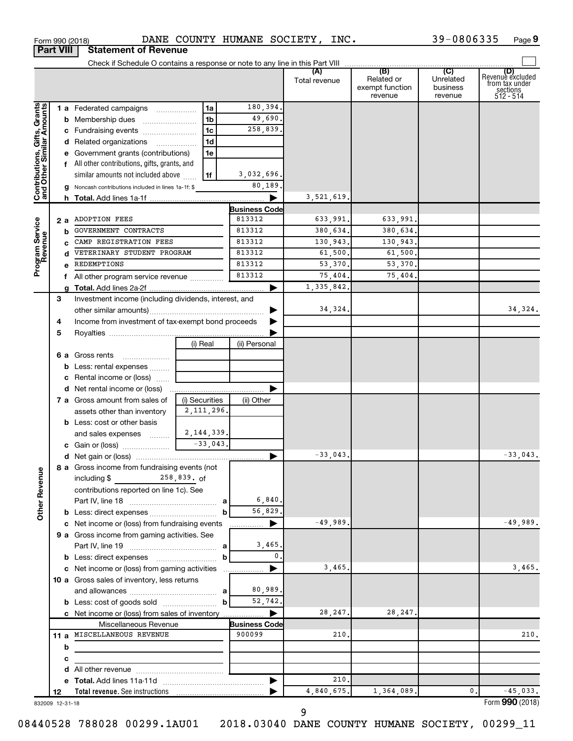|                              |    |                                                                         |                |                       | Total revenue | (B)<br>Related or<br>exempt function<br>revenue | (C)<br>Unrelated<br>business<br>revenue | (D)<br>Revenue excluded<br>from tax under<br>sections<br>512 - 514 |
|------------------------------|----|-------------------------------------------------------------------------|----------------|-----------------------|---------------|-------------------------------------------------|-----------------------------------------|--------------------------------------------------------------------|
|                              |    | 1 a Federated campaigns                                                 | 1a             | 180,394.              |               |                                                 |                                         |                                                                    |
|                              |    | <b>b</b> Membership dues                                                | 1 <sub>b</sub> | 49,690.               |               |                                                 |                                         |                                                                    |
|                              |    |                                                                         | 1 <sub>c</sub> | 258,839.              |               |                                                 |                                         |                                                                    |
|                              |    | d Related organizations                                                 | 1 <sub>d</sub> |                       |               |                                                 |                                         |                                                                    |
|                              |    | e Government grants (contributions)                                     | 1e             |                       |               |                                                 |                                         |                                                                    |
|                              |    | f All other contributions, gifts, grants, and                           |                |                       |               |                                                 |                                         |                                                                    |
|                              |    | similar amounts not included above                                      | 1f             | 3,032,696.            |               |                                                 |                                         |                                                                    |
|                              |    | g Noncash contributions included in lines 1a-1f: \$                     |                | 80,189                |               |                                                 |                                         |                                                                    |
| Contributions, Gifts, Grants |    |                                                                         |                | ▶                     | 3,521,619.    |                                                 |                                         |                                                                    |
|                              |    |                                                                         |                | <b>Business Code</b>  |               |                                                 |                                         |                                                                    |
|                              |    | 2 a ADOPTION FEES                                                       |                | 813312                | 633,991.      | 633,991.                                        |                                         |                                                                    |
| Program Service<br>Revenue   | b  | GOVERNMENT CONTRACTS                                                    |                | 813312                | 380,634.      | 380,634.                                        |                                         |                                                                    |
|                              |    | CAMP REGISTRATION FEES                                                  |                | 813312                | 130,943.      | 130,943.                                        |                                         |                                                                    |
|                              | d  | VETERINARY STUDENT PROGRAM                                              |                | 813312                | 61,500.       | 61,500.                                         |                                         |                                                                    |
|                              | e  | REDEMPTIONS                                                             |                | 813312                | 53,370.       | 53,370.                                         |                                         |                                                                    |
|                              |    | f All other program service revenue                                     |                | 813312                | 75,404.       | 75,404.                                         |                                         |                                                                    |
|                              |    |                                                                         |                | ▶                     | 1,335,842.    |                                                 |                                         |                                                                    |
|                              | 3  | Investment income (including dividends, interest, and                   |                |                       |               |                                                 |                                         |                                                                    |
|                              |    |                                                                         |                |                       | 34,324.       |                                                 |                                         | 34,324.                                                            |
|                              | 4  | Income from investment of tax-exempt bond proceeds                      |                |                       |               |                                                 |                                         |                                                                    |
|                              | 5  |                                                                         |                |                       |               |                                                 |                                         |                                                                    |
|                              |    |                                                                         | (i) Real       | (ii) Personal         |               |                                                 |                                         |                                                                    |
|                              |    | <b>6 a</b> Gross rents                                                  |                |                       |               |                                                 |                                         |                                                                    |
|                              |    | <b>b</b> Less: rental expenses                                          |                |                       |               |                                                 |                                         |                                                                    |
|                              |    | c Rental income or (loss)                                               |                |                       |               |                                                 |                                         |                                                                    |
|                              |    |                                                                         |                |                       |               |                                                 |                                         |                                                                    |
|                              |    | 7 a Gross amount from sales of                                          | (i) Securities | (ii) Other            |               |                                                 |                                         |                                                                    |
|                              |    | assets other than inventory                                             | 2, 111, 296.   |                       |               |                                                 |                                         |                                                                    |
|                              |    | <b>b</b> Less: cost or other basis                                      |                |                       |               |                                                 |                                         |                                                                    |
|                              |    | and sales expenses                                                      | 2,144,339.     |                       |               |                                                 |                                         |                                                                    |
|                              |    |                                                                         | $-33,043$      |                       |               |                                                 |                                         |                                                                    |
|                              |    |                                                                         |                | ▶                     | $-33,043.$    |                                                 |                                         | $-33,043.$                                                         |
| ٩                            |    | 8 a Gross income from fundraising events (not                           |                |                       |               |                                                 |                                         |                                                                    |
|                              |    | including $\frac{258,839}{100}$ . of                                    |                |                       |               |                                                 |                                         |                                                                    |
|                              |    | contributions reported on line 1c). See                                 |                |                       |               |                                                 |                                         |                                                                    |
| Other Reven                  |    |                                                                         |                | 6,840.                |               |                                                 |                                         |                                                                    |
|                              |    | <b>b</b> Less: direct expenses                                          | b              | 56,829.               |               |                                                 |                                         |                                                                    |
|                              |    | c Net income or (loss) from fundraising events                          |                | ▶                     | $-49,989.$    |                                                 |                                         | $-49,989.$                                                         |
|                              |    | 9 a Gross income from gaming activities. See                            |                |                       |               |                                                 |                                         |                                                                    |
|                              |    |                                                                         |                | 3,465.                |               |                                                 |                                         |                                                                    |
|                              |    |                                                                         | b              | 0.                    |               |                                                 |                                         |                                                                    |
|                              |    | c Net income or (loss) from gaming activities                           |                | $\blacktriangleright$ | 3,465.        |                                                 |                                         | 3,465.                                                             |
|                              |    | 10 a Gross sales of inventory, less returns                             |                | 80,989.               |               |                                                 |                                         |                                                                    |
|                              |    |                                                                         |                | 52,742.               |               |                                                 |                                         |                                                                    |
|                              |    |                                                                         | $\mathbf b$    | ▶                     | 28, 247.      | 28, 247.                                        |                                         |                                                                    |
|                              |    | c Net income or (loss) from sales of inventory<br>Miscellaneous Revenue |                | <b>Business Code</b>  |               |                                                 |                                         |                                                                    |
|                              |    | 11 a MISCELLANEOUS REVENUE                                              |                | 900099                | 210.          |                                                 |                                         | 210.                                                               |
|                              | b  |                                                                         |                |                       |               |                                                 |                                         |                                                                    |
|                              | с  |                                                                         |                |                       |               |                                                 |                                         |                                                                    |
|                              |    |                                                                         |                |                       |               |                                                 |                                         |                                                                    |
|                              |    |                                                                         |                | ▶                     | 210.          |                                                 |                                         |                                                                    |
|                              | 12 |                                                                         |                |                       | 4,840,675.    | 1,364,089.                                      |                                         | 0.<br>$-45,033.$                                                   |
|                              |    |                                                                         |                |                       |               |                                                 |                                         | $000 \text{ hours}$                                                |

832009 12-31-18

08440528 788028 00299.1AU01 2018.03040 DANE COUNTY HUMANE SOCIETY, 00299\_11

**Part VIII Statement of Revenue**

Form (2018) **990**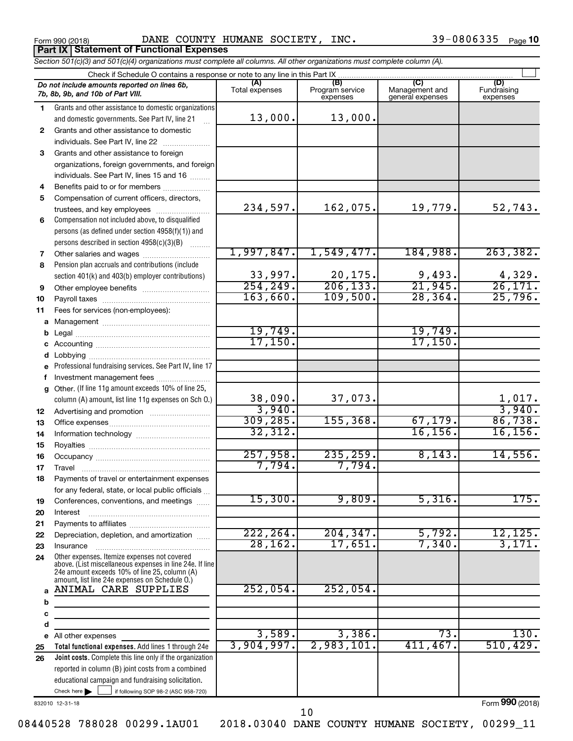Form 990 (2018) Page DANE COUNTY HUMANE SOCIETY, INC. 39-0806335 **Part IX Statement of Functional Expenses**

39-0806335 <sub>Page</sub> 10

Check here  $\begin{array}{c} \begin{array}{|c} \hline \end{array} \end{array}$  if following SOP 98-2 (ASC 958-720) **Total functional expenses.**  Add lines 1 through 24e **Joint costs.** Complete this line only if the organization **(A) (B) (C) (D)** Fundraising **1 2 3** Grants and other assistance to foreign **4 5 6 7 8 9 10 11 a** Management ~~~~~~~~~~~~~~~~ **b c d e f g 12 13 14 15 16 17 18 19 20 21 22 23 24 a b c d e 25 26** *Section 501(c)(3) and 501(c)(4) organizations must complete all columns. All other organizations must complete column (A).* Grants and other assistance to domestic organizations and domestic governments. See Part IV, line 21 Compensation not included above, to disqualified persons (as defined under section 4958(f)(1)) and persons described in section  $4958(c)(3)(B)$   $\ldots$ Pension plan accruals and contributions (include section 401(k) and 403(b) employer contributions) Professional fundraising services. See Part IV, line 17 Other. (If line 11g amount exceeds 10% of line 25, column (A) amount, list line 11g expenses on Sch O.) Other expenses. Itemize expenses not covered above. (List miscellaneous expenses in line 24e. If line 24e amount exceeds 10% of line 25, column (A) amount, list line 24e expenses on Schedule O.) reported in column (B) joint costs from a combined educational campaign and fundraising solicitation. Check if Schedule O contains a response or note to any line in this Part IX Total expenses Program service expenses Management and general expenses expenses .<br>... Grants and other assistance to domestic  $individuals. See Part IV, line 22$  ............ organizations, foreign governments, and foreign individuals. See Part IV, lines 15 and 16  $\ldots$ Benefits paid to or for members .................... Compensation of current officers, directors, trustees, and key employees ........................ Other salaries and wages ~~~~~~~~~~ Other employee benefits ~~~~~~~~~~ Payroll taxes ~~~~~~~~~~~~~~~~ Fees for services (non-employees): Legal ~~~~~~~~~~~~~~~~~~~~ Accounting ~~~~~~~~~~~~~~~~~ Lobbying ~~~~~~~~~~~~~~~~~~ Investment management fees ....................... Advertising and promotion ........................... Office expenses ~~~~~~~~~~~~~~~ Information technology ~~~~~~~~~~~ Royalties ~~~~~~~~~~~~~~~~~~ Occupancy ~~~~~~~~~~~~~~~~~ Travel ……………………………………………………… Payments of travel or entertainment expenses for any federal, state, or local public officials ... Conferences, conventions, and meetings Interest ~~~~~~~~~~~~~~~~~~ Payments to affiliates ~~~~~~~~~~~~ Depreciation, depletion, and amortization ...... Insurance ~~~~~~~~~~~~~~~~~ All other expenses Check here | *Do not include amounts reported on lines 6b, 7b, 8b, 9b, and 10b of Part VIII.*  $\Box$ 13,000. 13,000. 234,597. 162,075. 19,779. 52,743. 1,997,847. 1,549,477. 184,988. 263,382. 33,997. 20,175. 9,493. 4,329.<br>254,249. 206,133. 21,945. 26,171. 206,133. 21,945. 26,171. 163,660. 109,500. 28,364. 25,796. 19,749. 19,749. 17,150. 17,150. 38,090. 37,073. 1,017. 3,940. 3,940. 309,285. 155,368. 67,179. 86,738. 32,312. 16,156. 16,156. 257,958. 235,259. 8,143. 14,556. 7,794. 7,794. 15,300. 9,809. 5,316. 175. 222,264. 204,347. 5,792. 12,125. 28,162. 17,651. 7,340. 3,171. ANIMAL CARE SUPPLIES 252,054. 252,054. 3,589. 3,386. 73. 130. 3,904,997. 2,983,101. 411,467. 510,429.

832010 12-31-18

Form (2018) **990**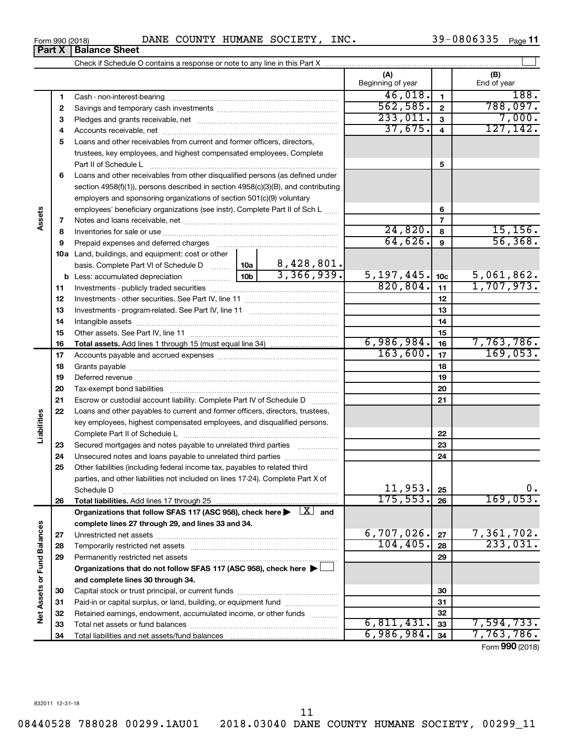| Form 990 (2018) |                               | DANE COUNTY | T HUMANE SOCIETY, | INC. | 39-0806335 | Page 11 |
|-----------------|-------------------------------|-------------|-------------------|------|------------|---------|
|                 | <b>Part X   Balance Sheet</b> |             |                   |      |            |         |

| (A)<br>(B)<br>Beginning of year<br>End of year<br>46,018.<br>188.<br>$\mathbf{1}$<br>1<br>562,585.<br>788,097.<br>$\mathbf{2}$<br>2<br>233,011.<br>7,000.<br>$\mathbf{3}$<br>3<br>127, 142.<br>37,675.<br>$\overline{4}$<br>4<br>Loans and other receivables from current and former officers, directors,<br>5<br>trustees, key employees, and highest compensated employees. Complete<br>5<br>Loans and other receivables from other disqualified persons (as defined under<br>6<br>section 4958(f)(1)), persons described in section 4958(c)(3)(B), and contributing<br>employers and sponsoring organizations of section 501(c)(9) voluntary<br>6<br>employees' beneficiary organizations (see instr). Complete Part II of Sch L<br>Assets<br>$\overline{7}$<br>7<br>24,820.<br>15, 156.<br>8<br>8<br>64,626.<br>56,368.<br>9<br>Prepaid expenses and deferred charges<br>9<br><b>10a</b> Land, buildings, and equipment: cost or other<br>8,428,801.<br>basis. Complete Part VI of Schedule D  10a<br>3,366,939.<br>5, 197, 445.<br>5,061,862.<br>10 <sub>b</sub><br>10 <sub>c</sub><br>820, 804.<br>1,707,973.<br>11<br>11<br>12<br>12<br>13<br>13<br>14<br>14<br>15<br>15<br>6,986,984.<br>7,763,786.<br>16<br>16<br>163,600.<br>169,053.<br>17<br>17<br>18<br>18<br>19<br>19<br>20<br>20<br>Escrow or custodial account liability. Complete Part IV of Schedule D<br>21<br>21<br>22<br>Loans and other payables to current and former officers, directors, trustees,<br>Liabilities<br>key employees, highest compensated employees, and disqualified persons.<br>22<br>23<br>Secured mortgages and notes payable to unrelated third parties<br>23<br>24<br>24<br>Unsecured notes and loans payable to unrelated third parties<br>25<br>Other liabilities (including federal income tax, payables to related third<br>parties, and other liabilities not included on lines 17-24). Complete Part X of<br>11,953.<br>0.<br>25<br>Schedule D<br>175, 553.<br>169,053.<br>26<br>26<br>Organizations that follow SFAS 117 (ASC 958), check here $\blacktriangleright \begin{array}{c} \boxed{X} \end{array}$ and<br>complete lines 27 through 29, and lines 33 and 34.<br>Net Assets or Fund Balances<br>6,707,026.<br>7,361,702.<br>27<br>27<br>233,031.<br>104, 405.<br>28<br>28<br>29<br>Permanently restricted net assets<br>29<br>Organizations that do not follow SFAS 117 (ASC 958), check here ▶<br>and complete lines 30 through 34.<br>30<br>30<br>Paid-in or capital surplus, or land, building, or equipment fund<br>31<br>31<br>32<br>Retained earnings, endowment, accumulated income, or other funds<br>32<br>6,811,431.<br>7,594,733.<br>33<br>33<br>6,986,984.<br>7,763,786.<br>34<br>34 |  |  |  |  |  |  |
|--------------------------------------------------------------------------------------------------------------------------------------------------------------------------------------------------------------------------------------------------------------------------------------------------------------------------------------------------------------------------------------------------------------------------------------------------------------------------------------------------------------------------------------------------------------------------------------------------------------------------------------------------------------------------------------------------------------------------------------------------------------------------------------------------------------------------------------------------------------------------------------------------------------------------------------------------------------------------------------------------------------------------------------------------------------------------------------------------------------------------------------------------------------------------------------------------------------------------------------------------------------------------------------------------------------------------------------------------------------------------------------------------------------------------------------------------------------------------------------------------------------------------------------------------------------------------------------------------------------------------------------------------------------------------------------------------------------------------------------------------------------------------------------------------------------------------------------------------------------------------------------------------------------------------------------------------------------------------------------------------------------------------------------------------------------------------------------------------------------------------------------------------------------------------------------------------------------------------------------------------------------------------------------------------------------------------------------------------------------------------------------------------------------------------------------------------------------------------------------------------------------------------------------------------------------------------------------------------------------------------------------------------------------------------------------------------------------|--|--|--|--|--|--|
|                                                                                                                                                                                                                                                                                                                                                                                                                                                                                                                                                                                                                                                                                                                                                                                                                                                                                                                                                                                                                                                                                                                                                                                                                                                                                                                                                                                                                                                                                                                                                                                                                                                                                                                                                                                                                                                                                                                                                                                                                                                                                                                                                                                                                                                                                                                                                                                                                                                                                                                                                                                                                                                                                                              |  |  |  |  |  |  |
|                                                                                                                                                                                                                                                                                                                                                                                                                                                                                                                                                                                                                                                                                                                                                                                                                                                                                                                                                                                                                                                                                                                                                                                                                                                                                                                                                                                                                                                                                                                                                                                                                                                                                                                                                                                                                                                                                                                                                                                                                                                                                                                                                                                                                                                                                                                                                                                                                                                                                                                                                                                                                                                                                                              |  |  |  |  |  |  |
|                                                                                                                                                                                                                                                                                                                                                                                                                                                                                                                                                                                                                                                                                                                                                                                                                                                                                                                                                                                                                                                                                                                                                                                                                                                                                                                                                                                                                                                                                                                                                                                                                                                                                                                                                                                                                                                                                                                                                                                                                                                                                                                                                                                                                                                                                                                                                                                                                                                                                                                                                                                                                                                                                                              |  |  |  |  |  |  |
|                                                                                                                                                                                                                                                                                                                                                                                                                                                                                                                                                                                                                                                                                                                                                                                                                                                                                                                                                                                                                                                                                                                                                                                                                                                                                                                                                                                                                                                                                                                                                                                                                                                                                                                                                                                                                                                                                                                                                                                                                                                                                                                                                                                                                                                                                                                                                                                                                                                                                                                                                                                                                                                                                                              |  |  |  |  |  |  |
|                                                                                                                                                                                                                                                                                                                                                                                                                                                                                                                                                                                                                                                                                                                                                                                                                                                                                                                                                                                                                                                                                                                                                                                                                                                                                                                                                                                                                                                                                                                                                                                                                                                                                                                                                                                                                                                                                                                                                                                                                                                                                                                                                                                                                                                                                                                                                                                                                                                                                                                                                                                                                                                                                                              |  |  |  |  |  |  |
|                                                                                                                                                                                                                                                                                                                                                                                                                                                                                                                                                                                                                                                                                                                                                                                                                                                                                                                                                                                                                                                                                                                                                                                                                                                                                                                                                                                                                                                                                                                                                                                                                                                                                                                                                                                                                                                                                                                                                                                                                                                                                                                                                                                                                                                                                                                                                                                                                                                                                                                                                                                                                                                                                                              |  |  |  |  |  |  |
|                                                                                                                                                                                                                                                                                                                                                                                                                                                                                                                                                                                                                                                                                                                                                                                                                                                                                                                                                                                                                                                                                                                                                                                                                                                                                                                                                                                                                                                                                                                                                                                                                                                                                                                                                                                                                                                                                                                                                                                                                                                                                                                                                                                                                                                                                                                                                                                                                                                                                                                                                                                                                                                                                                              |  |  |  |  |  |  |
|                                                                                                                                                                                                                                                                                                                                                                                                                                                                                                                                                                                                                                                                                                                                                                                                                                                                                                                                                                                                                                                                                                                                                                                                                                                                                                                                                                                                                                                                                                                                                                                                                                                                                                                                                                                                                                                                                                                                                                                                                                                                                                                                                                                                                                                                                                                                                                                                                                                                                                                                                                                                                                                                                                              |  |  |  |  |  |  |
|                                                                                                                                                                                                                                                                                                                                                                                                                                                                                                                                                                                                                                                                                                                                                                                                                                                                                                                                                                                                                                                                                                                                                                                                                                                                                                                                                                                                                                                                                                                                                                                                                                                                                                                                                                                                                                                                                                                                                                                                                                                                                                                                                                                                                                                                                                                                                                                                                                                                                                                                                                                                                                                                                                              |  |  |  |  |  |  |
|                                                                                                                                                                                                                                                                                                                                                                                                                                                                                                                                                                                                                                                                                                                                                                                                                                                                                                                                                                                                                                                                                                                                                                                                                                                                                                                                                                                                                                                                                                                                                                                                                                                                                                                                                                                                                                                                                                                                                                                                                                                                                                                                                                                                                                                                                                                                                                                                                                                                                                                                                                                                                                                                                                              |  |  |  |  |  |  |
|                                                                                                                                                                                                                                                                                                                                                                                                                                                                                                                                                                                                                                                                                                                                                                                                                                                                                                                                                                                                                                                                                                                                                                                                                                                                                                                                                                                                                                                                                                                                                                                                                                                                                                                                                                                                                                                                                                                                                                                                                                                                                                                                                                                                                                                                                                                                                                                                                                                                                                                                                                                                                                                                                                              |  |  |  |  |  |  |
|                                                                                                                                                                                                                                                                                                                                                                                                                                                                                                                                                                                                                                                                                                                                                                                                                                                                                                                                                                                                                                                                                                                                                                                                                                                                                                                                                                                                                                                                                                                                                                                                                                                                                                                                                                                                                                                                                                                                                                                                                                                                                                                                                                                                                                                                                                                                                                                                                                                                                                                                                                                                                                                                                                              |  |  |  |  |  |  |
|                                                                                                                                                                                                                                                                                                                                                                                                                                                                                                                                                                                                                                                                                                                                                                                                                                                                                                                                                                                                                                                                                                                                                                                                                                                                                                                                                                                                                                                                                                                                                                                                                                                                                                                                                                                                                                                                                                                                                                                                                                                                                                                                                                                                                                                                                                                                                                                                                                                                                                                                                                                                                                                                                                              |  |  |  |  |  |  |
|                                                                                                                                                                                                                                                                                                                                                                                                                                                                                                                                                                                                                                                                                                                                                                                                                                                                                                                                                                                                                                                                                                                                                                                                                                                                                                                                                                                                                                                                                                                                                                                                                                                                                                                                                                                                                                                                                                                                                                                                                                                                                                                                                                                                                                                                                                                                                                                                                                                                                                                                                                                                                                                                                                              |  |  |  |  |  |  |
|                                                                                                                                                                                                                                                                                                                                                                                                                                                                                                                                                                                                                                                                                                                                                                                                                                                                                                                                                                                                                                                                                                                                                                                                                                                                                                                                                                                                                                                                                                                                                                                                                                                                                                                                                                                                                                                                                                                                                                                                                                                                                                                                                                                                                                                                                                                                                                                                                                                                                                                                                                                                                                                                                                              |  |  |  |  |  |  |
|                                                                                                                                                                                                                                                                                                                                                                                                                                                                                                                                                                                                                                                                                                                                                                                                                                                                                                                                                                                                                                                                                                                                                                                                                                                                                                                                                                                                                                                                                                                                                                                                                                                                                                                                                                                                                                                                                                                                                                                                                                                                                                                                                                                                                                                                                                                                                                                                                                                                                                                                                                                                                                                                                                              |  |  |  |  |  |  |
|                                                                                                                                                                                                                                                                                                                                                                                                                                                                                                                                                                                                                                                                                                                                                                                                                                                                                                                                                                                                                                                                                                                                                                                                                                                                                                                                                                                                                                                                                                                                                                                                                                                                                                                                                                                                                                                                                                                                                                                                                                                                                                                                                                                                                                                                                                                                                                                                                                                                                                                                                                                                                                                                                                              |  |  |  |  |  |  |
|                                                                                                                                                                                                                                                                                                                                                                                                                                                                                                                                                                                                                                                                                                                                                                                                                                                                                                                                                                                                                                                                                                                                                                                                                                                                                                                                                                                                                                                                                                                                                                                                                                                                                                                                                                                                                                                                                                                                                                                                                                                                                                                                                                                                                                                                                                                                                                                                                                                                                                                                                                                                                                                                                                              |  |  |  |  |  |  |
|                                                                                                                                                                                                                                                                                                                                                                                                                                                                                                                                                                                                                                                                                                                                                                                                                                                                                                                                                                                                                                                                                                                                                                                                                                                                                                                                                                                                                                                                                                                                                                                                                                                                                                                                                                                                                                                                                                                                                                                                                                                                                                                                                                                                                                                                                                                                                                                                                                                                                                                                                                                                                                                                                                              |  |  |  |  |  |  |
|                                                                                                                                                                                                                                                                                                                                                                                                                                                                                                                                                                                                                                                                                                                                                                                                                                                                                                                                                                                                                                                                                                                                                                                                                                                                                                                                                                                                                                                                                                                                                                                                                                                                                                                                                                                                                                                                                                                                                                                                                                                                                                                                                                                                                                                                                                                                                                                                                                                                                                                                                                                                                                                                                                              |  |  |  |  |  |  |
|                                                                                                                                                                                                                                                                                                                                                                                                                                                                                                                                                                                                                                                                                                                                                                                                                                                                                                                                                                                                                                                                                                                                                                                                                                                                                                                                                                                                                                                                                                                                                                                                                                                                                                                                                                                                                                                                                                                                                                                                                                                                                                                                                                                                                                                                                                                                                                                                                                                                                                                                                                                                                                                                                                              |  |  |  |  |  |  |
|                                                                                                                                                                                                                                                                                                                                                                                                                                                                                                                                                                                                                                                                                                                                                                                                                                                                                                                                                                                                                                                                                                                                                                                                                                                                                                                                                                                                                                                                                                                                                                                                                                                                                                                                                                                                                                                                                                                                                                                                                                                                                                                                                                                                                                                                                                                                                                                                                                                                                                                                                                                                                                                                                                              |  |  |  |  |  |  |
|                                                                                                                                                                                                                                                                                                                                                                                                                                                                                                                                                                                                                                                                                                                                                                                                                                                                                                                                                                                                                                                                                                                                                                                                                                                                                                                                                                                                                                                                                                                                                                                                                                                                                                                                                                                                                                                                                                                                                                                                                                                                                                                                                                                                                                                                                                                                                                                                                                                                                                                                                                                                                                                                                                              |  |  |  |  |  |  |
|                                                                                                                                                                                                                                                                                                                                                                                                                                                                                                                                                                                                                                                                                                                                                                                                                                                                                                                                                                                                                                                                                                                                                                                                                                                                                                                                                                                                                                                                                                                                                                                                                                                                                                                                                                                                                                                                                                                                                                                                                                                                                                                                                                                                                                                                                                                                                                                                                                                                                                                                                                                                                                                                                                              |  |  |  |  |  |  |
|                                                                                                                                                                                                                                                                                                                                                                                                                                                                                                                                                                                                                                                                                                                                                                                                                                                                                                                                                                                                                                                                                                                                                                                                                                                                                                                                                                                                                                                                                                                                                                                                                                                                                                                                                                                                                                                                                                                                                                                                                                                                                                                                                                                                                                                                                                                                                                                                                                                                                                                                                                                                                                                                                                              |  |  |  |  |  |  |
|                                                                                                                                                                                                                                                                                                                                                                                                                                                                                                                                                                                                                                                                                                                                                                                                                                                                                                                                                                                                                                                                                                                                                                                                                                                                                                                                                                                                                                                                                                                                                                                                                                                                                                                                                                                                                                                                                                                                                                                                                                                                                                                                                                                                                                                                                                                                                                                                                                                                                                                                                                                                                                                                                                              |  |  |  |  |  |  |
|                                                                                                                                                                                                                                                                                                                                                                                                                                                                                                                                                                                                                                                                                                                                                                                                                                                                                                                                                                                                                                                                                                                                                                                                                                                                                                                                                                                                                                                                                                                                                                                                                                                                                                                                                                                                                                                                                                                                                                                                                                                                                                                                                                                                                                                                                                                                                                                                                                                                                                                                                                                                                                                                                                              |  |  |  |  |  |  |
|                                                                                                                                                                                                                                                                                                                                                                                                                                                                                                                                                                                                                                                                                                                                                                                                                                                                                                                                                                                                                                                                                                                                                                                                                                                                                                                                                                                                                                                                                                                                                                                                                                                                                                                                                                                                                                                                                                                                                                                                                                                                                                                                                                                                                                                                                                                                                                                                                                                                                                                                                                                                                                                                                                              |  |  |  |  |  |  |
|                                                                                                                                                                                                                                                                                                                                                                                                                                                                                                                                                                                                                                                                                                                                                                                                                                                                                                                                                                                                                                                                                                                                                                                                                                                                                                                                                                                                                                                                                                                                                                                                                                                                                                                                                                                                                                                                                                                                                                                                                                                                                                                                                                                                                                                                                                                                                                                                                                                                                                                                                                                                                                                                                                              |  |  |  |  |  |  |
|                                                                                                                                                                                                                                                                                                                                                                                                                                                                                                                                                                                                                                                                                                                                                                                                                                                                                                                                                                                                                                                                                                                                                                                                                                                                                                                                                                                                                                                                                                                                                                                                                                                                                                                                                                                                                                                                                                                                                                                                                                                                                                                                                                                                                                                                                                                                                                                                                                                                                                                                                                                                                                                                                                              |  |  |  |  |  |  |
|                                                                                                                                                                                                                                                                                                                                                                                                                                                                                                                                                                                                                                                                                                                                                                                                                                                                                                                                                                                                                                                                                                                                                                                                                                                                                                                                                                                                                                                                                                                                                                                                                                                                                                                                                                                                                                                                                                                                                                                                                                                                                                                                                                                                                                                                                                                                                                                                                                                                                                                                                                                                                                                                                                              |  |  |  |  |  |  |
|                                                                                                                                                                                                                                                                                                                                                                                                                                                                                                                                                                                                                                                                                                                                                                                                                                                                                                                                                                                                                                                                                                                                                                                                                                                                                                                                                                                                                                                                                                                                                                                                                                                                                                                                                                                                                                                                                                                                                                                                                                                                                                                                                                                                                                                                                                                                                                                                                                                                                                                                                                                                                                                                                                              |  |  |  |  |  |  |
|                                                                                                                                                                                                                                                                                                                                                                                                                                                                                                                                                                                                                                                                                                                                                                                                                                                                                                                                                                                                                                                                                                                                                                                                                                                                                                                                                                                                                                                                                                                                                                                                                                                                                                                                                                                                                                                                                                                                                                                                                                                                                                                                                                                                                                                                                                                                                                                                                                                                                                                                                                                                                                                                                                              |  |  |  |  |  |  |
|                                                                                                                                                                                                                                                                                                                                                                                                                                                                                                                                                                                                                                                                                                                                                                                                                                                                                                                                                                                                                                                                                                                                                                                                                                                                                                                                                                                                                                                                                                                                                                                                                                                                                                                                                                                                                                                                                                                                                                                                                                                                                                                                                                                                                                                                                                                                                                                                                                                                                                                                                                                                                                                                                                              |  |  |  |  |  |  |
|                                                                                                                                                                                                                                                                                                                                                                                                                                                                                                                                                                                                                                                                                                                                                                                                                                                                                                                                                                                                                                                                                                                                                                                                                                                                                                                                                                                                                                                                                                                                                                                                                                                                                                                                                                                                                                                                                                                                                                                                                                                                                                                                                                                                                                                                                                                                                                                                                                                                                                                                                                                                                                                                                                              |  |  |  |  |  |  |
|                                                                                                                                                                                                                                                                                                                                                                                                                                                                                                                                                                                                                                                                                                                                                                                                                                                                                                                                                                                                                                                                                                                                                                                                                                                                                                                                                                                                                                                                                                                                                                                                                                                                                                                                                                                                                                                                                                                                                                                                                                                                                                                                                                                                                                                                                                                                                                                                                                                                                                                                                                                                                                                                                                              |  |  |  |  |  |  |
|                                                                                                                                                                                                                                                                                                                                                                                                                                                                                                                                                                                                                                                                                                                                                                                                                                                                                                                                                                                                                                                                                                                                                                                                                                                                                                                                                                                                                                                                                                                                                                                                                                                                                                                                                                                                                                                                                                                                                                                                                                                                                                                                                                                                                                                                                                                                                                                                                                                                                                                                                                                                                                                                                                              |  |  |  |  |  |  |
|                                                                                                                                                                                                                                                                                                                                                                                                                                                                                                                                                                                                                                                                                                                                                                                                                                                                                                                                                                                                                                                                                                                                                                                                                                                                                                                                                                                                                                                                                                                                                                                                                                                                                                                                                                                                                                                                                                                                                                                                                                                                                                                                                                                                                                                                                                                                                                                                                                                                                                                                                                                                                                                                                                              |  |  |  |  |  |  |
|                                                                                                                                                                                                                                                                                                                                                                                                                                                                                                                                                                                                                                                                                                                                                                                                                                                                                                                                                                                                                                                                                                                                                                                                                                                                                                                                                                                                                                                                                                                                                                                                                                                                                                                                                                                                                                                                                                                                                                                                                                                                                                                                                                                                                                                                                                                                                                                                                                                                                                                                                                                                                                                                                                              |  |  |  |  |  |  |
|                                                                                                                                                                                                                                                                                                                                                                                                                                                                                                                                                                                                                                                                                                                                                                                                                                                                                                                                                                                                                                                                                                                                                                                                                                                                                                                                                                                                                                                                                                                                                                                                                                                                                                                                                                                                                                                                                                                                                                                                                                                                                                                                                                                                                                                                                                                                                                                                                                                                                                                                                                                                                                                                                                              |  |  |  |  |  |  |
|                                                                                                                                                                                                                                                                                                                                                                                                                                                                                                                                                                                                                                                                                                                                                                                                                                                                                                                                                                                                                                                                                                                                                                                                                                                                                                                                                                                                                                                                                                                                                                                                                                                                                                                                                                                                                                                                                                                                                                                                                                                                                                                                                                                                                                                                                                                                                                                                                                                                                                                                                                                                                                                                                                              |  |  |  |  |  |  |
|                                                                                                                                                                                                                                                                                                                                                                                                                                                                                                                                                                                                                                                                                                                                                                                                                                                                                                                                                                                                                                                                                                                                                                                                                                                                                                                                                                                                                                                                                                                                                                                                                                                                                                                                                                                                                                                                                                                                                                                                                                                                                                                                                                                                                                                                                                                                                                                                                                                                                                                                                                                                                                                                                                              |  |  |  |  |  |  |
|                                                                                                                                                                                                                                                                                                                                                                                                                                                                                                                                                                                                                                                                                                                                                                                                                                                                                                                                                                                                                                                                                                                                                                                                                                                                                                                                                                                                                                                                                                                                                                                                                                                                                                                                                                                                                                                                                                                                                                                                                                                                                                                                                                                                                                                                                                                                                                                                                                                                                                                                                                                                                                                                                                              |  |  |  |  |  |  |
|                                                                                                                                                                                                                                                                                                                                                                                                                                                                                                                                                                                                                                                                                                                                                                                                                                                                                                                                                                                                                                                                                                                                                                                                                                                                                                                                                                                                                                                                                                                                                                                                                                                                                                                                                                                                                                                                                                                                                                                                                                                                                                                                                                                                                                                                                                                                                                                                                                                                                                                                                                                                                                                                                                              |  |  |  |  |  |  |
|                                                                                                                                                                                                                                                                                                                                                                                                                                                                                                                                                                                                                                                                                                                                                                                                                                                                                                                                                                                                                                                                                                                                                                                                                                                                                                                                                                                                                                                                                                                                                                                                                                                                                                                                                                                                                                                                                                                                                                                                                                                                                                                                                                                                                                                                                                                                                                                                                                                                                                                                                                                                                                                                                                              |  |  |  |  |  |  |
|                                                                                                                                                                                                                                                                                                                                                                                                                                                                                                                                                                                                                                                                                                                                                                                                                                                                                                                                                                                                                                                                                                                                                                                                                                                                                                                                                                                                                                                                                                                                                                                                                                                                                                                                                                                                                                                                                                                                                                                                                                                                                                                                                                                                                                                                                                                                                                                                                                                                                                                                                                                                                                                                                                              |  |  |  |  |  |  |
|                                                                                                                                                                                                                                                                                                                                                                                                                                                                                                                                                                                                                                                                                                                                                                                                                                                                                                                                                                                                                                                                                                                                                                                                                                                                                                                                                                                                                                                                                                                                                                                                                                                                                                                                                                                                                                                                                                                                                                                                                                                                                                                                                                                                                                                                                                                                                                                                                                                                                                                                                                                                                                                                                                              |  |  |  |  |  |  |
|                                                                                                                                                                                                                                                                                                                                                                                                                                                                                                                                                                                                                                                                                                                                                                                                                                                                                                                                                                                                                                                                                                                                                                                                                                                                                                                                                                                                                                                                                                                                                                                                                                                                                                                                                                                                                                                                                                                                                                                                                                                                                                                                                                                                                                                                                                                                                                                                                                                                                                                                                                                                                                                                                                              |  |  |  |  |  |  |
|                                                                                                                                                                                                                                                                                                                                                                                                                                                                                                                                                                                                                                                                                                                                                                                                                                                                                                                                                                                                                                                                                                                                                                                                                                                                                                                                                                                                                                                                                                                                                                                                                                                                                                                                                                                                                                                                                                                                                                                                                                                                                                                                                                                                                                                                                                                                                                                                                                                                                                                                                                                                                                                                                                              |  |  |  |  |  |  |
| $000 \times 20$                                                                                                                                                                                                                                                                                                                                                                                                                                                                                                                                                                                                                                                                                                                                                                                                                                                                                                                                                                                                                                                                                                                                                                                                                                                                                                                                                                                                                                                                                                                                                                                                                                                                                                                                                                                                                                                                                                                                                                                                                                                                                                                                                                                                                                                                                                                                                                                                                                                                                                                                                                                                                                                                                              |  |  |  |  |  |  |

Form (2018) **990**

11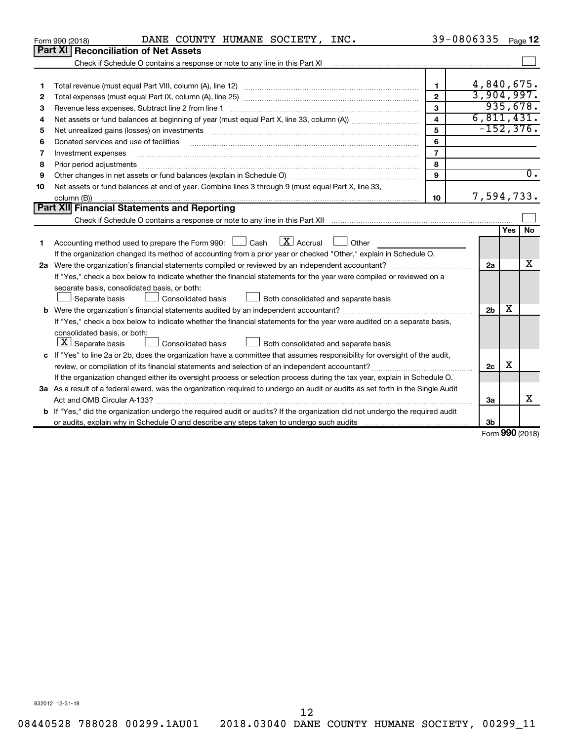|    | DANE COUNTY HUMANE SOCIETY, INC.<br>Form 990 (2018)                                                                                  |                         | 39-0806335     |           | Page 12          |
|----|--------------------------------------------------------------------------------------------------------------------------------------|-------------------------|----------------|-----------|------------------|
|    | <b>Part XI Reconciliation of Net Assets</b>                                                                                          |                         |                |           |                  |
|    |                                                                                                                                      |                         |                |           |                  |
|    |                                                                                                                                      |                         |                |           |                  |
| 1  |                                                                                                                                      | $\mathbf{1}$            | 4,840,675.     |           |                  |
| 2  |                                                                                                                                      | $\overline{2}$          | 3,904,997.     |           |                  |
| 3  |                                                                                                                                      | 3                       |                |           | 935,678.         |
| 4  |                                                                                                                                      | $\overline{\mathbf{4}}$ | 6,811,431.     |           |                  |
| 5  | Net unrealized gains (losses) on investments [111] www.marting.com/marting.com/marting.com/marting.com/marting.                      | 5                       | $-152, 376.$   |           |                  |
| 6  | Donated services and use of facilities                                                                                               | 6                       |                |           |                  |
| 7  | Investment expenses                                                                                                                  | $\overline{7}$          |                |           |                  |
| 8  | Prior period adjustments                                                                                                             | 8                       |                |           |                  |
| 9  |                                                                                                                                      | 9                       |                |           | $\overline{0}$ . |
| 10 | Net assets or fund balances at end of year. Combine lines 3 through 9 (must equal Part X, line 33,                                   |                         |                |           |                  |
|    | column (B))                                                                                                                          | 10                      | 7,594,733.     |           |                  |
|    | <b>Part XII</b> Financial Statements and Reporting                                                                                   |                         |                |           |                  |
|    |                                                                                                                                      |                         |                |           |                  |
| 1  | Accounting method used to prepare the Form 990: $\Box$ Cash $\Box X$ Accrual<br>Other                                                |                         |                | Yes       | No               |
|    | If the organization changed its method of accounting from a prior year or checked "Other," explain in Schedule O.                    |                         |                |           |                  |
|    |                                                                                                                                      |                         | 2a             |           | x                |
|    | If "Yes," check a box below to indicate whether the financial statements for the year were compiled or reviewed on a                 |                         |                |           |                  |
|    | separate basis, consolidated basis, or both:                                                                                         |                         |                |           |                  |
|    | Both consolidated and separate basis<br>Separate basis<br><b>Consolidated basis</b>                                                  |                         |                |           |                  |
|    |                                                                                                                                      |                         | 2 <sub>b</sub> | x         |                  |
|    | If "Yes," check a box below to indicate whether the financial statements for the year were audited on a separate basis,              |                         |                |           |                  |
|    | consolidated basis, or both:                                                                                                         |                         |                |           |                  |
|    | $X$ Separate basis<br>Consolidated basis<br>Both consolidated and separate basis                                                     |                         |                |           |                  |
|    | c If "Yes" to line 2a or 2b, does the organization have a committee that assumes responsibility for oversight of the audit,          |                         |                |           |                  |
|    |                                                                                                                                      |                         | 2c             | х         |                  |
|    | If the organization changed either its oversight process or selection process during the tax year, explain in Schedule O.            |                         |                |           |                  |
|    | 3a As a result of a federal award, was the organization required to undergo an audit or audits as set forth in the Single Audit      |                         |                |           |                  |
|    | Act and OMB Circular A-133?                                                                                                          |                         | 3a             |           | x                |
|    | <b>b</b> If "Yes," did the organization undergo the required audit or audits? If the organization did not undergo the required audit |                         |                |           |                  |
|    |                                                                                                                                      |                         | 3b             |           |                  |
|    |                                                                                                                                      |                         |                | 000(0010) |                  |

Form (2018) **990**

832012 12-31-18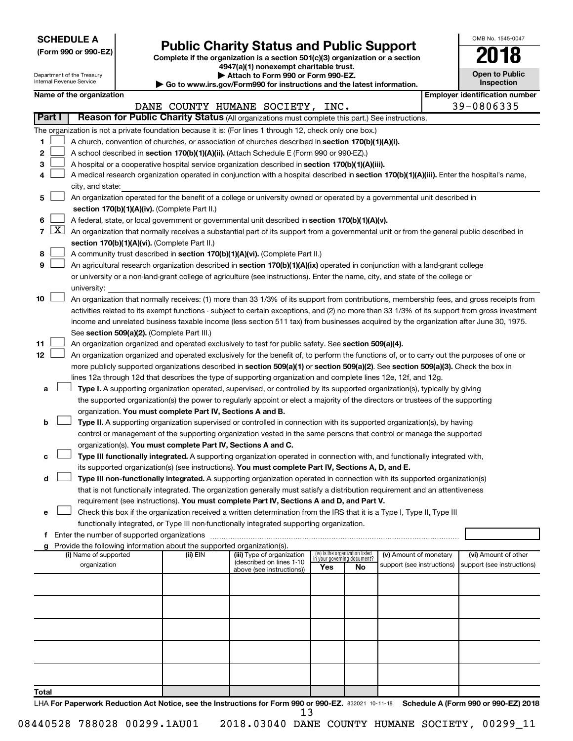| <b>SCHEDULE A</b> |  |
|-------------------|--|
|-------------------|--|

Department of the Treasury Internal Revenue Service

|  |  |  |  |  | (Form 990 or 990-EZ) |  |
|--|--|--|--|--|----------------------|--|
|--|--|--|--|--|----------------------|--|

## Form 990 or 990-EZ)<br>
Complete if the organization is a section 501(c)(3) organization or a section<br> **Public Charity Status and Public Support**

**4947(a)(1) nonexempt charitable trust. | Attach to Form 990 or Form 990-EZ.** 

**| Go to www.irs.gov/Form990 for instructions and the latest information.**

| <b>Open to Public</b><br>Inspection |
|-------------------------------------|
|                                     |

OMB No. 1545-0047

|                |            | Name of the organization                                                                                                                            |          | provide in main eigens enthece for mediations and the rates. Information, |                                 |                                   |                            | <b>Employer identification number</b> |
|----------------|------------|-----------------------------------------------------------------------------------------------------------------------------------------------------|----------|---------------------------------------------------------------------------|---------------------------------|-----------------------------------|----------------------------|---------------------------------------|
|                |            |                                                                                                                                                     |          | DANE COUNTY HUMANE SOCIETY, INC.                                          |                                 |                                   |                            | 39-0806335                            |
| Part I         |            | Reason for Public Charity Status (All organizations must complete this part.) See instructions.                                                     |          |                                                                           |                                 |                                   |                            |                                       |
|                |            | The organization is not a private foundation because it is: (For lines 1 through 12, check only one box.)                                           |          |                                                                           |                                 |                                   |                            |                                       |
| 1.             |            | A church, convention of churches, or association of churches described in section 170(b)(1)(A)(i).                                                  |          |                                                                           |                                 |                                   |                            |                                       |
| 2              |            | A school described in section 170(b)(1)(A)(ii). (Attach Schedule E (Form 990 or 990-EZ).)                                                           |          |                                                                           |                                 |                                   |                            |                                       |
| 3              |            | A hospital or a cooperative hospital service organization described in section 170(b)(1)(A)(iii).                                                   |          |                                                                           |                                 |                                   |                            |                                       |
| 4              |            | A medical research organization operated in conjunction with a hospital described in section 170(b)(1)(A)(iii). Enter the hospital's name,          |          |                                                                           |                                 |                                   |                            |                                       |
|                |            | city, and state:                                                                                                                                    |          |                                                                           |                                 |                                   |                            |                                       |
| 5              |            | An organization operated for the benefit of a college or university owned or operated by a governmental unit described in                           |          |                                                                           |                                 |                                   |                            |                                       |
|                |            | section 170(b)(1)(A)(iv). (Complete Part II.)                                                                                                       |          |                                                                           |                                 |                                   |                            |                                       |
| 6              |            | A federal, state, or local government or governmental unit described in section 170(b)(1)(A)(v).                                                    |          |                                                                           |                                 |                                   |                            |                                       |
| $\overline{7}$ | <u>x  </u> | An organization that normally receives a substantial part of its support from a governmental unit or from the general public described in           |          |                                                                           |                                 |                                   |                            |                                       |
|                |            | section 170(b)(1)(A)(vi). (Complete Part II.)                                                                                                       |          |                                                                           |                                 |                                   |                            |                                       |
| 8              |            | A community trust described in section 170(b)(1)(A)(vi). (Complete Part II.)                                                                        |          |                                                                           |                                 |                                   |                            |                                       |
| 9              |            | An agricultural research organization described in section 170(b)(1)(A)(ix) operated in conjunction with a land-grant college                       |          |                                                                           |                                 |                                   |                            |                                       |
|                |            | or university or a non-land-grant college of agriculture (see instructions). Enter the name, city, and state of the college or                      |          |                                                                           |                                 |                                   |                            |                                       |
|                |            | university:                                                                                                                                         |          |                                                                           |                                 |                                   |                            |                                       |
| 10             |            | An organization that normally receives: (1) more than 33 1/3% of its support from contributions, membership fees, and gross receipts from           |          |                                                                           |                                 |                                   |                            |                                       |
|                |            | activities related to its exempt functions - subject to certain exceptions, and (2) no more than 33 1/3% of its support from gross investment       |          |                                                                           |                                 |                                   |                            |                                       |
|                |            | income and unrelated business taxable income (less section 511 tax) from businesses acquired by the organization after June 30, 1975.               |          |                                                                           |                                 |                                   |                            |                                       |
| 11             |            | See section 509(a)(2). (Complete Part III.)<br>An organization organized and operated exclusively to test for public safety. See section 509(a)(4). |          |                                                                           |                                 |                                   |                            |                                       |
| 12             |            | An organization organized and operated exclusively for the benefit of, to perform the functions of, or to carry out the purposes of one or          |          |                                                                           |                                 |                                   |                            |                                       |
|                |            | more publicly supported organizations described in section 509(a)(1) or section 509(a)(2). See section 509(a)(3). Check the box in                  |          |                                                                           |                                 |                                   |                            |                                       |
|                |            | lines 12a through 12d that describes the type of supporting organization and complete lines 12e, 12f, and 12g.                                      |          |                                                                           |                                 |                                   |                            |                                       |
| a              |            | Type I. A supporting organization operated, supervised, or controlled by its supported organization(s), typically by giving                         |          |                                                                           |                                 |                                   |                            |                                       |
|                |            | the supported organization(s) the power to regularly appoint or elect a majority of the directors or trustees of the supporting                     |          |                                                                           |                                 |                                   |                            |                                       |
|                |            | organization. You must complete Part IV, Sections A and B.                                                                                          |          |                                                                           |                                 |                                   |                            |                                       |
| b              |            | Type II. A supporting organization supervised or controlled in connection with its supported organization(s), by having                             |          |                                                                           |                                 |                                   |                            |                                       |
|                |            | control or management of the supporting organization vested in the same persons that control or manage the supported                                |          |                                                                           |                                 |                                   |                            |                                       |
|                |            | organization(s). You must complete Part IV, Sections A and C.                                                                                       |          |                                                                           |                                 |                                   |                            |                                       |
|                |            | Type III functionally integrated. A supporting organization operated in connection with, and functionally integrated with,                          |          |                                                                           |                                 |                                   |                            |                                       |
|                |            | its supported organization(s) (see instructions). You must complete Part IV, Sections A, D, and E.                                                  |          |                                                                           |                                 |                                   |                            |                                       |
| d              |            | Type III non-functionally integrated. A supporting organization operated in connection with its supported organization(s)                           |          |                                                                           |                                 |                                   |                            |                                       |
|                |            | that is not functionally integrated. The organization generally must satisfy a distribution requirement and an attentiveness                        |          |                                                                           |                                 |                                   |                            |                                       |
|                |            | requirement (see instructions). You must complete Part IV, Sections A and D, and Part V.                                                            |          |                                                                           |                                 |                                   |                            |                                       |
| е              |            | Check this box if the organization received a written determination from the IRS that it is a Type I, Type II, Type III                             |          |                                                                           |                                 |                                   |                            |                                       |
|                |            | functionally integrated, or Type III non-functionally integrated supporting organization.                                                           |          |                                                                           |                                 |                                   |                            |                                       |
| f              |            | Enter the number of supported organizations                                                                                                         |          |                                                                           |                                 |                                   |                            |                                       |
| g              |            | Provide the following information about the supported organization(s).<br>(i) Name of supported                                                     | (ii) EIN | (iii) Type of organization                                                | (iv) Is the organization listed |                                   | (v) Amount of monetary     | (vi) Amount of other                  |
|                |            | organization                                                                                                                                        |          | (described on lines 1-10                                                  | Yes                             | in your governing document?<br>No | support (see instructions) | support (see instructions)            |
|                |            |                                                                                                                                                     |          | above (see instructions))                                                 |                                 |                                   |                            |                                       |
|                |            |                                                                                                                                                     |          |                                                                           |                                 |                                   |                            |                                       |
|                |            |                                                                                                                                                     |          |                                                                           |                                 |                                   |                            |                                       |
|                |            |                                                                                                                                                     |          |                                                                           |                                 |                                   |                            |                                       |
|                |            |                                                                                                                                                     |          |                                                                           |                                 |                                   |                            |                                       |
|                |            |                                                                                                                                                     |          |                                                                           |                                 |                                   |                            |                                       |
|                |            |                                                                                                                                                     |          |                                                                           |                                 |                                   |                            |                                       |
|                |            |                                                                                                                                                     |          |                                                                           |                                 |                                   |                            |                                       |
|                |            |                                                                                                                                                     |          |                                                                           |                                 |                                   |                            |                                       |
|                |            |                                                                                                                                                     |          |                                                                           |                                 |                                   |                            |                                       |
| Total          |            |                                                                                                                                                     |          |                                                                           |                                 |                                   |                            |                                       |

LHA For Paperwork Reduction Act Notice, see the Instructions for Form 990 or 990-EZ. 832021 10-11-18 Schedule A (Form 990 or 990-EZ) 2018 13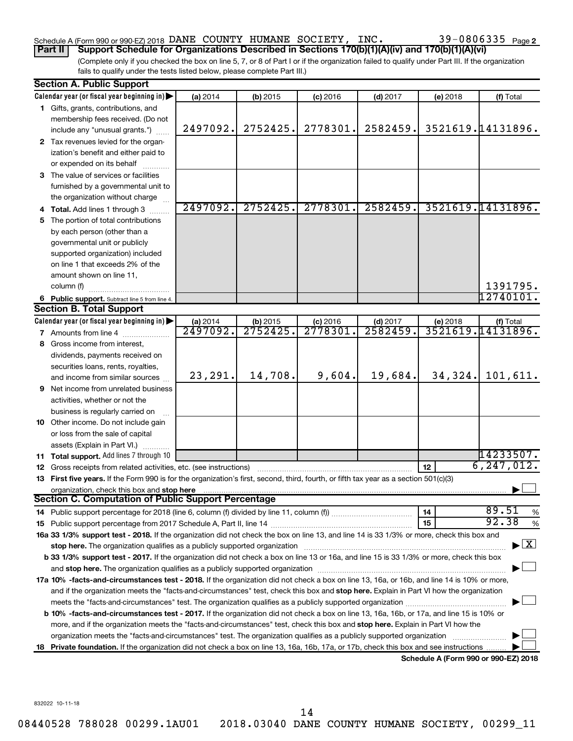### Schedule A (Form 990 or 990-EZ) 2018 DANE COUNTY HUMANE SOCIETY, INC.  $39-0806335$   $_{\rm Page}$

(Complete only if you checked the box on line 5, 7, or 8 of Part I or if the organization failed to qualify under Part III. If the organization **Part II Support Schedule for Organizations Described in Sections 170(b)(1)(A)(iv) and 170(b)(1)(A)(vi)**

fails to qualify under the tests listed below, please complete Part III.)

|    | <b>Section A. Public Support</b>                                                                                                                                                                                               |          |                      |            |            |          |                                          |  |  |  |
|----|--------------------------------------------------------------------------------------------------------------------------------------------------------------------------------------------------------------------------------|----------|----------------------|------------|------------|----------|------------------------------------------|--|--|--|
|    | Calendar year (or fiscal year beginning in)                                                                                                                                                                                    | (a) 2014 | (b) 2015             | $(c)$ 2016 | $(d)$ 2017 | (e) 2018 | (f) Total                                |  |  |  |
|    | 1 Gifts, grants, contributions, and                                                                                                                                                                                            |          |                      |            |            |          |                                          |  |  |  |
|    | membership fees received. (Do not                                                                                                                                                                                              |          |                      |            |            |          |                                          |  |  |  |
|    | include any "unusual grants.")                                                                                                                                                                                                 | 2497092. | 2752425.             | 2778301.   | 2582459.   |          | 3521619.14131896.                        |  |  |  |
|    | 2 Tax revenues levied for the organ-                                                                                                                                                                                           |          |                      |            |            |          |                                          |  |  |  |
|    | ization's benefit and either paid to                                                                                                                                                                                           |          |                      |            |            |          |                                          |  |  |  |
|    | or expended on its behalf                                                                                                                                                                                                      |          |                      |            |            |          |                                          |  |  |  |
|    | 3 The value of services or facilities                                                                                                                                                                                          |          |                      |            |            |          |                                          |  |  |  |
|    | furnished by a governmental unit to                                                                                                                                                                                            |          |                      |            |            |          |                                          |  |  |  |
|    | the organization without charge                                                                                                                                                                                                |          |                      |            |            |          |                                          |  |  |  |
|    | <b>Total.</b> Add lines 1 through 3                                                                                                                                                                                            | 2497092. | 2752425.             | 2778301.   | 2582459.   |          | 3521619.14131896.                        |  |  |  |
| 5  | The portion of total contributions                                                                                                                                                                                             |          |                      |            |            |          |                                          |  |  |  |
|    | by each person (other than a                                                                                                                                                                                                   |          |                      |            |            |          |                                          |  |  |  |
|    | governmental unit or publicly                                                                                                                                                                                                  |          |                      |            |            |          |                                          |  |  |  |
|    | supported organization) included                                                                                                                                                                                               |          |                      |            |            |          |                                          |  |  |  |
|    | on line 1 that exceeds 2% of the                                                                                                                                                                                               |          |                      |            |            |          |                                          |  |  |  |
|    | amount shown on line 11,                                                                                                                                                                                                       |          |                      |            |            |          |                                          |  |  |  |
|    | column (f)                                                                                                                                                                                                                     |          |                      |            |            |          | 1391795.                                 |  |  |  |
|    | 6 Public support. Subtract line 5 from line 4.                                                                                                                                                                                 |          |                      |            |            |          | 12740101.                                |  |  |  |
|    | <b>Section B. Total Support</b>                                                                                                                                                                                                |          |                      |            |            |          |                                          |  |  |  |
|    | Calendar year (or fiscal year beginning in)                                                                                                                                                                                    | (a) 2014 | (b) 2015             | $(c)$ 2016 | $(d)$ 2017 | (e) 2018 | (f) Total                                |  |  |  |
|    | <b>7</b> Amounts from line 4                                                                                                                                                                                                   | 2497092. | $\overline{2752425}$ | 2778301    | 2582459.   |          | 3521619.14131896.                        |  |  |  |
| 8  | Gross income from interest,                                                                                                                                                                                                    |          |                      |            |            |          |                                          |  |  |  |
|    | dividends, payments received on                                                                                                                                                                                                |          |                      |            |            |          |                                          |  |  |  |
|    | securities loans, rents, royalties,                                                                                                                                                                                            |          |                      |            |            |          |                                          |  |  |  |
|    | and income from similar sources                                                                                                                                                                                                | 23,291.  | 14,708.              | 9,604.     | 19,684.    | 34,324.  | 101,611.                                 |  |  |  |
| 9  | Net income from unrelated business                                                                                                                                                                                             |          |                      |            |            |          |                                          |  |  |  |
|    | activities, whether or not the                                                                                                                                                                                                 |          |                      |            |            |          |                                          |  |  |  |
|    | business is regularly carried on                                                                                                                                                                                               |          |                      |            |            |          |                                          |  |  |  |
|    | 10 Other income. Do not include gain                                                                                                                                                                                           |          |                      |            |            |          |                                          |  |  |  |
|    | or loss from the sale of capital                                                                                                                                                                                               |          |                      |            |            |          |                                          |  |  |  |
|    | assets (Explain in Part VI.)                                                                                                                                                                                                   |          |                      |            |            |          |                                          |  |  |  |
| 11 | Total support. Add lines 7 through 10                                                                                                                                                                                          |          |                      |            |            |          | 14233507.                                |  |  |  |
| 12 | Gross receipts from related activities, etc. (see instructions)                                                                                                                                                                |          |                      |            |            | 12       | 6, 247, 012.                             |  |  |  |
|    | 13 First five years. If the Form 990 is for the organization's first, second, third, fourth, or fifth tax year as a section 501(c)(3)                                                                                          |          |                      |            |            |          |                                          |  |  |  |
|    | organization, check this box and stop here                                                                                                                                                                                     |          |                      |            |            |          |                                          |  |  |  |
|    | <b>Section C. Computation of Public Support Percentage</b>                                                                                                                                                                     |          |                      |            |            |          | 89.51                                    |  |  |  |
|    |                                                                                                                                                                                                                                |          |                      |            |            | 14       | %<br>92.38                               |  |  |  |
|    |                                                                                                                                                                                                                                |          |                      |            |            | 15       | %                                        |  |  |  |
|    | 16a 33 1/3% support test - 2018. If the organization did not check the box on line 13, and line 14 is 33 1/3% or more, check this box and                                                                                      |          |                      |            |            |          | $\blacktriangleright$ $\boxed{\text{X}}$ |  |  |  |
|    | stop here. The organization qualifies as a publicly supported organization manufaction manufacture or the organization manufacture or the organization manufacture or the organization manufacture or the state of the state o |          |                      |            |            |          |                                          |  |  |  |
|    | b 33 1/3% support test - 2017. If the organization did not check a box on line 13 or 16a, and line 15 is 33 1/3% or more, check this box                                                                                       |          |                      |            |            |          |                                          |  |  |  |
|    | and stop here. The organization qualifies as a publicly supported organization [11] manuscription manuscription manuscription manuscription manuscription manuscription and starting and starting and starting and starting an |          |                      |            |            |          |                                          |  |  |  |
|    | 17a 10% -facts-and-circumstances test - 2018. If the organization did not check a box on line 13, 16a, or 16b, and line 14 is 10% or more,                                                                                     |          |                      |            |            |          |                                          |  |  |  |
|    | and if the organization meets the "facts-and-circumstances" test, check this box and stop here. Explain in Part VI how the organization                                                                                        |          |                      |            |            |          |                                          |  |  |  |
|    | meets the "facts-and-circumstances" test. The organization qualifies as a publicly supported organization <i>manumumumumum</i>                                                                                                 |          |                      |            |            |          |                                          |  |  |  |
|    | b 10% -facts-and-circumstances test - 2017. If the organization did not check a box on line 13, 16a, 16b, or 17a, and line 15 is 10% or                                                                                        |          |                      |            |            |          |                                          |  |  |  |
|    | more, and if the organization meets the "facts-and-circumstances" test, check this box and <b>stop here.</b> Explain in Part VI how the                                                                                        |          |                      |            |            |          |                                          |  |  |  |
|    | organization meets the "facts-and-circumstances" test. The organization qualifies as a publicly supported organization                                                                                                         |          |                      |            |            |          |                                          |  |  |  |
|    | Private foundation. If the organization did not check a box on line 13, 16a, 16b, 17a, or 17b, check this box and see instructions                                                                                             |          |                      |            |            |          | Schedule A (Form 990 or 990-EZ) 2018     |  |  |  |
|    |                                                                                                                                                                                                                                |          |                      |            |            |          |                                          |  |  |  |

832022 10-11-18

14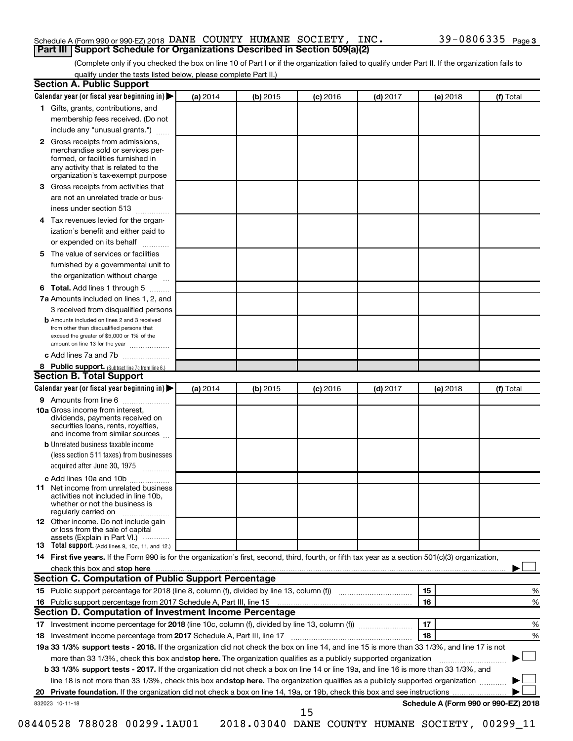#### Schedule A (Form 990 or 990-EZ) 2018 DANE COUNTY HUMANE SOCIETY, INC.  $39-0806335$   $_{\rm Page}$ **Part III Support Schedule for Organizations Described in Section 509(a)(2)**

(Complete only if you checked the box on line 10 of Part I or if the organization failed to qualify under Part II. If the organization fails to qualify under the tests listed below, please complete Part II.)

| <b>Section A. Public Support</b>                                                                                                                                                                                                        |          |            |            |            |          |                                      |  |  |
|-----------------------------------------------------------------------------------------------------------------------------------------------------------------------------------------------------------------------------------------|----------|------------|------------|------------|----------|--------------------------------------|--|--|
| Calendar year (or fiscal year beginning in)                                                                                                                                                                                             | (a) 2014 | (b) 2015   | $(c)$ 2016 | $(d)$ 2017 | (e) 2018 | (f) Total                            |  |  |
| 1 Gifts, grants, contributions, and                                                                                                                                                                                                     |          |            |            |            |          |                                      |  |  |
| membership fees received. (Do not                                                                                                                                                                                                       |          |            |            |            |          |                                      |  |  |
| include any "unusual grants.")                                                                                                                                                                                                          |          |            |            |            |          |                                      |  |  |
| <b>2</b> Gross receipts from admissions,<br>merchandise sold or services per-<br>formed, or facilities furnished in<br>any activity that is related to the<br>organization's tax-exempt purpose                                         |          |            |            |            |          |                                      |  |  |
| 3 Gross receipts from activities that                                                                                                                                                                                                   |          |            |            |            |          |                                      |  |  |
| are not an unrelated trade or bus-<br>iness under section 513                                                                                                                                                                           |          |            |            |            |          |                                      |  |  |
| 4 Tax revenues levied for the organ-                                                                                                                                                                                                    |          |            |            |            |          |                                      |  |  |
| ization's benefit and either paid to                                                                                                                                                                                                    |          |            |            |            |          |                                      |  |  |
| or expended on its behalf                                                                                                                                                                                                               |          |            |            |            |          |                                      |  |  |
| 5 The value of services or facilities                                                                                                                                                                                                   |          |            |            |            |          |                                      |  |  |
| furnished by a governmental unit to                                                                                                                                                                                                     |          |            |            |            |          |                                      |  |  |
| the organization without charge                                                                                                                                                                                                         |          |            |            |            |          |                                      |  |  |
| 6 Total. Add lines 1 through 5                                                                                                                                                                                                          |          |            |            |            |          |                                      |  |  |
| 7a Amounts included on lines 1, 2, and                                                                                                                                                                                                  |          |            |            |            |          |                                      |  |  |
| 3 received from disqualified persons                                                                                                                                                                                                    |          |            |            |            |          |                                      |  |  |
| <b>b</b> Amounts included on lines 2 and 3 received<br>from other than disqualified persons that<br>exceed the greater of \$5,000 or 1% of the<br>amount on line 13 for the year                                                        |          |            |            |            |          |                                      |  |  |
| c Add lines 7a and 7b                                                                                                                                                                                                                   |          |            |            |            |          |                                      |  |  |
| 8 Public support. (Subtract line 7c from line 6.)                                                                                                                                                                                       |          |            |            |            |          |                                      |  |  |
| <b>Section B. Total Support</b>                                                                                                                                                                                                         |          |            |            |            |          |                                      |  |  |
| Calendar year (or fiscal year beginning in)                                                                                                                                                                                             | (a) 2014 | $(b)$ 2015 | $(c)$ 2016 | $(d)$ 2017 | (e) 2018 | (f) Total                            |  |  |
| 9 Amounts from line 6                                                                                                                                                                                                                   |          |            |            |            |          |                                      |  |  |
| <b>10a</b> Gross income from interest,<br>dividends, payments received on<br>securities loans, rents, royalties,<br>and income from similar sources                                                                                     |          |            |            |            |          |                                      |  |  |
| <b>b</b> Unrelated business taxable income<br>(less section 511 taxes) from businesses                                                                                                                                                  |          |            |            |            |          |                                      |  |  |
| acquired after June 30, 1975                                                                                                                                                                                                            |          |            |            |            |          |                                      |  |  |
| c Add lines 10a and 10b                                                                                                                                                                                                                 |          |            |            |            |          |                                      |  |  |
| <b>11</b> Net income from unrelated business<br>activities not included in line 10b.<br>whether or not the business is<br>regularly carried on                                                                                          |          |            |            |            |          |                                      |  |  |
| 12 Other income. Do not include gain<br>or loss from the sale of capital<br>assets (Explain in Part VI.)                                                                                                                                |          |            |            |            |          |                                      |  |  |
| <b>13</b> Total support. (Add lines 9, 10c, 11, and 12.)                                                                                                                                                                                |          |            |            |            |          |                                      |  |  |
| 14 First five years. If the Form 990 is for the organization's first, second, third, fourth, or fifth tax year as a section 501(c)(3) organization,                                                                                     |          |            |            |            |          |                                      |  |  |
| check this box and stop here <b>contained and the contained and stop here</b> check this box and stop here <b>contained and the contained and stop here</b> contained and stop here contained and and stop here contained and stop here |          |            |            |            |          |                                      |  |  |
| Section C. Computation of Public Support Percentage                                                                                                                                                                                     |          |            |            |            |          |                                      |  |  |
| 15 Public support percentage for 2018 (line 8, column (f), divided by line 13, column (f) <i></i>                                                                                                                                       |          |            |            |            | 15       | ℅                                    |  |  |
|                                                                                                                                                                                                                                         |          |            |            |            | 16       | %                                    |  |  |
| Section D. Computation of Investment Income Percentage                                                                                                                                                                                  |          |            |            |            |          |                                      |  |  |
|                                                                                                                                                                                                                                         |          |            |            |            | 17       | %                                    |  |  |
| 18<br>%<br>18 Investment income percentage from 2017 Schedule A, Part III, line 17                                                                                                                                                      |          |            |            |            |          |                                      |  |  |
| 19a 33 1/3% support tests - 2018. If the organization did not check the box on line 14, and line 15 is more than 33 1/3%, and line 17 is not                                                                                            |          |            |            |            |          |                                      |  |  |
| more than 33 1/3%, check this box and stop here. The organization qualifies as a publicly supported organization                                                                                                                        |          |            |            |            |          |                                      |  |  |
| b 33 1/3% support tests - 2017. If the organization did not check a box on line 14 or line 19a, and line 16 is more than 33 1/3%, and                                                                                                   |          |            |            |            |          |                                      |  |  |
| line 18 is not more than 33 1/3%, check this box and stop here. The organization qualifies as a publicly supported organization                                                                                                         |          |            |            |            |          |                                      |  |  |
|                                                                                                                                                                                                                                         |          |            |            |            |          |                                      |  |  |
| 832023 10-11-18                                                                                                                                                                                                                         |          |            | 15         |            |          | Schedule A (Form 990 or 990-EZ) 2018 |  |  |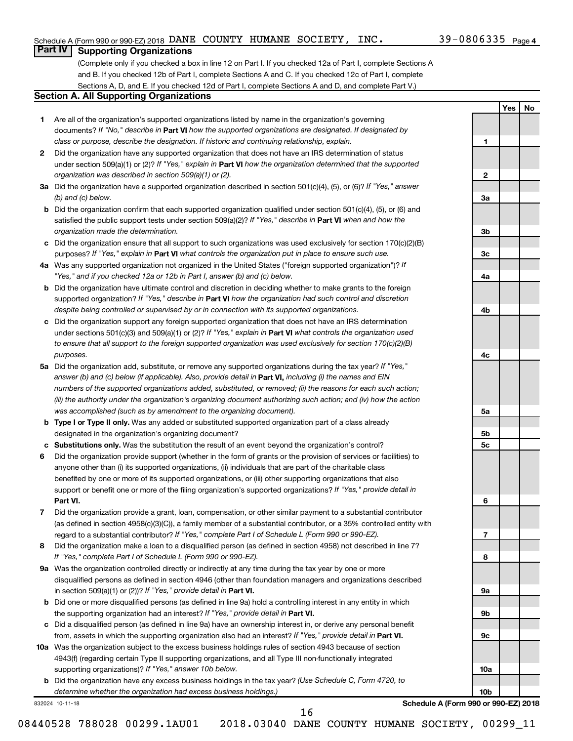**1**

**2**

**3a**

**3b**

**3c**

**4a**

**4b**

**4c**

**5a**

**5b 5c**

**6**

**7**

**8**

**9a**

**9b**

**9c**

**10a**

**10b**

**Yes No**

### **Part IV Supporting Organizations**

(Complete only if you checked a box in line 12 on Part I. If you checked 12a of Part I, complete Sections A and B. If you checked 12b of Part I, complete Sections A and C. If you checked 12c of Part I, complete Sections A, D, and E. If you checked 12d of Part I, complete Sections A and D, and complete Part V.)

#### **Section A. All Supporting Organizations**

- **1** Are all of the organization's supported organizations listed by name in the organization's governing documents? If "No," describe in Part VI how the supported organizations are designated. If designated by *class or purpose, describe the designation. If historic and continuing relationship, explain.*
- **2** Did the organization have any supported organization that does not have an IRS determination of status under section 509(a)(1) or (2)? If "Yes," explain in Part **VI** how the organization determined that the supported *organization was described in section 509(a)(1) or (2).*
- **3a** Did the organization have a supported organization described in section 501(c)(4), (5), or (6)? If "Yes," answer *(b) and (c) below.*
- **b** Did the organization confirm that each supported organization qualified under section 501(c)(4), (5), or (6) and satisfied the public support tests under section 509(a)(2)? If "Yes," describe in Part VI when and how the *organization made the determination.*
- **c** Did the organization ensure that all support to such organizations was used exclusively for section 170(c)(2)(B) purposes? If "Yes," explain in Part VI what controls the organization put in place to ensure such use.
- **4 a** *If* Was any supported organization not organized in the United States ("foreign supported organization")? *"Yes," and if you checked 12a or 12b in Part I, answer (b) and (c) below.*
- **b** Did the organization have ultimate control and discretion in deciding whether to make grants to the foreign supported organization? If "Yes," describe in Part VI how the organization had such control and discretion *despite being controlled or supervised by or in connection with its supported organizations.*
- **c** Did the organization support any foreign supported organization that does not have an IRS determination under sections 501(c)(3) and 509(a)(1) or (2)? If "Yes," explain in Part VI what controls the organization used *to ensure that all support to the foreign supported organization was used exclusively for section 170(c)(2)(B) purposes.*
- **5a** Did the organization add, substitute, or remove any supported organizations during the tax year? If "Yes," answer (b) and (c) below (if applicable). Also, provide detail in **Part VI,** including (i) the names and EIN *numbers of the supported organizations added, substituted, or removed; (ii) the reasons for each such action; (iii) the authority under the organization's organizing document authorizing such action; and (iv) how the action was accomplished (such as by amendment to the organizing document).*
- **b Type I or Type II only.** Was any added or substituted supported organization part of a class already designated in the organization's organizing document?
- **c Substitutions only.**  Was the substitution the result of an event beyond the organization's control?
- **6** Did the organization provide support (whether in the form of grants or the provision of services or facilities) to **Part VI.** support or benefit one or more of the filing organization's supported organizations? If "Yes," provide detail in anyone other than (i) its supported organizations, (ii) individuals that are part of the charitable class benefited by one or more of its supported organizations, or (iii) other supporting organizations that also
- **7** Did the organization provide a grant, loan, compensation, or other similar payment to a substantial contributor regard to a substantial contributor? If "Yes," complete Part I of Schedule L (Form 990 or 990-EZ). (as defined in section 4958(c)(3)(C)), a family member of a substantial contributor, or a 35% controlled entity with
- **8** Did the organization make a loan to a disqualified person (as defined in section 4958) not described in line 7? *If "Yes," complete Part I of Schedule L (Form 990 or 990-EZ).*
- **9 a** Was the organization controlled directly or indirectly at any time during the tax year by one or more in section 509(a)(1) or (2))? If "Yes," provide detail in **Part VI.** disqualified persons as defined in section 4946 (other than foundation managers and organizations described
- **b** Did one or more disqualified persons (as defined in line 9a) hold a controlling interest in any entity in which the supporting organization had an interest? If "Yes," provide detail in Part VI.
- **c** Did a disqualified person (as defined in line 9a) have an ownership interest in, or derive any personal benefit from, assets in which the supporting organization also had an interest? If "Yes," provide detail in Part VI.
- **10 a** Was the organization subject to the excess business holdings rules of section 4943 because of section supporting organizations)? If "Yes," answer 10b below. 4943(f) (regarding certain Type II supporting organizations, and all Type III non-functionally integrated
	- **b** Did the organization have any excess business holdings in the tax year? (Use Schedule C, Form 4720, to *determine whether the organization had excess business holdings.)*

832024 10-11-18

**Schedule A (Form 990 or 990-EZ) 2018**

16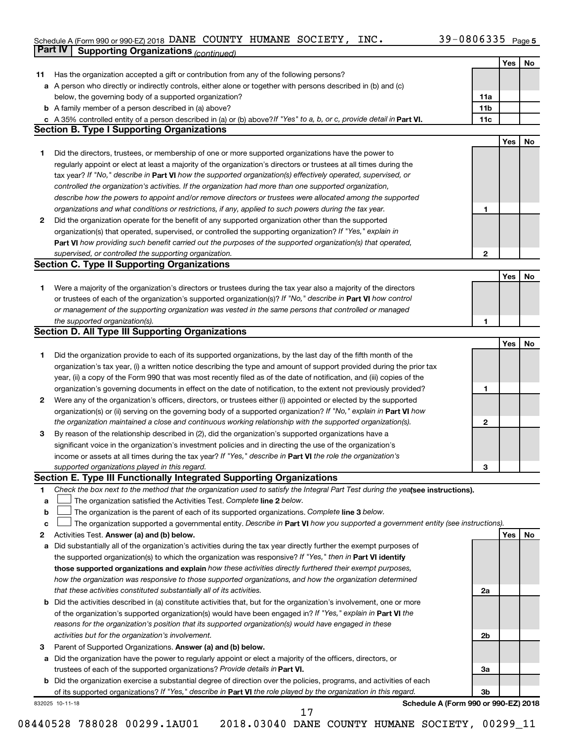#### Schedule A (Form 990 or 990-EZ) 2018 DANE COUNTY HUMANE SOCIETY, INC.  $39-0800335$  Page DANE COUNTY HUMANE SOCIETY, INC. 39-0806335

|    | <b>Part IV</b>  | <b>Supporting Organizations (continued)</b>                                                                                     |                 |            |    |
|----|-----------------|---------------------------------------------------------------------------------------------------------------------------------|-----------------|------------|----|
|    |                 |                                                                                                                                 |                 | Yes        | No |
| 11 |                 | Has the organization accepted a gift or contribution from any of the following persons?                                         |                 |            |    |
|    |                 | a A person who directly or indirectly controls, either alone or together with persons described in (b) and (c)                  |                 |            |    |
|    |                 | below, the governing body of a supported organization?                                                                          | 11a             |            |    |
|    |                 | <b>b</b> A family member of a person described in (a) above?                                                                    | 11 <sub>b</sub> |            |    |
|    |                 | c A 35% controlled entity of a person described in (a) or (b) above? If "Yes" to a, b, or c, provide detail in Part VI.         | 11c             |            |    |
|    |                 | <b>Section B. Type I Supporting Organizations</b>                                                                               |                 |            |    |
|    |                 |                                                                                                                                 |                 | Yes        | No |
| 1  |                 | Did the directors, trustees, or membership of one or more supported organizations have the power to                             |                 |            |    |
|    |                 | regularly appoint or elect at least a majority of the organization's directors or trustees at all times during the              |                 |            |    |
|    |                 |                                                                                                                                 |                 |            |    |
|    |                 | tax year? If "No," describe in Part VI how the supported organization(s) effectively operated, supervised, or                   |                 |            |    |
|    |                 | controlled the organization's activities. If the organization had more than one supported organization,                         |                 |            |    |
|    |                 | describe how the powers to appoint and/or remove directors or trustees were allocated among the supported                       |                 |            |    |
|    |                 | organizations and what conditions or restrictions, if any, applied to such powers during the tax year.                          | 1               |            |    |
| 2  |                 | Did the organization operate for the benefit of any supported organization other than the supported                             |                 |            |    |
|    |                 | organization(s) that operated, supervised, or controlled the supporting organization? If "Yes," explain in                      |                 |            |    |
|    |                 | Part VI how providing such benefit carried out the purposes of the supported organization(s) that operated,                     |                 |            |    |
|    |                 | supervised, or controlled the supporting organization.                                                                          | $\mathbf{2}$    |            |    |
|    |                 | <b>Section C. Type II Supporting Organizations</b>                                                                              |                 |            |    |
|    |                 |                                                                                                                                 |                 | Yes        | No |
| 1. |                 | Were a majority of the organization's directors or trustees during the tax year also a majority of the directors                |                 |            |    |
|    |                 | or trustees of each of the organization's supported organization(s)? If "No," describe in Part VI how control                   |                 |            |    |
|    |                 | or management of the supporting organization was vested in the same persons that controlled or managed                          |                 |            |    |
|    |                 | the supported organization(s).                                                                                                  | 1               |            |    |
|    |                 | <b>Section D. All Type III Supporting Organizations</b>                                                                         |                 |            |    |
|    |                 |                                                                                                                                 |                 | Yes        | No |
| 1  |                 | Did the organization provide to each of its supported organizations, by the last day of the fifth month of the                  |                 |            |    |
|    |                 | organization's tax year, (i) a written notice describing the type and amount of support provided during the prior tax           |                 |            |    |
|    |                 | year, (ii) a copy of the Form 990 that was most recently filed as of the date of notification, and (iii) copies of the          |                 |            |    |
|    |                 | organization's governing documents in effect on the date of notification, to the extent not previously provided?                | 1               |            |    |
| 2  |                 | Were any of the organization's officers, directors, or trustees either (i) appointed or elected by the supported                |                 |            |    |
|    |                 | organization(s) or (ii) serving on the governing body of a supported organization? If "No," explain in Part VI how              |                 |            |    |
|    |                 | the organization maintained a close and continuous working relationship with the supported organization(s).                     | 2               |            |    |
| 3  |                 | By reason of the relationship described in (2), did the organization's supported organizations have a                           |                 |            |    |
|    |                 | significant voice in the organization's investment policies and in directing the use of the organization's                      |                 |            |    |
|    |                 | income or assets at all times during the tax year? If "Yes," describe in Part VI the role the organization's                    |                 |            |    |
|    |                 | supported organizations played in this regard.                                                                                  | з               |            |    |
|    |                 | Section E. Type III Functionally Integrated Supporting Organizations                                                            |                 |            |    |
| 1  |                 | Check the box next to the method that the organization used to satisfy the Integral Part Test during the yealsee instructions). |                 |            |    |
| a  |                 | The organization satisfied the Activities Test. Complete line 2 below.                                                          |                 |            |    |
| b  |                 | The organization is the parent of each of its supported organizations. Complete line 3 below.                                   |                 |            |    |
| с  |                 | The organization supported a governmental entity. Describe in Part VI how you supported a government entity (see instructions). |                 |            |    |
| 2  |                 | Activities Test. Answer (a) and (b) below.                                                                                      |                 | <b>Yes</b> | No |
|    |                 | Did substantially all of the organization's activities during the tax year directly further the exempt purposes of              |                 |            |    |
| а  |                 | the supported organization(s) to which the organization was responsive? If "Yes," then in Part VI identify                      |                 |            |    |
|    |                 | those supported organizations and explain how these activities directly furthered their exempt purposes,                        |                 |            |    |
|    |                 |                                                                                                                                 |                 |            |    |
|    |                 | how the organization was responsive to those supported organizations, and how the organization determined                       |                 |            |    |
|    |                 | that these activities constituted substantially all of its activities.                                                          | 2a              |            |    |
| b  |                 | Did the activities described in (a) constitute activities that, but for the organization's involvement, one or more             |                 |            |    |
|    |                 | of the organization's supported organization(s) would have been engaged in? If "Yes," explain in Part VI the                    |                 |            |    |
|    |                 | reasons for the organization's position that its supported organization(s) would have engaged in these                          |                 |            |    |
|    |                 | activities but for the organization's involvement.                                                                              | 2b              |            |    |
| з  |                 | Parent of Supported Organizations. Answer (a) and (b) below.                                                                    |                 |            |    |
| а  |                 | Did the organization have the power to regularly appoint or elect a majority of the officers, directors, or                     |                 |            |    |
|    |                 | trustees of each of the supported organizations? Provide details in Part VI.                                                    | За              |            |    |
|    |                 | <b>b</b> Did the organization exercise a substantial degree of direction over the policies, programs, and activities of each    |                 |            |    |
|    |                 | of its supported organizations? If "Yes," describe in Part VI the role played by the organization in this regard.               | Зb              |            |    |
|    | 832025 10-11-18 | Schedule A (Form 990 or 990-EZ) 2018                                                                                            |                 |            |    |
|    |                 | 17                                                                                                                              |                 |            |    |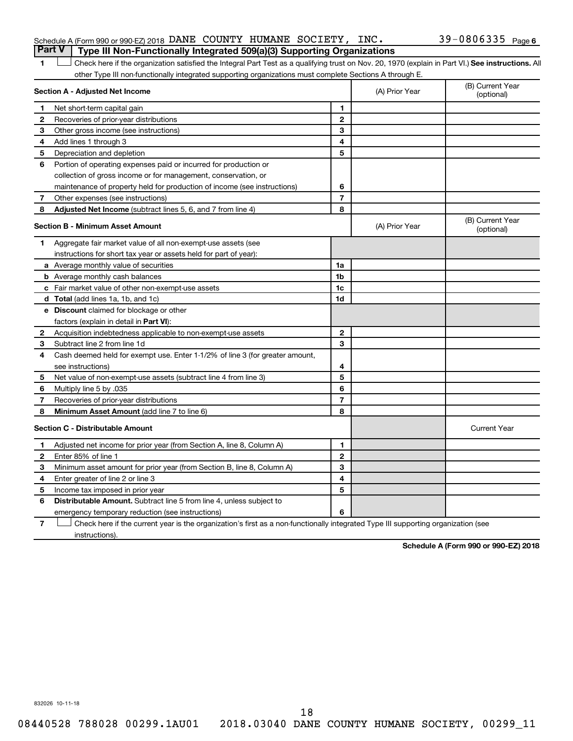#### Schedule A (Form 990 or 990-EZ) 2018 DANE COUNTY HUMANE SOCIETY, INC.  $39-0806335$   $_{\rm Page}$ **Part V Type III Non-Functionally Integrated 509(a)(3) Supporting Organizations**

1 **Letter See instructions.** All Check here if the organization satisfied the Integral Part Test as a qualifying trust on Nov. 20, 1970 (explain in Part VI.) See instructions. All other Type III non-functionally integrated supporting organizations must complete Sections A through E.

|                                         | Section A - Adjusted Net Income                                              |                | (A) Prior Year | (B) Current Year<br>(optional) |
|-----------------------------------------|------------------------------------------------------------------------------|----------------|----------------|--------------------------------|
| 1                                       | Net short-term capital gain                                                  | 1              |                |                                |
| 2                                       | Recoveries of prior-year distributions                                       | $\mathbf{2}$   |                |                                |
| 3                                       | Other gross income (see instructions)                                        | 3              |                |                                |
| 4                                       | Add lines 1 through 3                                                        | 4              |                |                                |
| 5                                       | Depreciation and depletion                                                   | 5              |                |                                |
| 6                                       | Portion of operating expenses paid or incurred for production or             |                |                |                                |
|                                         | collection of gross income or for management, conservation, or               |                |                |                                |
|                                         | maintenance of property held for production of income (see instructions)     | 6              |                |                                |
| 7                                       | Other expenses (see instructions)                                            | $\overline{7}$ |                |                                |
| 8                                       | Adjusted Net Income (subtract lines 5, 6, and 7 from line 4)                 | 8              |                |                                |
|                                         | <b>Section B - Minimum Asset Amount</b>                                      |                | (A) Prior Year | (B) Current Year<br>(optional) |
| 1.                                      | Aggregate fair market value of all non-exempt-use assets (see                |                |                |                                |
|                                         | instructions for short tax year or assets held for part of year):            |                |                |                                |
|                                         | a Average monthly value of securities                                        | 1a             |                |                                |
|                                         | <b>b</b> Average monthly cash balances                                       | 1 <sub>b</sub> |                |                                |
|                                         | c Fair market value of other non-exempt-use assets                           | 1c             |                |                                |
|                                         | d Total (add lines 1a, 1b, and 1c)                                           | 1 <sub>d</sub> |                |                                |
|                                         | e Discount claimed for blockage or other                                     |                |                |                                |
|                                         | factors (explain in detail in <b>Part VI</b> ):                              |                |                |                                |
| 2                                       | Acquisition indebtedness applicable to non-exempt-use assets                 | $\mathbf{2}$   |                |                                |
| 3                                       | Subtract line 2 from line 1d                                                 | 3              |                |                                |
| 4                                       | Cash deemed held for exempt use. Enter 1-1/2% of line 3 (for greater amount, |                |                |                                |
|                                         | see instructions)                                                            | 4              |                |                                |
| 5                                       | Net value of non-exempt-use assets (subtract line 4 from line 3)             | 5              |                |                                |
| 6                                       | Multiply line 5 by .035                                                      | 6              |                |                                |
| 7                                       | Recoveries of prior-year distributions                                       | 7              |                |                                |
| 8                                       | Minimum Asset Amount (add line 7 to line 6)                                  | 8              |                |                                |
| <b>Section C - Distributable Amount</b> |                                                                              |                |                | <b>Current Year</b>            |
| 1                                       | Adjusted net income for prior year (from Section A, line 8, Column A)        | 1              |                |                                |
| $\mathbf{2}$                            | Enter 85% of line 1                                                          | $\overline{2}$ |                |                                |
| 3                                       | Minimum asset amount for prior year (from Section B, line 8, Column A)       | 3              |                |                                |
| 4                                       | Enter greater of line 2 or line 3                                            | 4              |                |                                |
| 5                                       | Income tax imposed in prior year                                             | 5              |                |                                |
| 6                                       | Distributable Amount. Subtract line 5 from line 4, unless subject to         |                |                |                                |
|                                         | emergency temporary reduction (see instructions)                             | 6              |                |                                |
|                                         |                                                                              |                |                |                                |

**7** Check here if the current year is the organization's first as a non-functionally integrated Type III supporting organization (see † instructions).

**Schedule A (Form 990 or 990-EZ) 2018**

832026 10-11-18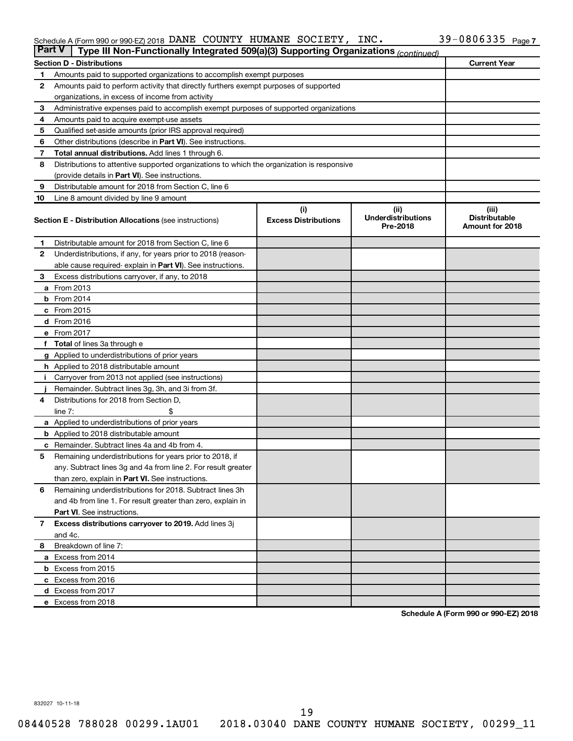#### Schedule A (Form 990 or 990-EZ) 2018 DANE COUNTY HUMANE SOCIETY, INC.  $39-0800335$  Page DANE COUNTY HUMANE SOCIETY, INC. 39-0806335

| <b>Part V</b><br>Type III Non-Functionally Integrated 509(a)(3) Supporting Organizations (continued) |                                                                                            |                                    |                                   |                               |  |  |  |  |  |  |
|------------------------------------------------------------------------------------------------------|--------------------------------------------------------------------------------------------|------------------------------------|-----------------------------------|-------------------------------|--|--|--|--|--|--|
|                                                                                                      | <b>Current Year</b><br><b>Section D - Distributions</b>                                    |                                    |                                   |                               |  |  |  |  |  |  |
| 1                                                                                                    | Amounts paid to supported organizations to accomplish exempt purposes                      |                                    |                                   |                               |  |  |  |  |  |  |
| $\mathbf{2}$                                                                                         | Amounts paid to perform activity that directly furthers exempt purposes of supported       |                                    |                                   |                               |  |  |  |  |  |  |
|                                                                                                      | organizations, in excess of income from activity                                           |                                    |                                   |                               |  |  |  |  |  |  |
| 3                                                                                                    | Administrative expenses paid to accomplish exempt purposes of supported organizations      |                                    |                                   |                               |  |  |  |  |  |  |
| 4                                                                                                    | Amounts paid to acquire exempt-use assets                                                  |                                    |                                   |                               |  |  |  |  |  |  |
| 5                                                                                                    | Qualified set-aside amounts (prior IRS approval required)                                  |                                    |                                   |                               |  |  |  |  |  |  |
| 6                                                                                                    | Other distributions (describe in <b>Part VI</b> ). See instructions.                       |                                    |                                   |                               |  |  |  |  |  |  |
| 7                                                                                                    | <b>Total annual distributions.</b> Add lines 1 through 6.                                  |                                    |                                   |                               |  |  |  |  |  |  |
| 8                                                                                                    | Distributions to attentive supported organizations to which the organization is responsive |                                    |                                   |                               |  |  |  |  |  |  |
|                                                                                                      | (provide details in Part VI). See instructions.                                            |                                    |                                   |                               |  |  |  |  |  |  |
| 9                                                                                                    | Distributable amount for 2018 from Section C, line 6                                       |                                    |                                   |                               |  |  |  |  |  |  |
| 10                                                                                                   | Line 8 amount divided by line 9 amount                                                     |                                    |                                   |                               |  |  |  |  |  |  |
|                                                                                                      | <b>Section E - Distribution Allocations (see instructions)</b>                             | (i)<br><b>Excess Distributions</b> | (ii)<br><b>Underdistributions</b> | (iii)<br><b>Distributable</b> |  |  |  |  |  |  |
|                                                                                                      |                                                                                            |                                    | Pre-2018                          | Amount for 2018               |  |  |  |  |  |  |
| 1                                                                                                    | Distributable amount for 2018 from Section C, line 6                                       |                                    |                                   |                               |  |  |  |  |  |  |
| 2                                                                                                    | Underdistributions, if any, for years prior to 2018 (reason-                               |                                    |                                   |                               |  |  |  |  |  |  |
|                                                                                                      | able cause required-explain in Part VI). See instructions.                                 |                                    |                                   |                               |  |  |  |  |  |  |
| 3                                                                                                    | Excess distributions carryover, if any, to 2018                                            |                                    |                                   |                               |  |  |  |  |  |  |
|                                                                                                      | <b>a</b> From 2013                                                                         |                                    |                                   |                               |  |  |  |  |  |  |
|                                                                                                      | $b$ From 2014                                                                              |                                    |                                   |                               |  |  |  |  |  |  |
|                                                                                                      | c From 2015                                                                                |                                    |                                   |                               |  |  |  |  |  |  |
|                                                                                                      | d From 2016                                                                                |                                    |                                   |                               |  |  |  |  |  |  |
|                                                                                                      | e From 2017                                                                                |                                    |                                   |                               |  |  |  |  |  |  |
|                                                                                                      | f Total of lines 3a through e                                                              |                                    |                                   |                               |  |  |  |  |  |  |
|                                                                                                      | <b>g</b> Applied to underdistributions of prior years                                      |                                    |                                   |                               |  |  |  |  |  |  |
|                                                                                                      | <b>h</b> Applied to 2018 distributable amount                                              |                                    |                                   |                               |  |  |  |  |  |  |
| Ť.                                                                                                   | Carryover from 2013 not applied (see instructions)                                         |                                    |                                   |                               |  |  |  |  |  |  |
|                                                                                                      | Remainder. Subtract lines 3g, 3h, and 3i from 3f.                                          |                                    |                                   |                               |  |  |  |  |  |  |
| 4                                                                                                    | Distributions for 2018 from Section D,                                                     |                                    |                                   |                               |  |  |  |  |  |  |
|                                                                                                      | line $7:$                                                                                  |                                    |                                   |                               |  |  |  |  |  |  |
|                                                                                                      | a Applied to underdistributions of prior years                                             |                                    |                                   |                               |  |  |  |  |  |  |
|                                                                                                      | <b>b</b> Applied to 2018 distributable amount                                              |                                    |                                   |                               |  |  |  |  |  |  |
| c                                                                                                    | Remainder. Subtract lines 4a and 4b from 4.                                                |                                    |                                   |                               |  |  |  |  |  |  |
| 5                                                                                                    | Remaining underdistributions for years prior to 2018, if                                   |                                    |                                   |                               |  |  |  |  |  |  |
|                                                                                                      | any. Subtract lines 3g and 4a from line 2. For result greater                              |                                    |                                   |                               |  |  |  |  |  |  |
|                                                                                                      | than zero, explain in Part VI. See instructions.                                           |                                    |                                   |                               |  |  |  |  |  |  |
| 6                                                                                                    | Remaining underdistributions for 2018. Subtract lines 3h                                   |                                    |                                   |                               |  |  |  |  |  |  |
|                                                                                                      | and 4b from line 1. For result greater than zero, explain in                               |                                    |                                   |                               |  |  |  |  |  |  |
|                                                                                                      | <b>Part VI.</b> See instructions.                                                          |                                    |                                   |                               |  |  |  |  |  |  |
| $\overline{7}$                                                                                       | Excess distributions carryover to 2019. Add lines 3j                                       |                                    |                                   |                               |  |  |  |  |  |  |
|                                                                                                      | and 4c.                                                                                    |                                    |                                   |                               |  |  |  |  |  |  |
| 8                                                                                                    | Breakdown of line 7:                                                                       |                                    |                                   |                               |  |  |  |  |  |  |
|                                                                                                      | a Excess from 2014                                                                         |                                    |                                   |                               |  |  |  |  |  |  |
|                                                                                                      | <b>b</b> Excess from 2015                                                                  |                                    |                                   |                               |  |  |  |  |  |  |
|                                                                                                      | c Excess from 2016                                                                         |                                    |                                   |                               |  |  |  |  |  |  |
|                                                                                                      | d Excess from 2017                                                                         |                                    |                                   |                               |  |  |  |  |  |  |
|                                                                                                      | e Excess from 2018                                                                         |                                    |                                   |                               |  |  |  |  |  |  |

**Schedule A (Form 990 or 990-EZ) 2018**

832027 10-11-18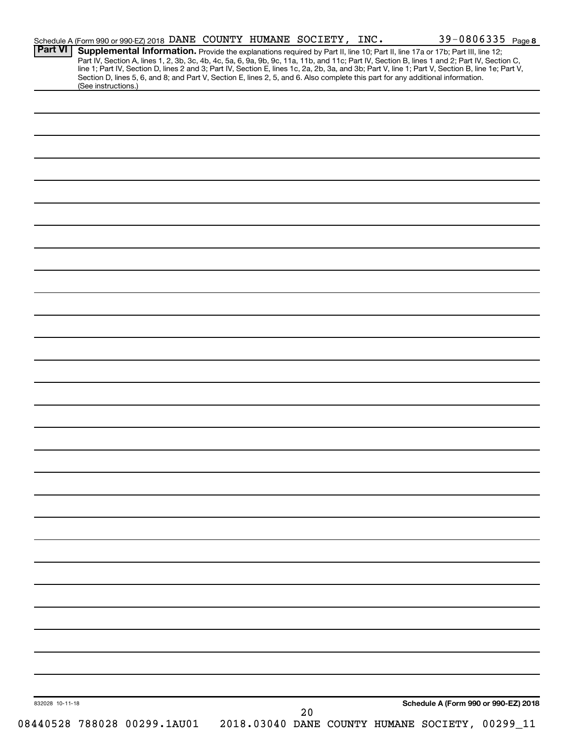| <b>Part VI</b>  | Schedule A (Form 990 or 990-EZ) 2018 DANE COUNTY HUMANE SOCIETY, INC. |  |  |  |                                                                                                                                                                                                                                                                                                                                                                                                                                   | 39-0806335 Page 8 |
|-----------------|-----------------------------------------------------------------------|--|--|--|-----------------------------------------------------------------------------------------------------------------------------------------------------------------------------------------------------------------------------------------------------------------------------------------------------------------------------------------------------------------------------------------------------------------------------------|-------------------|
|                 |                                                                       |  |  |  | Supplemental Information. Provide the explanations required by Part II, line 10; Part II, line 17a or 17b; Part III, line 12;<br>Part IV, Section A, lines 1, 2, 3b, 3c, 4b, 4c, 5a, 6, 9a, 9b, 9c, 11a, 11b, and 11c; Part IV, Section B, lines 1 and 2; Part IV, Section C,<br>line 1; Part IV, Section D, lines 2 and 3; Part IV, Section E, lines 1c, 2a, 2b, 3a, and 3b; Part V, line 1; Part V, Section B, line 1e; Part V, |                   |
|                 | (See instructions.)                                                   |  |  |  | Section D, lines 5, 6, and 8; and Part V, Section E, lines 2, 5, and 6. Also complete this part for any additional information.                                                                                                                                                                                                                                                                                                   |                   |
|                 |                                                                       |  |  |  |                                                                                                                                                                                                                                                                                                                                                                                                                                   |                   |
|                 |                                                                       |  |  |  |                                                                                                                                                                                                                                                                                                                                                                                                                                   |                   |
|                 |                                                                       |  |  |  |                                                                                                                                                                                                                                                                                                                                                                                                                                   |                   |
|                 |                                                                       |  |  |  |                                                                                                                                                                                                                                                                                                                                                                                                                                   |                   |
|                 |                                                                       |  |  |  |                                                                                                                                                                                                                                                                                                                                                                                                                                   |                   |
|                 |                                                                       |  |  |  |                                                                                                                                                                                                                                                                                                                                                                                                                                   |                   |
|                 |                                                                       |  |  |  |                                                                                                                                                                                                                                                                                                                                                                                                                                   |                   |
|                 |                                                                       |  |  |  |                                                                                                                                                                                                                                                                                                                                                                                                                                   |                   |
|                 |                                                                       |  |  |  |                                                                                                                                                                                                                                                                                                                                                                                                                                   |                   |
|                 |                                                                       |  |  |  |                                                                                                                                                                                                                                                                                                                                                                                                                                   |                   |
|                 |                                                                       |  |  |  |                                                                                                                                                                                                                                                                                                                                                                                                                                   |                   |
|                 |                                                                       |  |  |  |                                                                                                                                                                                                                                                                                                                                                                                                                                   |                   |
|                 |                                                                       |  |  |  |                                                                                                                                                                                                                                                                                                                                                                                                                                   |                   |
|                 |                                                                       |  |  |  |                                                                                                                                                                                                                                                                                                                                                                                                                                   |                   |
|                 |                                                                       |  |  |  |                                                                                                                                                                                                                                                                                                                                                                                                                                   |                   |
|                 |                                                                       |  |  |  |                                                                                                                                                                                                                                                                                                                                                                                                                                   |                   |
|                 |                                                                       |  |  |  |                                                                                                                                                                                                                                                                                                                                                                                                                                   |                   |
|                 |                                                                       |  |  |  |                                                                                                                                                                                                                                                                                                                                                                                                                                   |                   |
|                 |                                                                       |  |  |  |                                                                                                                                                                                                                                                                                                                                                                                                                                   |                   |
|                 |                                                                       |  |  |  |                                                                                                                                                                                                                                                                                                                                                                                                                                   |                   |
|                 |                                                                       |  |  |  |                                                                                                                                                                                                                                                                                                                                                                                                                                   |                   |
|                 |                                                                       |  |  |  |                                                                                                                                                                                                                                                                                                                                                                                                                                   |                   |
|                 |                                                                       |  |  |  |                                                                                                                                                                                                                                                                                                                                                                                                                                   |                   |
|                 |                                                                       |  |  |  |                                                                                                                                                                                                                                                                                                                                                                                                                                   |                   |
|                 |                                                                       |  |  |  |                                                                                                                                                                                                                                                                                                                                                                                                                                   |                   |
|                 |                                                                       |  |  |  |                                                                                                                                                                                                                                                                                                                                                                                                                                   |                   |
|                 |                                                                       |  |  |  |                                                                                                                                                                                                                                                                                                                                                                                                                                   |                   |
|                 |                                                                       |  |  |  |                                                                                                                                                                                                                                                                                                                                                                                                                                   |                   |
|                 |                                                                       |  |  |  |                                                                                                                                                                                                                                                                                                                                                                                                                                   |                   |
|                 |                                                                       |  |  |  |                                                                                                                                                                                                                                                                                                                                                                                                                                   |                   |
|                 |                                                                       |  |  |  |                                                                                                                                                                                                                                                                                                                                                                                                                                   |                   |
|                 |                                                                       |  |  |  |                                                                                                                                                                                                                                                                                                                                                                                                                                   |                   |
|                 |                                                                       |  |  |  |                                                                                                                                                                                                                                                                                                                                                                                                                                   |                   |
|                 |                                                                       |  |  |  |                                                                                                                                                                                                                                                                                                                                                                                                                                   |                   |
|                 |                                                                       |  |  |  |                                                                                                                                                                                                                                                                                                                                                                                                                                   |                   |
|                 |                                                                       |  |  |  |                                                                                                                                                                                                                                                                                                                                                                                                                                   |                   |
|                 |                                                                       |  |  |  |                                                                                                                                                                                                                                                                                                                                                                                                                                   |                   |
|                 |                                                                       |  |  |  |                                                                                                                                                                                                                                                                                                                                                                                                                                   |                   |
|                 |                                                                       |  |  |  |                                                                                                                                                                                                                                                                                                                                                                                                                                   |                   |
|                 |                                                                       |  |  |  |                                                                                                                                                                                                                                                                                                                                                                                                                                   |                   |
|                 |                                                                       |  |  |  |                                                                                                                                                                                                                                                                                                                                                                                                                                   |                   |
|                 |                                                                       |  |  |  |                                                                                                                                                                                                                                                                                                                                                                                                                                   |                   |
|                 |                                                                       |  |  |  | Schedule A (Form 990 or 990-EZ) 2018                                                                                                                                                                                                                                                                                                                                                                                              |                   |
| 832028 10-11-18 |                                                                       |  |  |  |                                                                                                                                                                                                                                                                                                                                                                                                                                   |                   |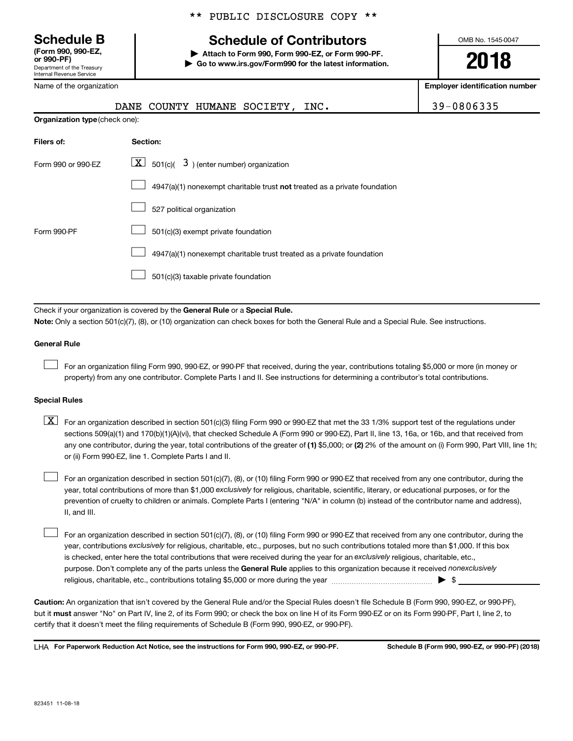**(Form 990, 990-EZ,**

Department of the Treasury Internal Revenue Service

Name of the organization

## **Schedule B Schedule of Contributors**

**or 990-PF) | Attach to Form 990, Form 990-EZ, or Form 990-PF. | Go to www.irs.gov/Form990 for the latest information.** OMB No. 1545-0047

**2018**

**Employer identification number**

|                                                                              | DANE                                                                                                                                                                                                                                                                                                                                                                                                                                                                                                      | COUNTY HUMANE SOCIETY,                                                |  | INC.                                                                                                                                      | 39-0806335                                                                                                                                 |  |  |  |  |
|------------------------------------------------------------------------------|-----------------------------------------------------------------------------------------------------------------------------------------------------------------------------------------------------------------------------------------------------------------------------------------------------------------------------------------------------------------------------------------------------------------------------------------------------------------------------------------------------------|-----------------------------------------------------------------------|--|-------------------------------------------------------------------------------------------------------------------------------------------|--------------------------------------------------------------------------------------------------------------------------------------------|--|--|--|--|
| Organization type (check one):                                               |                                                                                                                                                                                                                                                                                                                                                                                                                                                                                                           |                                                                       |  |                                                                                                                                           |                                                                                                                                            |  |  |  |  |
| Filers of:                                                                   | Section:                                                                                                                                                                                                                                                                                                                                                                                                                                                                                                  |                                                                       |  |                                                                                                                                           |                                                                                                                                            |  |  |  |  |
| Form 990 or 990-EZ                                                           |                                                                                                                                                                                                                                                                                                                                                                                                                                                                                                           | $\boxed{\textbf{X}}$ 501(c)( 3) (enter number) organization           |  |                                                                                                                                           |                                                                                                                                            |  |  |  |  |
|                                                                              |                                                                                                                                                                                                                                                                                                                                                                                                                                                                                                           |                                                                       |  | 4947(a)(1) nonexempt charitable trust not treated as a private foundation                                                                 |                                                                                                                                            |  |  |  |  |
|                                                                              |                                                                                                                                                                                                                                                                                                                                                                                                                                                                                                           | 527 political organization                                            |  |                                                                                                                                           |                                                                                                                                            |  |  |  |  |
| Form 990-PF                                                                  |                                                                                                                                                                                                                                                                                                                                                                                                                                                                                                           | 501(c)(3) exempt private foundation                                   |  |                                                                                                                                           |                                                                                                                                            |  |  |  |  |
|                                                                              |                                                                                                                                                                                                                                                                                                                                                                                                                                                                                                           | 4947(a)(1) nonexempt charitable trust treated as a private foundation |  |                                                                                                                                           |                                                                                                                                            |  |  |  |  |
|                                                                              |                                                                                                                                                                                                                                                                                                                                                                                                                                                                                                           | 501(c)(3) taxable private foundation                                  |  |                                                                                                                                           |                                                                                                                                            |  |  |  |  |
|                                                                              |                                                                                                                                                                                                                                                                                                                                                                                                                                                                                                           |                                                                       |  |                                                                                                                                           |                                                                                                                                            |  |  |  |  |
| Check if your organization is covered by the General Rule or a Special Rule. |                                                                                                                                                                                                                                                                                                                                                                                                                                                                                                           |                                                                       |  |                                                                                                                                           |                                                                                                                                            |  |  |  |  |
|                                                                              |                                                                                                                                                                                                                                                                                                                                                                                                                                                                                                           |                                                                       |  | Note: Only a section 501(c)(7), (8), or (10) organization can check boxes for both the General Rule and a Special Rule. See instructions. |                                                                                                                                            |  |  |  |  |
| <b>General Rule</b>                                                          |                                                                                                                                                                                                                                                                                                                                                                                                                                                                                                           |                                                                       |  |                                                                                                                                           |                                                                                                                                            |  |  |  |  |
|                                                                              |                                                                                                                                                                                                                                                                                                                                                                                                                                                                                                           |                                                                       |  | property) from any one contributor. Complete Parts I and II. See instructions for determining a contributor's total contributions.        | For an organization filing Form 990, 990-EZ, or 990-PF that received, during the year, contributions totaling \$5,000 or more (in money or |  |  |  |  |
| <b>Special Rules</b>                                                         |                                                                                                                                                                                                                                                                                                                                                                                                                                                                                                           |                                                                       |  |                                                                                                                                           |                                                                                                                                            |  |  |  |  |
| $\lfloor x \rfloor$                                                          | For an organization described in section 501(c)(3) filing Form 990 or 990-EZ that met the 33 1/3% support test of the regulations under<br>sections 509(a)(1) and 170(b)(1)(A)(vi), that checked Schedule A (Form 990 or 990-EZ), Part II, line 13, 16a, or 16b, and that received from<br>any one contributor, during the year, total contributions of the greater of (1) \$5,000; or (2) 2% of the amount on (i) Form 990, Part VIII, line 1h;<br>or (ii) Form 990-EZ, line 1. Complete Parts I and II. |                                                                       |  |                                                                                                                                           |                                                                                                                                            |  |  |  |  |

year, total contributions of more than \$1,000 *exclusively* for religious, charitable, scientific, literary, or educational purposes, or for the For an organization described in section 501(c)(7), (8), or (10) filing Form 990 or 990-EZ that received from any one contributor, during the prevention of cruelty to children or animals. Complete Parts I (entering "N/A" in column (b) instead of the contributor name and address), II, and III.

purpose. Don't complete any of the parts unless the General Rule applies to this organization because it received nonexclusively year, contributions exclusively for religious, charitable, etc., purposes, but no such contributions totaled more than \$1,000. If this box is checked, enter here the total contributions that were received during the year for an exclusively religious, charitable, etc., For an organization described in section 501(c)(7), (8), or (10) filing Form 990 or 990-EZ that received from any one contributor, during the religious, charitable, etc., contributions totaling \$5,000 or more during the year  $~\ldots\ldots\ldots\ldots\ldots\ldots\ldots\ldots\ldots\blacktriangleright~$ \$  $\Box$ 

**Caution:**  An organization that isn't covered by the General Rule and/or the Special Rules doesn't file Schedule B (Form 990, 990-EZ, or 990-PF),  **must** but it answer "No" on Part IV, line 2, of its Form 990; or check the box on line H of its Form 990-EZ or on its Form 990-PF, Part I, line 2, to certify that it doesn't meet the filing requirements of Schedule B (Form 990, 990-EZ, or 990-PF).

**For Paperwork Reduction Act Notice, see the instructions for Form 990, 990-EZ, or 990-PF. Schedule B (Form 990, 990-EZ, or 990-PF) (2018)** LHA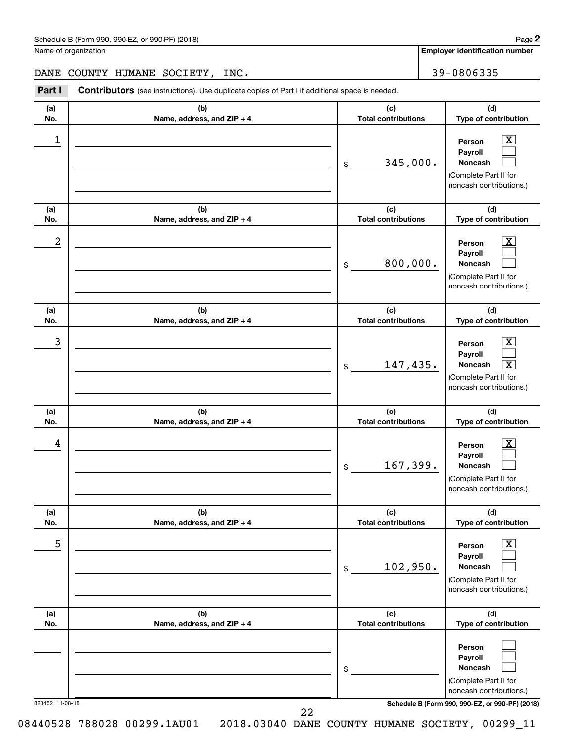| Schedule B (Form 990, 990-EZ, or 990-PF) (2018)<br>. , , , , , , , , , | Page |
|------------------------------------------------------------------------|------|
|------------------------------------------------------------------------|------|

Name of organization

**Employer identification number**

**(a) No. (b) Name, address, and ZIP + 4 (c) Total contributions (d) Type of contribution Person Payroll Noncash (a) No. (b) Name, address, and ZIP + 4 (c) Total contributions (d) Type of contribution Person Payroll Noncash (a) No. (b) Name, address, and ZIP + 4 (c) Total contributions (d) Type of contribution Person Payroll Noncash (a) No. (b) Name, address, and ZIP + 4 (c) Total contributions (d) Type of contribution Person Payroll Noncash (a) No. (b) Name, address, and ZIP + 4 (c) Total contributions (d) Type of contribution Person Payroll Noncash (a) No. (b) Name, address, and ZIP + 4 (c) Total contributions (d) Type of contribution Person Payroll Noncash Part I** Contributors (see instructions). Use duplicate copies of Part I if additional space is needed. \$ (Complete Part II for noncash contributions.) \$ (Complete Part II for noncash contributions.) \$ (Complete Part II for noncash contributions.) \$ (Complete Part II for noncash contributions.) \$ (Complete Part II for noncash contributions.) \$ (Complete Part II for  $\boxed{\textbf{X}}$  $\Box$  $\Box$  $\overline{\mathbf{X}}$  $\Box$  $\Box$  $\boxed{\textbf{X}}$  $\Box$  $\boxed{\textbf{X}}$  $\boxed{\textbf{X}}$  $\Box$  $\Box$  $\boxed{\text{X}}$  $\Box$  $\Box$  $\Box$  $\Box$  $\Box$ DANE COUNTY HUMANE SOCIETY, INC. 39-0806335  $\begin{array}{|c|c|c|c|c|}\hline \ \text{1} & \text{Person} & \text{X} \ \hline \end{array}$ 345,000.  $2$  Person  $\overline{\text{X}}$ 800,000.  $\begin{array}{|c|c|c|c|c|c|}\hline \text{3} & \text{Person} & \text{X} \ \hline \end{array}$ 147,435. X  $\begin{array}{|c|c|c|c|c|}\hline \text{4} & \text{Person} & \text{\textbf{X}}\ \hline \end{array}$ 167,399. 5 X 102,950.

823452 11-08-18 **Schedule B (Form 990, 990-EZ, or 990-PF) (2018)**

noncash contributions.)

22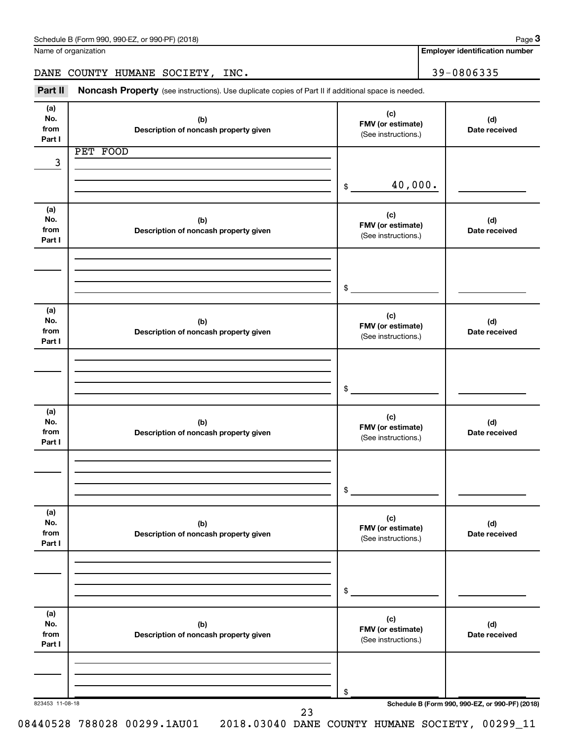Name of organization

**Employer identification number**

DANE COUNTY HUMANE SOCIETY, INC. 39-0806335

Part II Noncash Property (see instructions). Use duplicate copies of Part II if additional space is needed.

| No.<br>from<br>Part I | (b)<br>Description of noncash property given | (c)<br>FMV (or estimate)<br>(See instructions.) | (d)<br>Date received                            |
|-----------------------|----------------------------------------------|-------------------------------------------------|-------------------------------------------------|
|                       | PET FOOD                                     |                                                 |                                                 |
| 3                     |                                              |                                                 |                                                 |
|                       |                                              |                                                 |                                                 |
|                       |                                              | 40,000.<br>\$                                   |                                                 |
|                       |                                              |                                                 |                                                 |
| (a)<br>No.            | (b)                                          | (c)                                             | (d)                                             |
| from                  | Description of noncash property given        | FMV (or estimate)                               | Date received                                   |
| Part I                |                                              | (See instructions.)                             |                                                 |
|                       |                                              |                                                 |                                                 |
|                       |                                              |                                                 |                                                 |
|                       |                                              |                                                 |                                                 |
|                       |                                              | \$                                              |                                                 |
| (a)                   |                                              |                                                 |                                                 |
| No.                   | (b)                                          | (c)                                             | (d)                                             |
| from                  | Description of noncash property given        | FMV (or estimate)<br>(See instructions.)        | Date received                                   |
| Part I                |                                              |                                                 |                                                 |
|                       |                                              |                                                 |                                                 |
|                       |                                              |                                                 |                                                 |
|                       |                                              | \$                                              |                                                 |
|                       |                                              |                                                 |                                                 |
| (a)                   |                                              |                                                 |                                                 |
| No.                   | (b)                                          | (c)<br>FMV (or estimate)                        | (d)                                             |
| from                  | Description of noncash property given        | (See instructions.)                             | Date received                                   |
| Part I                |                                              |                                                 |                                                 |
|                       |                                              |                                                 |                                                 |
|                       |                                              |                                                 |                                                 |
|                       |                                              | \$                                              |                                                 |
|                       |                                              |                                                 |                                                 |
| (a)                   |                                              | (c)                                             |                                                 |
| No.<br>from           | (b)<br>Description of noncash property given | FMV (or estimate)                               | (d)<br>Date received                            |
| Part I                |                                              | (See instructions.)                             |                                                 |
|                       |                                              |                                                 |                                                 |
|                       |                                              |                                                 |                                                 |
|                       |                                              |                                                 |                                                 |
|                       |                                              | \$                                              |                                                 |
| (a)                   |                                              |                                                 |                                                 |
| No.                   | (b)                                          | (c)                                             | (d)                                             |
| from                  | Description of noncash property given        | FMV (or estimate)<br>(See instructions.)        | Date received                                   |
| Part I                |                                              |                                                 |                                                 |
|                       |                                              |                                                 |                                                 |
|                       |                                              |                                                 |                                                 |
|                       |                                              | \$                                              |                                                 |
| 823453 11-08-18       |                                              |                                                 | Schedule B (Form 990, 990-EZ, or 990-PF) (2018) |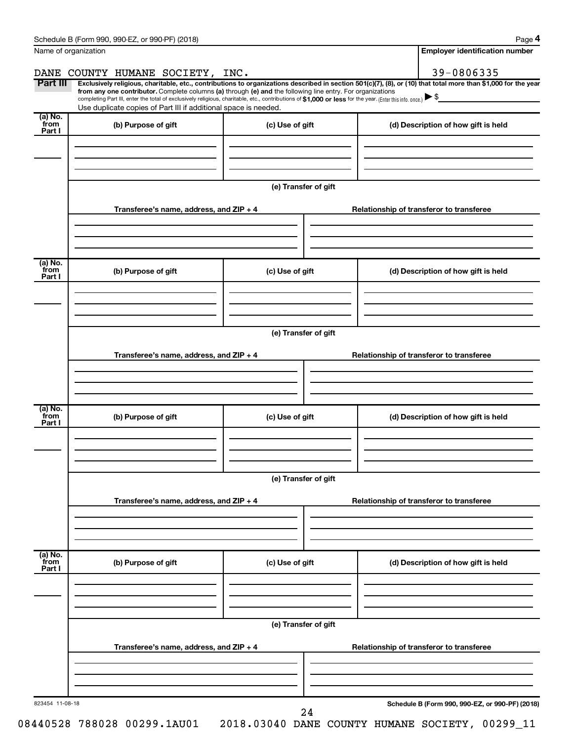| Name of organization       |                                                                                                                                                                                                                                                                                                                                                                                                                                                                                                             |                      |  | <b>Employer identification number</b>           |  |  |  |
|----------------------------|-------------------------------------------------------------------------------------------------------------------------------------------------------------------------------------------------------------------------------------------------------------------------------------------------------------------------------------------------------------------------------------------------------------------------------------------------------------------------------------------------------------|----------------------|--|-------------------------------------------------|--|--|--|
|                            | DANE COUNTY HUMANE SOCIETY, INC.                                                                                                                                                                                                                                                                                                                                                                                                                                                                            |                      |  | 39-0806335                                      |  |  |  |
| Part III                   | Exclusively religious, charitable, etc., contributions to organizations described in section 501(c)(7), (8), or (10) that total more than \$1,000 for the year<br>from any one contributor. Complete columns (a) through (e) and the following line entry. For organizations<br>completing Part III, enter the total of exclusively religious, charitable, etc., contributions of \$1,000 or less for the year. [Enter this info. once.]<br>Use duplicate copies of Part III if additional space is needed. |                      |  |                                                 |  |  |  |
| (a) No.<br>`from<br>Part I | (b) Purpose of gift                                                                                                                                                                                                                                                                                                                                                                                                                                                                                         | (c) Use of gift      |  | (d) Description of how gift is held             |  |  |  |
|                            |                                                                                                                                                                                                                                                                                                                                                                                                                                                                                                             |                      |  |                                                 |  |  |  |
|                            |                                                                                                                                                                                                                                                                                                                                                                                                                                                                                                             | (e) Transfer of gift |  |                                                 |  |  |  |
|                            | Transferee's name, address, and ZIP + 4                                                                                                                                                                                                                                                                                                                                                                                                                                                                     |                      |  | Relationship of transferor to transferee        |  |  |  |
| (a) No.                    |                                                                                                                                                                                                                                                                                                                                                                                                                                                                                                             |                      |  |                                                 |  |  |  |
| `from<br>Part I            | (b) Purpose of gift                                                                                                                                                                                                                                                                                                                                                                                                                                                                                         | (c) Use of gift      |  | (d) Description of how gift is held             |  |  |  |
|                            |                                                                                                                                                                                                                                                                                                                                                                                                                                                                                                             | (e) Transfer of gift |  |                                                 |  |  |  |
|                            | Transferee's name, address, and ZIP + 4                                                                                                                                                                                                                                                                                                                                                                                                                                                                     |                      |  | Relationship of transferor to transferee        |  |  |  |
|                            |                                                                                                                                                                                                                                                                                                                                                                                                                                                                                                             |                      |  |                                                 |  |  |  |
| (a) No.<br>from<br>Part I  | (b) Purpose of gift                                                                                                                                                                                                                                                                                                                                                                                                                                                                                         | (c) Use of gift      |  | (d) Description of how gift is held             |  |  |  |
|                            |                                                                                                                                                                                                                                                                                                                                                                                                                                                                                                             |                      |  |                                                 |  |  |  |
|                            | (e) Transfer of gift                                                                                                                                                                                                                                                                                                                                                                                                                                                                                        |                      |  |                                                 |  |  |  |
|                            | Transferee's name, address, and ZIP + 4                                                                                                                                                                                                                                                                                                                                                                                                                                                                     |                      |  | Relationship of transferor to transferee        |  |  |  |
|                            |                                                                                                                                                                                                                                                                                                                                                                                                                                                                                                             |                      |  |                                                 |  |  |  |
| (a) No.<br>from<br>Part I  | (b) Purpose of gift                                                                                                                                                                                                                                                                                                                                                                                                                                                                                         | (c) Use of gift      |  | (d) Description of how gift is held             |  |  |  |
|                            |                                                                                                                                                                                                                                                                                                                                                                                                                                                                                                             | (e) Transfer of gift |  |                                                 |  |  |  |
|                            | Transferee's name, address, and ZIP + 4                                                                                                                                                                                                                                                                                                                                                                                                                                                                     |                      |  | Relationship of transferor to transferee        |  |  |  |
|                            |                                                                                                                                                                                                                                                                                                                                                                                                                                                                                                             |                      |  |                                                 |  |  |  |
| 823454 11-08-18            |                                                                                                                                                                                                                                                                                                                                                                                                                                                                                                             | 24                   |  | Schedule B (Form 990, 990-EZ, or 990-PF) (2018) |  |  |  |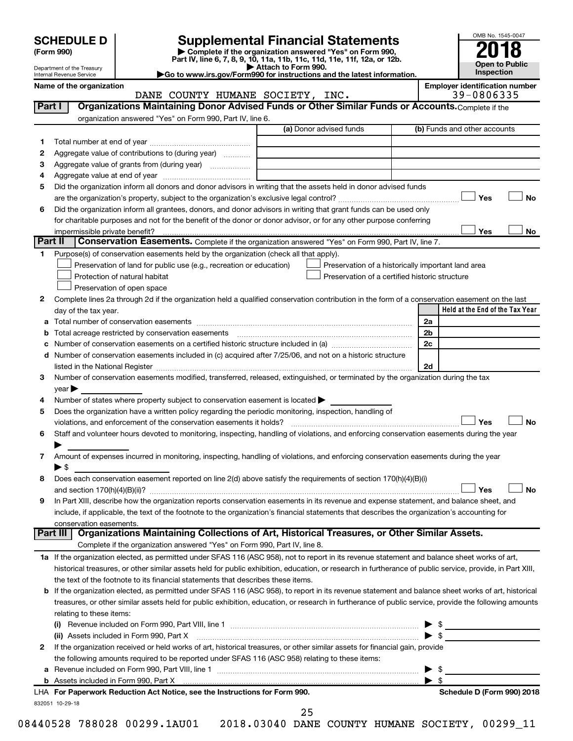| <b>SCHEDULE D</b> |  |  |
|-------------------|--|--|
|-------------------|--|--|

| (Form 990) |
|------------|
|            |

# **SCHEDULE D Supplemental Financial Statements**<br> **Form 990 2018**<br> **Part IV** line 6.7.8.9.10, 11a, 11b, 11d, 11d, 11d, 11d, 11d, 12a, 0r, 12b

**(Form 990) | Complete if the organization answered "Yes" on Form 990, Part IV, line 6, 7, 8, 9, 10, 11a, 11b, 11c, 11d, 11e, 11f, 12a, or 12b.**

**| Attach to Form 990. |Go to www.irs.gov/Form990 for instructions and the latest information.**



Department of the Treasury Internal Revenue Service

Name of the organization<br> **Employer identification number**<br> **Employer identification number**<br> **Employer identification number**<br> **Employer identification number**<br> **Employer identification number** DANE COUNTY HUMANE SOCIETY, INC.

| Part I  | Organizations Maintaining Donor Advised Funds or Other Similar Funds or Accounts. Complete if the<br>organization answered "Yes" on Form 990, Part IV, line 6.                                                                 |                                                    |                                 |
|---------|--------------------------------------------------------------------------------------------------------------------------------------------------------------------------------------------------------------------------------|----------------------------------------------------|---------------------------------|
|         |                                                                                                                                                                                                                                | (a) Donor advised funds                            | (b) Funds and other accounts    |
| 1.      |                                                                                                                                                                                                                                |                                                    |                                 |
| 2       | Aggregate value of contributions to (during year)                                                                                                                                                                              |                                                    |                                 |
| З       |                                                                                                                                                                                                                                |                                                    |                                 |
| 4       |                                                                                                                                                                                                                                |                                                    |                                 |
| 5       | Did the organization inform all donors and donor advisors in writing that the assets held in donor advised funds                                                                                                               |                                                    |                                 |
|         |                                                                                                                                                                                                                                |                                                    | Yes<br>No                       |
| 6       | Did the organization inform all grantees, donors, and donor advisors in writing that grant funds can be used only                                                                                                              |                                                    |                                 |
|         | for charitable purposes and not for the benefit of the donor or donor advisor, or for any other purpose conferring                                                                                                             |                                                    |                                 |
|         |                                                                                                                                                                                                                                |                                                    | Yes<br>No                       |
| Part II | Conservation Easements. Complete if the organization answered "Yes" on Form 990, Part IV, line 7.                                                                                                                              |                                                    |                                 |
| 1       | Purpose(s) of conservation easements held by the organization (check all that apply).                                                                                                                                          |                                                    |                                 |
|         | Preservation of land for public use (e.g., recreation or education)                                                                                                                                                            | Preservation of a historically important land area |                                 |
|         | Protection of natural habitat                                                                                                                                                                                                  | Preservation of a certified historic structure     |                                 |
|         | Preservation of open space                                                                                                                                                                                                     |                                                    |                                 |
| 2       | Complete lines 2a through 2d if the organization held a qualified conservation contribution in the form of a conservation easement on the last                                                                                 |                                                    |                                 |
|         | day of the tax year.                                                                                                                                                                                                           |                                                    | Held at the End of the Tax Year |
| а       |                                                                                                                                                                                                                                |                                                    | 2a                              |
|         |                                                                                                                                                                                                                                |                                                    | 2b                              |
|         |                                                                                                                                                                                                                                |                                                    | 2c                              |
| d       | Number of conservation easements included in (c) acquired after 7/25/06, and not on a historic structure                                                                                                                       |                                                    |                                 |
|         | listed in the National Register [111] Martin March 1999 (1999) and the National March 1999 (1999) and the National Register [11] March 1999 (1999) and the National March 1999 (1999) and the National March 1999 (1999) and t |                                                    | 2d                              |
| 3       | Number of conservation easements modified, transferred, released, extinguished, or terminated by the organization during the tax                                                                                               |                                                    |                                 |
|         | year                                                                                                                                                                                                                           |                                                    |                                 |
| 4       | Number of states where property subject to conservation easement is located $\blacktriangleright$                                                                                                                              |                                                    |                                 |
| 5       | Does the organization have a written policy regarding the periodic monitoring, inspection, handling of                                                                                                                         |                                                    |                                 |
|         | violations, and enforcement of the conservation easements it holds?                                                                                                                                                            |                                                    | Yes<br><b>No</b>                |
| 6       | Staff and volunteer hours devoted to monitoring, inspecting, handling of violations, and enforcing conservation easements during the year                                                                                      |                                                    |                                 |
|         |                                                                                                                                                                                                                                |                                                    |                                 |
| 7       | Amount of expenses incurred in monitoring, inspecting, handling of violations, and enforcing conservation easements during the year                                                                                            |                                                    |                                 |
|         | $\blacktriangleright$ \$                                                                                                                                                                                                       |                                                    |                                 |
| 8       | Does each conservation easement reported on line 2(d) above satisfy the requirements of section 170(h)(4)(B)(i)                                                                                                                |                                                    |                                 |
|         |                                                                                                                                                                                                                                |                                                    | Yes<br><b>No</b>                |
| 9       | In Part XIII, describe how the organization reports conservation easements in its revenue and expense statement, and balance sheet, and                                                                                        |                                                    |                                 |
|         | include, if applicable, the text of the footnote to the organization's financial statements that describes the organization's accounting for                                                                                   |                                                    |                                 |
|         | conservation easements.                                                                                                                                                                                                        |                                                    |                                 |
|         | Organizations Maintaining Collections of Art, Historical Treasures, or Other Similar Assets.<br>Part III                                                                                                                       |                                                    |                                 |
|         | Complete if the organization answered "Yes" on Form 990, Part IV, line 8.                                                                                                                                                      |                                                    |                                 |
|         | 1a If the organization elected, as permitted under SFAS 116 (ASC 958), not to report in its revenue statement and balance sheet works of art,                                                                                  |                                                    |                                 |
|         | historical treasures, or other similar assets held for public exhibition, education, or research in furtherance of public service, provide, in Part XIII,                                                                      |                                                    |                                 |
|         | the text of the footnote to its financial statements that describes these items.                                                                                                                                               |                                                    |                                 |
| b       | If the organization elected, as permitted under SFAS 116 (ASC 958), to report in its revenue statement and balance sheet works of art, historical                                                                              |                                                    |                                 |
|         | treasures, or other similar assets held for public exhibition, education, or research in furtherance of public service, provide the following amounts                                                                          |                                                    |                                 |
|         | relating to these items:                                                                                                                                                                                                       |                                                    |                                 |
|         |                                                                                                                                                                                                                                |                                                    | $\frac{1}{2}$                   |
|         | (ii) Assets included in Form 990, Part X                                                                                                                                                                                       |                                                    | $\blacktriangleright$ \$        |
| 2       | If the organization received or held works of art, historical treasures, or other similar assets for financial gain, provide                                                                                                   |                                                    |                                 |
|         | the following amounts required to be reported under SFAS 116 (ASC 958) relating to these items:                                                                                                                                |                                                    |                                 |
| а       |                                                                                                                                                                                                                                |                                                    | \$<br>▶                         |
|         |                                                                                                                                                                                                                                |                                                    | $\blacktriangleright$ s         |
|         | LHA For Paperwork Reduction Act Notice, see the Instructions for Form 990.                                                                                                                                                     |                                                    | Schedule D (Form 990) 2018      |
|         | 832051 10-29-18                                                                                                                                                                                                                |                                                    |                                 |

25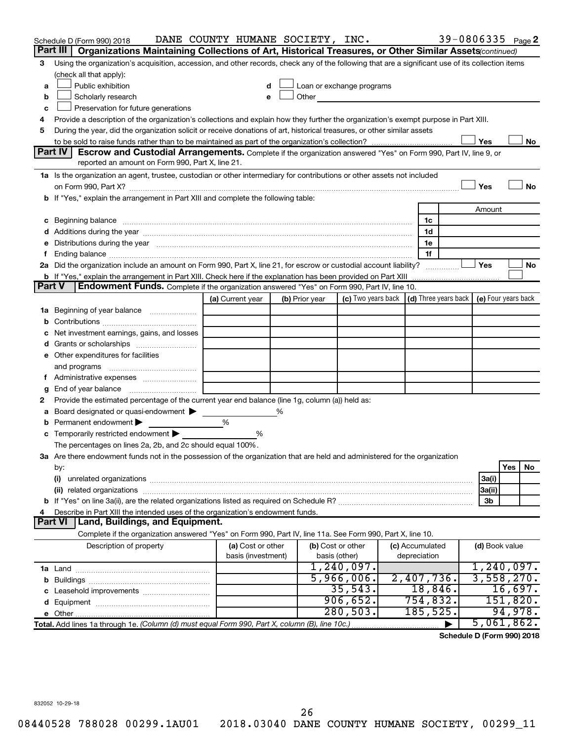|               | Schedule D (Form 990) 2018                                                                                                                                                                                                     | DANE COUNTY HUMANE SOCIETY, INC.        |                |                                    |                           |                                 |                | 39-0806335 Page 2                                |
|---------------|--------------------------------------------------------------------------------------------------------------------------------------------------------------------------------------------------------------------------------|-----------------------------------------|----------------|------------------------------------|---------------------------|---------------------------------|----------------|--------------------------------------------------|
|               | Part III  <br>Organizations Maintaining Collections of Art, Historical Treasures, or Other Similar Assets (continued)                                                                                                          |                                         |                |                                    |                           |                                 |                |                                                  |
| 3             | Using the organization's acquisition, accession, and other records, check any of the following that are a significant use of its collection items                                                                              |                                         |                |                                    |                           |                                 |                |                                                  |
|               | (check all that apply):                                                                                                                                                                                                        |                                         |                |                                    |                           |                                 |                |                                                  |
| a             | Public exhibition                                                                                                                                                                                                              | d                                       |                |                                    | Loan or exchange programs |                                 |                |                                                  |
| b             | Scholarly research                                                                                                                                                                                                             | е                                       | Other          |                                    |                           |                                 |                |                                                  |
| с             | Preservation for future generations                                                                                                                                                                                            |                                         |                |                                    |                           |                                 |                |                                                  |
| 4             | Provide a description of the organization's collections and explain how they further the organization's exempt purpose in Part XIII.                                                                                           |                                         |                |                                    |                           |                                 |                |                                                  |
| 5             | During the year, did the organization solicit or receive donations of art, historical treasures, or other similar assets                                                                                                       |                                         |                |                                    |                           |                                 |                |                                                  |
|               |                                                                                                                                                                                                                                |                                         |                |                                    |                           |                                 | Yes            | No                                               |
|               | Part IV<br>Escrow and Custodial Arrangements. Complete if the organization answered "Yes" on Form 990, Part IV, line 9, or<br>reported an amount on Form 990, Part X, line 21.                                                 |                                         |                |                                    |                           |                                 |                |                                                  |
|               |                                                                                                                                                                                                                                |                                         |                |                                    |                           |                                 |                |                                                  |
|               | 1a Is the organization an agent, trustee, custodian or other intermediary for contributions or other assets not included                                                                                                       |                                         |                |                                    |                           |                                 | Yes            | No                                               |
|               | b If "Yes," explain the arrangement in Part XIII and complete the following table:                                                                                                                                             |                                         |                |                                    |                           |                                 |                |                                                  |
|               |                                                                                                                                                                                                                                |                                         |                |                                    |                           |                                 | Amount         |                                                  |
|               |                                                                                                                                                                                                                                |                                         |                |                                    |                           | 1c                              |                |                                                  |
|               |                                                                                                                                                                                                                                |                                         |                |                                    |                           | 1d                              |                |                                                  |
| е             | Distributions during the year manufactured and an account of the year manufactured and the year manufactured and the year manufactured and the year manufactured and the year manufactured and the year manufactured and the y |                                         |                |                                    |                           | 1e                              |                |                                                  |
| f.            |                                                                                                                                                                                                                                |                                         |                |                                    |                           | 1f                              |                |                                                  |
|               | 2a Did the organization include an amount on Form 990, Part X, line 21, for escrow or custodial account liability?                                                                                                             |                                         |                |                                    |                           |                                 | Yes            | No                                               |
|               | <b>b</b> If "Yes," explain the arrangement in Part XIII. Check here if the explanation has been provided on Part XIII                                                                                                          |                                         |                |                                    |                           |                                 |                |                                                  |
| <b>Part V</b> | Endowment Funds. Complete if the organization answered "Yes" on Form 990, Part IV, line 10.                                                                                                                                    |                                         |                |                                    |                           |                                 |                |                                                  |
|               |                                                                                                                                                                                                                                | (a) Current year                        | (b) Prior year |                                    | (c) Two years back        |                                 |                | (d) Three years back $\vert$ (e) Four years back |
|               | 1a Beginning of year balance                                                                                                                                                                                                   |                                         |                |                                    |                           |                                 |                |                                                  |
| b             |                                                                                                                                                                                                                                |                                         |                |                                    |                           |                                 |                |                                                  |
|               | Net investment earnings, gains, and losses                                                                                                                                                                                     |                                         |                |                                    |                           |                                 |                |                                                  |
| d             |                                                                                                                                                                                                                                |                                         |                |                                    |                           |                                 |                |                                                  |
|               | e Other expenditures for facilities                                                                                                                                                                                            |                                         |                |                                    |                           |                                 |                |                                                  |
|               | and programs                                                                                                                                                                                                                   |                                         |                |                                    |                           |                                 |                |                                                  |
|               |                                                                                                                                                                                                                                |                                         |                |                                    |                           |                                 |                |                                                  |
| g             |                                                                                                                                                                                                                                |                                         |                |                                    |                           |                                 |                |                                                  |
| 2             | Provide the estimated percentage of the current year end balance (line 1g, column (a)) held as:                                                                                                                                |                                         |                |                                    |                           |                                 |                |                                                  |
| а             | Board designated or quasi-endowment<br>Permanent endowment >                                                                                                                                                                   | %                                       | %              |                                    |                           |                                 |                |                                                  |
| b<br>с        | Temporarily restricted endowment                                                                                                                                                                                               | %                                       |                |                                    |                           |                                 |                |                                                  |
|               | The percentages on lines 2a, 2b, and 2c should equal 100%.                                                                                                                                                                     |                                         |                |                                    |                           |                                 |                |                                                  |
|               | 3a Are there endowment funds not in the possession of the organization that are held and administered for the organization                                                                                                     |                                         |                |                                    |                           |                                 |                |                                                  |
|               | by:                                                                                                                                                                                                                            |                                         |                |                                    |                           |                                 |                | Yes<br>No                                        |
|               | (i)                                                                                                                                                                                                                            |                                         |                |                                    |                           |                                 | 3a(i)          |                                                  |
|               |                                                                                                                                                                                                                                |                                         |                |                                    |                           |                                 | 3a(ii)         |                                                  |
|               |                                                                                                                                                                                                                                |                                         |                |                                    |                           |                                 | 3b             |                                                  |
| 4             | Describe in Part XIII the intended uses of the organization's endowment funds.                                                                                                                                                 |                                         |                |                                    |                           |                                 |                |                                                  |
|               | Part VI   Land, Buildings, and Equipment.                                                                                                                                                                                      |                                         |                |                                    |                           |                                 |                |                                                  |
|               | Complete if the organization answered "Yes" on Form 990, Part IV, line 11a. See Form 990, Part X, line 10.                                                                                                                     |                                         |                |                                    |                           |                                 |                |                                                  |
|               | Description of property                                                                                                                                                                                                        | (a) Cost or other<br>basis (investment) |                | (b) Cost or other<br>basis (other) |                           | (c) Accumulated<br>depreciation | (d) Book value |                                                  |
|               |                                                                                                                                                                                                                                |                                         |                |                                    | 1,240,097.                |                                 |                | 1,240,097.                                       |
|               |                                                                                                                                                                                                                                |                                         |                |                                    | 5,966,006.                | 2,407,736.                      |                | 3,558,270.                                       |
| c             |                                                                                                                                                                                                                                |                                         |                |                                    | 35,543.                   | 18,846.                         |                | 16,697.                                          |
|               |                                                                                                                                                                                                                                |                                         |                |                                    | 906,652.                  | 754,832.                        |                | 151,820.                                         |
|               |                                                                                                                                                                                                                                |                                         |                |                                    | 280, 503.                 | 185, 525.                       |                | 94,978.                                          |
|               |                                                                                                                                                                                                                                |                                         |                |                                    |                           |                                 |                | 5,061,862.                                       |
|               |                                                                                                                                                                                                                                |                                         |                |                                    |                           |                                 |                |                                                  |

**Schedule D (Form 990) 2018**

832052 10-29-18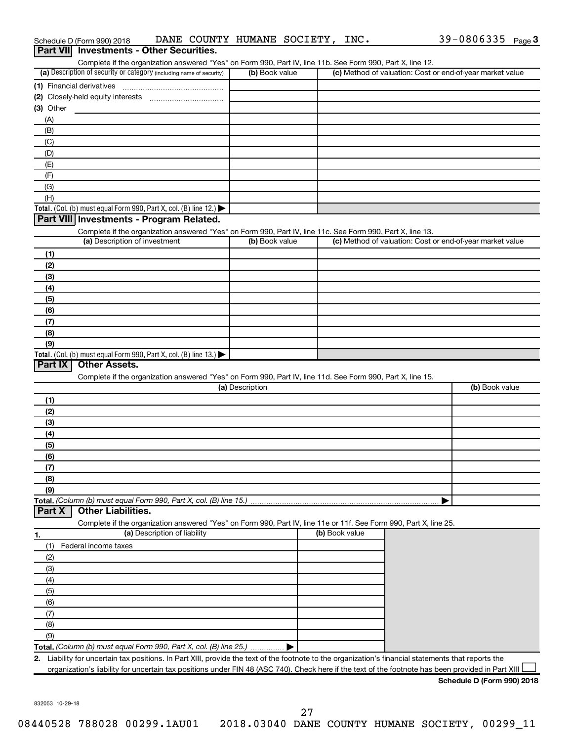|             | Schedule D (Form 990) 2018<br>Part VII Investments - Other Securities. | DANE COUNTY HUMANE SOCIETY, INC.                                                                                                                     |                 |                |   | $39 - 0806335$ Page 3                                     |  |
|-------------|------------------------------------------------------------------------|------------------------------------------------------------------------------------------------------------------------------------------------------|-----------------|----------------|---|-----------------------------------------------------------|--|
|             |                                                                        | Complete if the organization answered "Yes" on Form 990, Part IV, line 11b. See Form 990, Part X, line 12.                                           |                 |                |   |                                                           |  |
|             |                                                                        | (a) Description of security or category (including name of security)                                                                                 | (b) Book value  |                |   | (c) Method of valuation: Cost or end-of-year market value |  |
|             | (1) Financial derivatives                                              |                                                                                                                                                      |                 |                |   |                                                           |  |
|             |                                                                        |                                                                                                                                                      |                 |                |   |                                                           |  |
| $(3)$ Other |                                                                        |                                                                                                                                                      |                 |                |   |                                                           |  |
| (A)         |                                                                        |                                                                                                                                                      |                 |                |   |                                                           |  |
| (B)         |                                                                        |                                                                                                                                                      |                 |                |   |                                                           |  |
| (C)         |                                                                        |                                                                                                                                                      |                 |                |   |                                                           |  |
| (D)         |                                                                        |                                                                                                                                                      |                 |                |   |                                                           |  |
| (E)         |                                                                        |                                                                                                                                                      |                 |                |   |                                                           |  |
| (F)         |                                                                        |                                                                                                                                                      |                 |                |   |                                                           |  |
| (G)         |                                                                        |                                                                                                                                                      |                 |                |   |                                                           |  |
| (H)         |                                                                        |                                                                                                                                                      |                 |                |   |                                                           |  |
|             |                                                                        | Total. (Col. (b) must equal Form 990, Part X, col. (B) line 12.)                                                                                     |                 |                |   |                                                           |  |
|             |                                                                        | Part VIII Investments - Program Related.                                                                                                             |                 |                |   |                                                           |  |
|             |                                                                        | Complete if the organization answered "Yes" on Form 990, Part IV, line 11c. See Form 990, Part X, line 13.                                           |                 |                |   |                                                           |  |
|             | (a) Description of investment                                          |                                                                                                                                                      | (b) Book value  |                |   | (c) Method of valuation: Cost or end-of-year market value |  |
| (1)         |                                                                        |                                                                                                                                                      |                 |                |   |                                                           |  |
| (2)         |                                                                        |                                                                                                                                                      |                 |                |   |                                                           |  |
| (3)         |                                                                        |                                                                                                                                                      |                 |                |   |                                                           |  |
| (4)         |                                                                        |                                                                                                                                                      |                 |                |   |                                                           |  |
| (5)<br>(6)  |                                                                        |                                                                                                                                                      |                 |                |   |                                                           |  |
| (7)         |                                                                        |                                                                                                                                                      |                 |                |   |                                                           |  |
| (8)         |                                                                        |                                                                                                                                                      |                 |                |   |                                                           |  |
| (9)         |                                                                        |                                                                                                                                                      |                 |                |   |                                                           |  |
|             |                                                                        | Total. (Col. (b) must equal Form 990, Part X, col. (B) line 13.)                                                                                     |                 |                |   |                                                           |  |
| Part IX     | <b>Other Assets.</b>                                                   |                                                                                                                                                      |                 |                |   |                                                           |  |
|             |                                                                        | Complete if the organization answered "Yes" on Form 990, Part IV, line 11d. See Form 990, Part X, line 15.                                           |                 |                |   |                                                           |  |
|             |                                                                        |                                                                                                                                                      | (a) Description |                |   | (b) Book value                                            |  |
| (1)         |                                                                        |                                                                                                                                                      |                 |                |   |                                                           |  |
| (2)         |                                                                        |                                                                                                                                                      |                 |                |   |                                                           |  |
| (3)         |                                                                        |                                                                                                                                                      |                 |                |   |                                                           |  |
| (4)         |                                                                        |                                                                                                                                                      |                 |                |   |                                                           |  |
| (5)         |                                                                        |                                                                                                                                                      |                 |                |   |                                                           |  |
| (6)         |                                                                        |                                                                                                                                                      |                 |                |   |                                                           |  |
| (7)         |                                                                        |                                                                                                                                                      |                 |                |   |                                                           |  |
| (8)         |                                                                        |                                                                                                                                                      |                 |                |   |                                                           |  |
| (9)         |                                                                        |                                                                                                                                                      |                 |                |   |                                                           |  |
|             | <b>Other Liabilities.</b>                                              | Total. (Column (b) must equal Form 990, Part X, col. (B) line 15.)                                                                                   |                 |                | ▶ |                                                           |  |
| Part X      |                                                                        | Complete if the organization answered "Yes" on Form 990, Part IV, line 11e or 11f. See Form 990, Part X, line 25.                                    |                 |                |   |                                                           |  |
|             |                                                                        | (a) Description of liability                                                                                                                         |                 | (b) Book value |   |                                                           |  |
| 1.          |                                                                        |                                                                                                                                                      |                 |                |   |                                                           |  |
| (1)<br>(2)  | Federal income taxes                                                   |                                                                                                                                                      |                 |                |   |                                                           |  |
| (3)         |                                                                        |                                                                                                                                                      |                 |                |   |                                                           |  |
| (4)         |                                                                        |                                                                                                                                                      |                 |                |   |                                                           |  |
| (5)         |                                                                        |                                                                                                                                                      |                 |                |   |                                                           |  |
| (6)         |                                                                        |                                                                                                                                                      |                 |                |   |                                                           |  |
| (7)         |                                                                        |                                                                                                                                                      |                 |                |   |                                                           |  |
| (8)         |                                                                        |                                                                                                                                                      |                 |                |   |                                                           |  |
| (9)         |                                                                        |                                                                                                                                                      |                 |                |   |                                                           |  |
|             |                                                                        | Total. (Column (b) must equal Form 990, Part X, col. (B) line 25.)                                                                                   |                 |                |   |                                                           |  |
|             |                                                                        | 2. Liability for uncertain tax positions. In Part XIII, provide the text of the footnote to the organization's financial statements that reports the |                 |                |   |                                                           |  |
|             |                                                                        | organization's liability for uncertain tax positions under FIN 48 (ASC 740). Check here if the text of the footnote has been provided in Part XIII   |                 |                |   |                                                           |  |
|             |                                                                        |                                                                                                                                                      |                 |                |   | Schedule D (Form 990) 2018                                |  |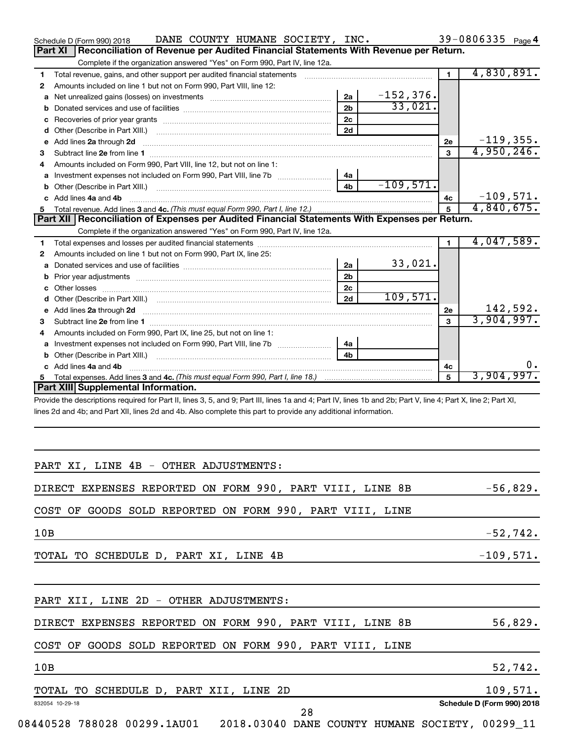|     | DANE COUNTY HUMANE SOCIETY, INC.<br>Schedule D (Form 990) 2018                                                                                                 |                |                             |                | 39-0806335 Page 4 |            |
|-----|----------------------------------------------------------------------------------------------------------------------------------------------------------------|----------------|-----------------------------|----------------|-------------------|------------|
|     | Reconciliation of Revenue per Audited Financial Statements With Revenue per Return.<br>Part XI                                                                 |                |                             |                |                   |            |
|     | Complete if the organization answered "Yes" on Form 990, Part IV, line 12a.                                                                                    |                |                             |                |                   |            |
| 1   |                                                                                                                                                                |                |                             | $\blacksquare$ | 4,830,891.        |            |
| 2   | Amounts included on line 1 but not on Form 990, Part VIII, line 12:                                                                                            |                |                             |                |                   |            |
| а   |                                                                                                                                                                | 2a             | $\frac{-152,376.}{33,021.}$ |                |                   |            |
| b   |                                                                                                                                                                | 2 <sub>b</sub> |                             |                |                   |            |
| с   |                                                                                                                                                                | 2 <sub>c</sub> |                             |                |                   |            |
| d   |                                                                                                                                                                | 2d             |                             |                |                   |            |
| е   | Add lines 2a through 2d                                                                                                                                        |                |                             | 2е             | $-119,355.$       |            |
| З   |                                                                                                                                                                |                |                             | 3              | 4,950,246.        |            |
| 4   | Amounts included on Form 990, Part VIII, line 12, but not on line 1:                                                                                           |                |                             |                |                   |            |
|     | Investment expenses not included on Form 990, Part VIII, line 7b [11, 111, 111, 111]                                                                           | 4a             |                             |                |                   |            |
| b   |                                                                                                                                                                | 4 <sub>b</sub> | $-109,571.$                 |                |                   |            |
|     | c Add lines 4a and 4b                                                                                                                                          |                |                             | 4с             | $-109,571.$       |            |
| 5.  |                                                                                                                                                                |                |                             | 5              | 4,840,675.        |            |
|     | Part XII Reconciliation of Expenses per Audited Financial Statements With Expenses per Return.                                                                 |                |                             |                |                   |            |
|     | Complete if the organization answered "Yes" on Form 990, Part IV, line 12a.                                                                                    |                |                             |                |                   |            |
| 1   |                                                                                                                                                                |                |                             | $\blacksquare$ | 4,047,589.        |            |
| 2   | Amounts included on line 1 but not on Form 990, Part IX, line 25:                                                                                              |                |                             |                |                   |            |
| а   |                                                                                                                                                                | 2a             | 33,021.                     |                |                   |            |
| b   |                                                                                                                                                                | 2 <sub>b</sub> |                             |                |                   |            |
|     |                                                                                                                                                                | 2 <sub>c</sub> |                             |                |                   |            |
|     |                                                                                                                                                                | 2d             | 109,571.                    |                |                   |            |
| е   | Add lines 2a through 2d                                                                                                                                        |                |                             | <b>2e</b>      |                   | 142,592.   |
| З   |                                                                                                                                                                |                |                             | 3              | 3,904,997.        |            |
| 4   | Amounts included on Form 990, Part IX, line 25, but not on line 1:                                                                                             |                |                             |                |                   |            |
|     |                                                                                                                                                                | 4a             |                             |                |                   |            |
| b   | Other (Describe in Part XIII.) <b>CONFIDENT ACCOMPTER</b> (Described in Part XIII.)                                                                            | 4b             |                             |                |                   |            |
|     | c Add lines 4a and 4b                                                                                                                                          |                |                             | 4c             |                   | 0.         |
| 5.  |                                                                                                                                                                |                |                             | 5              | 3,904,997.        |            |
|     | Part XIII Supplemental Information.                                                                                                                            |                |                             |                |                   |            |
|     | Provide the descriptions required for Part II, lines 3, 5, and 9; Part III, lines 1a and 4; Part IV, lines 1b and 2b; Part V, line 4; Part X, line 2; Part XI, |                |                             |                |                   |            |
|     | lines 2d and 4b; and Part XII, lines 2d and 4b. Also complete this part to provide any additional information.                                                 |                |                             |                |                   |            |
|     |                                                                                                                                                                |                |                             |                |                   |            |
|     |                                                                                                                                                                |                |                             |                |                   |            |
|     |                                                                                                                                                                |                |                             |                |                   |            |
|     |                                                                                                                                                                |                |                             |                |                   |            |
|     | PART XI, LINE 4B - OTHER ADJUSTMENTS:                                                                                                                          |                |                             |                |                   |            |
|     |                                                                                                                                                                |                |                             |                |                   |            |
|     | DIRECT EXPENSES REPORTED ON FORM 990, PART VIII, LINE 8B                                                                                                       |                |                             |                |                   | $-56,829.$ |
|     |                                                                                                                                                                |                |                             |                |                   |            |
|     | COST OF GOODS SOLD REPORTED ON FORM 990, PART VIII, LINE                                                                                                       |                |                             |                |                   |            |
|     |                                                                                                                                                                |                |                             |                |                   |            |
| 10B |                                                                                                                                                                |                |                             |                |                   | $-52,742.$ |
|     |                                                                                                                                                                |                |                             |                |                   |            |
|     | TOTAL TO SCHEDULE D, PART XI, LINE 4B                                                                                                                          |                |                             |                | $-109,571.$       |            |
|     |                                                                                                                                                                |                |                             |                |                   |            |
|     |                                                                                                                                                                |                |                             |                |                   |            |
|     |                                                                                                                                                                |                |                             |                |                   |            |
|     | PART XII, LINE 2D - OTHER ADJUSTMENTS:                                                                                                                         |                |                             |                |                   |            |
|     | DIRECT EXPENSES REPORTED ON FORM 990, PART VIII, LINE 8B                                                                                                       |                |                             |                |                   | 56,829.    |

COST OF GOODS SOLD REPORTED ON FORM 990, PART VIII, LINE

832054 10-29-18 **Schedule D (Form 990) 2018** 10B 52,742. TOTAL TO SCHEDULE D, PART XII, LINE 2D 109,571.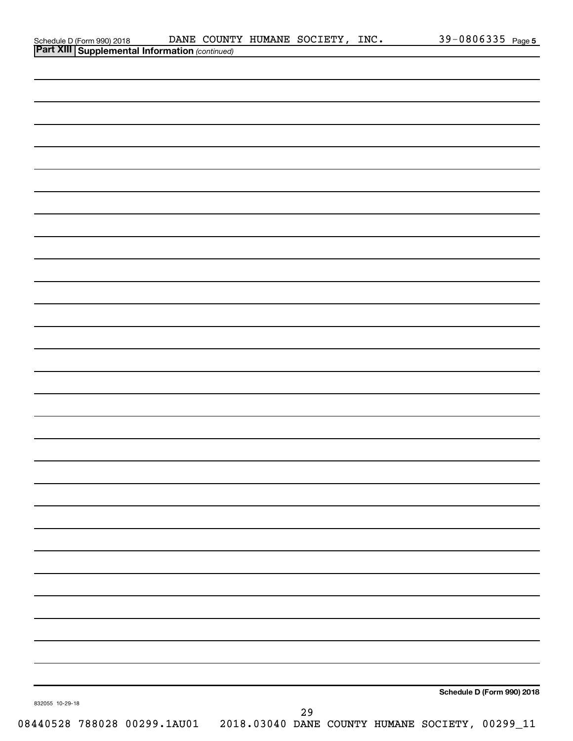| Schedule D (Form 990) 2018 DANE COUNT<br>Part XIII Supplemental Information (continued) |  | DANE COUNTY HUMANE SOCIETY, INC. |    |  |                                                 | 39-0806335 Page 5          |
|-----------------------------------------------------------------------------------------|--|----------------------------------|----|--|-------------------------------------------------|----------------------------|
|                                                                                         |  |                                  |    |  |                                                 |                            |
|                                                                                         |  |                                  |    |  |                                                 |                            |
|                                                                                         |  |                                  |    |  |                                                 |                            |
|                                                                                         |  |                                  |    |  |                                                 |                            |
|                                                                                         |  |                                  |    |  |                                                 |                            |
|                                                                                         |  |                                  |    |  |                                                 |                            |
|                                                                                         |  |                                  |    |  |                                                 |                            |
|                                                                                         |  |                                  |    |  |                                                 |                            |
|                                                                                         |  |                                  |    |  |                                                 |                            |
|                                                                                         |  |                                  |    |  |                                                 |                            |
|                                                                                         |  |                                  |    |  |                                                 |                            |
|                                                                                         |  |                                  |    |  |                                                 |                            |
|                                                                                         |  |                                  |    |  |                                                 |                            |
|                                                                                         |  |                                  |    |  |                                                 |                            |
|                                                                                         |  |                                  |    |  |                                                 |                            |
|                                                                                         |  |                                  |    |  |                                                 |                            |
|                                                                                         |  |                                  |    |  |                                                 |                            |
|                                                                                         |  |                                  |    |  |                                                 |                            |
|                                                                                         |  |                                  |    |  |                                                 |                            |
|                                                                                         |  |                                  |    |  |                                                 |                            |
|                                                                                         |  |                                  |    |  |                                                 |                            |
|                                                                                         |  |                                  |    |  |                                                 |                            |
|                                                                                         |  |                                  |    |  |                                                 |                            |
|                                                                                         |  |                                  |    |  |                                                 |                            |
|                                                                                         |  |                                  |    |  |                                                 |                            |
|                                                                                         |  |                                  |    |  |                                                 |                            |
|                                                                                         |  |                                  |    |  |                                                 |                            |
|                                                                                         |  |                                  |    |  |                                                 |                            |
|                                                                                         |  |                                  |    |  |                                                 |                            |
|                                                                                         |  |                                  |    |  |                                                 |                            |
|                                                                                         |  |                                  |    |  |                                                 |                            |
|                                                                                         |  |                                  |    |  |                                                 |                            |
|                                                                                         |  |                                  |    |  |                                                 |                            |
|                                                                                         |  |                                  |    |  |                                                 |                            |
|                                                                                         |  |                                  |    |  |                                                 |                            |
|                                                                                         |  |                                  |    |  |                                                 |                            |
|                                                                                         |  |                                  |    |  |                                                 |                            |
|                                                                                         |  |                                  |    |  |                                                 |                            |
|                                                                                         |  |                                  |    |  |                                                 | Schedule D (Form 990) 2018 |
| 832055 10-29-18                                                                         |  |                                  | 29 |  |                                                 |                            |
| 08440528 788028 00299.1AU01                                                             |  |                                  |    |  | 2018.03040 DANE COUNTY HUMANE SOCIETY, 00299_11 |                            |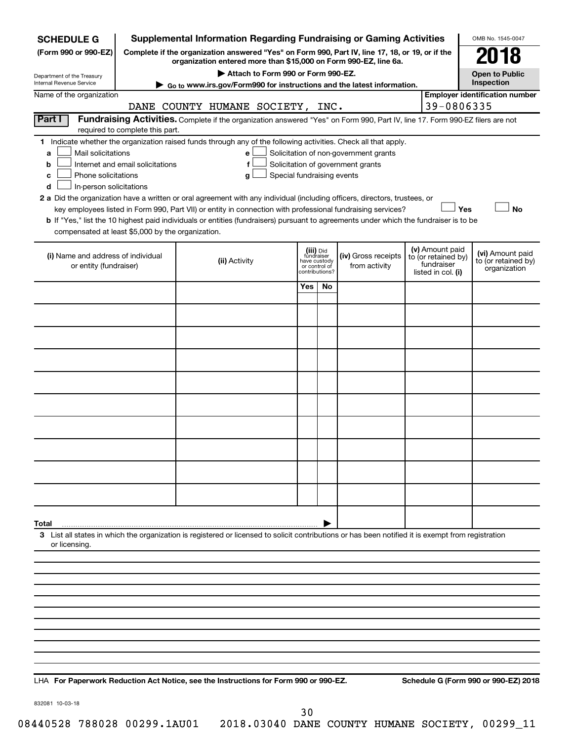| <b>SCHEDULE G</b>                                                                                                                             |                                  | <b>Supplemental Information Regarding Fundraising or Gaming Activities</b>                                                                                                                                                                                                                                                                                                                                                                                                                                                                         |                                                                            |    |                                                                            |                                                                            | OMB No. 1545-0047                                       |
|-----------------------------------------------------------------------------------------------------------------------------------------------|----------------------------------|----------------------------------------------------------------------------------------------------------------------------------------------------------------------------------------------------------------------------------------------------------------------------------------------------------------------------------------------------------------------------------------------------------------------------------------------------------------------------------------------------------------------------------------------------|----------------------------------------------------------------------------|----|----------------------------------------------------------------------------|----------------------------------------------------------------------------|---------------------------------------------------------|
| (Form 990 or 990-EZ)                                                                                                                          |                                  | Complete if the organization answered "Yes" on Form 990, Part IV, line 17, 18, or 19, or if the                                                                                                                                                                                                                                                                                                                                                                                                                                                    |                                                                            |    |                                                                            |                                                                            |                                                         |
|                                                                                                                                               |                                  | organization entered more than \$15,000 on Form 990-EZ, line 6a.<br>Attach to Form 990 or Form 990-EZ.                                                                                                                                                                                                                                                                                                                                                                                                                                             |                                                                            |    |                                                                            |                                                                            | <b>Open to Public</b>                                   |
| Department of the Treasury<br>Internal Revenue Service                                                                                        |                                  | Go to www.irs.gov/Form990 for instructions and the latest information.                                                                                                                                                                                                                                                                                                                                                                                                                                                                             |                                                                            |    |                                                                            |                                                                            | Inspection                                              |
| Name of the organization                                                                                                                      |                                  | DANE COUNTY HUMANE SOCIETY, INC.                                                                                                                                                                                                                                                                                                                                                                                                                                                                                                                   |                                                                            |    |                                                                            | 39-0806335                                                                 | <b>Employer identification number</b>                   |
| Part I                                                                                                                                        | required to complete this part.  | Fundraising Activities. Complete if the organization answered "Yes" on Form 990, Part IV, line 17. Form 990-EZ filers are not                                                                                                                                                                                                                                                                                                                                                                                                                      |                                                                            |    |                                                                            |                                                                            |                                                         |
| Mail solicitations<br>a<br>b<br>Phone solicitations<br>с<br>In-person solicitations<br>d<br>compensated at least \$5,000 by the organization. | Internet and email solicitations | 1 Indicate whether the organization raised funds through any of the following activities. Check all that apply.<br>е<br>f<br>Special fundraising events<br>g<br>2 a Did the organization have a written or oral agreement with any individual (including officers, directors, trustees, or<br>key employees listed in Form 990, Part VII) or entity in connection with professional fundraising services?<br>b If "Yes," list the 10 highest paid individuals or entities (fundraisers) pursuant to agreements under which the fundraiser is to be |                                                                            |    | Solicitation of non-government grants<br>Solicitation of government grants | Yes                                                                        | No                                                      |
| (i) Name and address of individual<br>or entity (fundraiser)                                                                                  |                                  | (ii) Activity                                                                                                                                                                                                                                                                                                                                                                                                                                                                                                                                      | (iii) Did<br>fundraiser<br>have custody<br>or control of<br>contributions? |    | (iv) Gross receipts<br>from activity                                       | (v) Amount paid<br>to (or retained by)<br>fundraiser<br>listed in col. (i) | (vi) Amount paid<br>to (or retained by)<br>organization |
|                                                                                                                                               |                                  |                                                                                                                                                                                                                                                                                                                                                                                                                                                                                                                                                    | <b>Yes</b>                                                                 | No |                                                                            |                                                                            |                                                         |
|                                                                                                                                               |                                  |                                                                                                                                                                                                                                                                                                                                                                                                                                                                                                                                                    |                                                                            |    |                                                                            |                                                                            |                                                         |
|                                                                                                                                               |                                  |                                                                                                                                                                                                                                                                                                                                                                                                                                                                                                                                                    |                                                                            |    |                                                                            |                                                                            |                                                         |
|                                                                                                                                               |                                  |                                                                                                                                                                                                                                                                                                                                                                                                                                                                                                                                                    |                                                                            |    |                                                                            |                                                                            |                                                         |
|                                                                                                                                               |                                  |                                                                                                                                                                                                                                                                                                                                                                                                                                                                                                                                                    |                                                                            |    |                                                                            |                                                                            |                                                         |
|                                                                                                                                               |                                  |                                                                                                                                                                                                                                                                                                                                                                                                                                                                                                                                                    |                                                                            |    |                                                                            |                                                                            |                                                         |
|                                                                                                                                               |                                  |                                                                                                                                                                                                                                                                                                                                                                                                                                                                                                                                                    |                                                                            |    |                                                                            |                                                                            |                                                         |
|                                                                                                                                               |                                  |                                                                                                                                                                                                                                                                                                                                                                                                                                                                                                                                                    |                                                                            |    |                                                                            |                                                                            |                                                         |
|                                                                                                                                               |                                  |                                                                                                                                                                                                                                                                                                                                                                                                                                                                                                                                                    |                                                                            |    |                                                                            |                                                                            |                                                         |
|                                                                                                                                               |                                  |                                                                                                                                                                                                                                                                                                                                                                                                                                                                                                                                                    |                                                                            |    |                                                                            |                                                                            |                                                         |
|                                                                                                                                               |                                  |                                                                                                                                                                                                                                                                                                                                                                                                                                                                                                                                                    |                                                                            |    |                                                                            |                                                                            |                                                         |
|                                                                                                                                               |                                  |                                                                                                                                                                                                                                                                                                                                                                                                                                                                                                                                                    |                                                                            |    |                                                                            |                                                                            |                                                         |
| Total<br>or licensing.                                                                                                                        |                                  | 3 List all states in which the organization is registered or licensed to solicit contributions or has been notified it is exempt from registration                                                                                                                                                                                                                                                                                                                                                                                                 |                                                                            |    |                                                                            |                                                                            |                                                         |
|                                                                                                                                               |                                  |                                                                                                                                                                                                                                                                                                                                                                                                                                                                                                                                                    |                                                                            |    |                                                                            |                                                                            |                                                         |
|                                                                                                                                               |                                  |                                                                                                                                                                                                                                                                                                                                                                                                                                                                                                                                                    |                                                                            |    |                                                                            |                                                                            |                                                         |
|                                                                                                                                               |                                  |                                                                                                                                                                                                                                                                                                                                                                                                                                                                                                                                                    |                                                                            |    |                                                                            |                                                                            |                                                         |
|                                                                                                                                               |                                  |                                                                                                                                                                                                                                                                                                                                                                                                                                                                                                                                                    |                                                                            |    |                                                                            |                                                                            |                                                         |
|                                                                                                                                               |                                  |                                                                                                                                                                                                                                                                                                                                                                                                                                                                                                                                                    |                                                                            |    |                                                                            |                                                                            |                                                         |
|                                                                                                                                               |                                  |                                                                                                                                                                                                                                                                                                                                                                                                                                                                                                                                                    |                                                                            |    |                                                                            |                                                                            |                                                         |
|                                                                                                                                               |                                  |                                                                                                                                                                                                                                                                                                                                                                                                                                                                                                                                                    |                                                                            |    |                                                                            |                                                                            |                                                         |
|                                                                                                                                               |                                  |                                                                                                                                                                                                                                                                                                                                                                                                                                                                                                                                                    |                                                                            |    |                                                                            |                                                                            |                                                         |
|                                                                                                                                               |                                  |                                                                                                                                                                                                                                                                                                                                                                                                                                                                                                                                                    |                                                                            |    |                                                                            |                                                                            |                                                         |

**For Paperwork Reduction Act Notice, see the Instructions for Form 990 or 990-EZ. Schedule G (Form 990 or 990-EZ) 2018** LHA

832081 10-03-18

30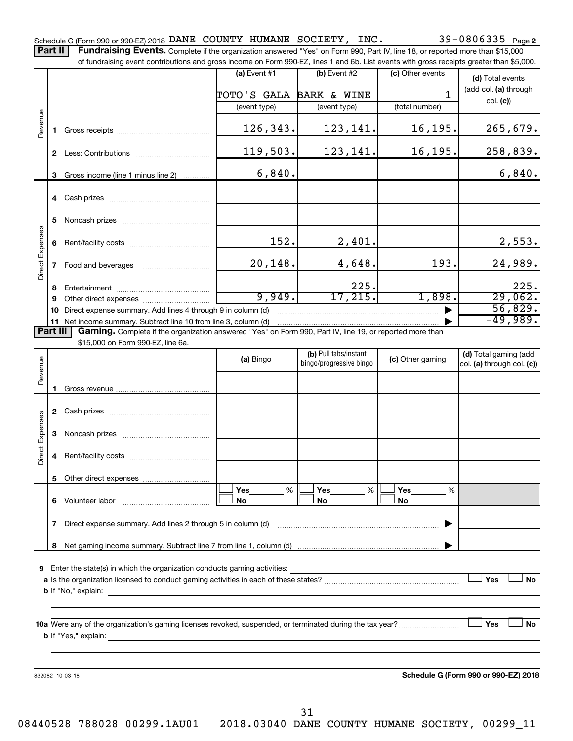39-0806335 Page 2 Schedule G (Form 990 or 990-EZ) 2018  $\verb|DANE"$  COUNTY HUMANE SOCIETY, INC.  $39-0806335$   $_{\sf Page}$ Part II | Fundraising Events. Complete if the organization answered "Yes" on Form 990, Part IV, line 18, or reported more than \$15,000

of fundraising event contributions and gross income on Form 990-EZ, lines 1 and 6b. List events with gross receipts greater than \$5,000. **(a)** Event  $#1$  **(b)** Event  $#2$ (c) Other events **(d)**  Total events (add col. (a) through TOTO'S GALA BARK & WINE 1 col. **(c)**) (event type) (event type) (total number) Revenue 126,343. 123,141. 16,195. 265,679. **1** Gross receipts ~~~~~~~~~~~~~~ 119,503. 123,141. 16,195. 258,839. **2** Less: Contributions ~~~~~~~~~~~ 6,840. 6,840. **3** Gross income (line 1 minus line 2) . . . . . . . . . . . . **4** Cash prizes ~~~~~~~~~~~~~~~ **5** Noncash prizes ~~~~~~~~~~~~~ Direct Expenses Direct Expenses 152. 2,401. 2,553. **6** Rent/facility costs ~~~~~~~~~~~~ 20,148. 4,648. 193. 24,989. **7** Food and beverages **with the Strateger 7** 225. 225. **8** Entertainment ~~~~~~~~~~~~~~ 9,949. 17,215. 1,898. 29,062. **9** Other direct expenses  $\ldots$  **............................** 56,829. **10** Direct expense summary. Add lines 4 through 9 in column (d) ~~~~~~~~~~~  $\overline{-49}$ ,989. **11** Net income summary. Subtract line 10 from line 3, column (d) | Part III Gaming. Complete if the organization answered "Yes" on Form 990, Part IV, line 19, or reported more than \$15,000 on Form 990-EZ, line 6a. (b) Pull tabs/instant (d) Total gaming (add Revenue **(a)** Bingo **a b**ingo/progressive bingo **(c)** Other gaming bingo/progressive bingo col. (a) through col. (c)) Gross revenue **1 2** Cash prizes ~~~~~~~~~~~~~~~ Direct Expenses Direct Expenses **3** Noncash prizes ~~~~~~~~~~~~~ **4** Rent/facility costs ~~~~~~~~~~~~ **5** Other direct expenses  $|\Box$  Yes  $\qquad \%$   $|\Box$  Yes  $\qquad \%$   $|\Box$ **Yes Yes Yes** % % %  $|\Box$  No  $|\Box$  No  $|\Box$ **6** Volunteer labor ~~~~~~~~~~~~~ **No No No 7** Direct expense summary. Add lines 2 through 5 in column (d) ~~~~~~~~~~~~~~~~~~~~~~~~ | Net gaming income summary. Subtract line 7 from line 1, column (d) **8** | **9** Enter the state(s) in which the organization conducts gaming activities:  $|$  Yes **Yes No a** Is the organization licensed to conduct gaming activities in each of these states? ~~~~~~~~~~~~~~~~~~~~ **b** If "No," explain:

**10 a** Were any of the organization's gaming licenses revoked, suspended, or terminated during the tax year? ~~~~~~~~~ † † **b** If "Yes," explain:

832082 10-03-18

**Schedule G (Form 990 or 990-EZ) 2018**

**Yes No**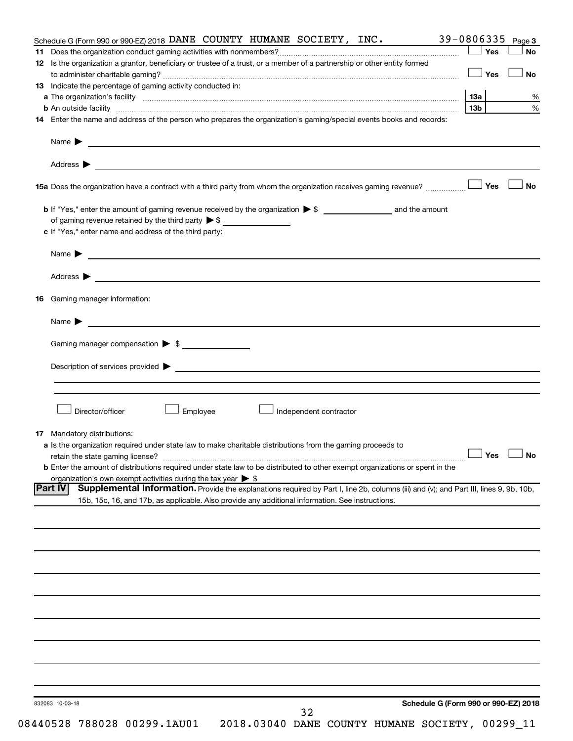| Schedule G (Form 990 or 990-EZ) 2018 DANE COUNTY HUMANE SOCIETY, INC.                                                                                                                                                          | 39-0806335 | Page 3               |
|--------------------------------------------------------------------------------------------------------------------------------------------------------------------------------------------------------------------------------|------------|----------------------|
| 11.                                                                                                                                                                                                                            | $\Box$ Yes | No                   |
| 12 Is the organization a grantor, beneficiary or trustee of a trust, or a member of a partnership or other entity formed                                                                                                       |            |                      |
|                                                                                                                                                                                                                                | — SYes     | <b>No</b>            |
| 13 Indicate the percentage of gaming activity conducted in:                                                                                                                                                                    |            |                      |
|                                                                                                                                                                                                                                |            | %                    |
| b An outside facility www.communications.communications.com/internations.com/internations.com/internations.com/                                                                                                                | 13b l      | $\%$                 |
| 14 Enter the name and address of the person who prepares the organization's gaming/special events books and records:                                                                                                           |            |                      |
|                                                                                                                                                                                                                                |            |                      |
|                                                                                                                                                                                                                                |            |                      |
|                                                                                                                                                                                                                                |            | <b>No</b>            |
|                                                                                                                                                                                                                                |            |                      |
| of gaming revenue retained by the third party $\triangleright$ \$                                                                                                                                                              |            |                      |
| c If "Yes," enter name and address of the third party:                                                                                                                                                                         |            |                      |
|                                                                                                                                                                                                                                |            |                      |
| Name $\blacktriangleright$                                                                                                                                                                                                     |            |                      |
|                                                                                                                                                                                                                                |            |                      |
| Gaming manager information:<br>16                                                                                                                                                                                              |            |                      |
| <u> 1989 - Johann Harry Barn, mars and de Branch and de Branch and de Branch and de Branch and de Branch and de B</u><br>Name $\blacktriangleright$                                                                            |            |                      |
| Gaming manager compensation $\triangleright$ \$                                                                                                                                                                                |            |                      |
|                                                                                                                                                                                                                                |            |                      |
| Description of services provided states and the service of the services of the services provided states are serviced as a service of the services provided states and the services of the services of the services of the serv |            |                      |
|                                                                                                                                                                                                                                |            |                      |
|                                                                                                                                                                                                                                |            |                      |
| Director/officer<br>Employee<br>Independent contractor                                                                                                                                                                         |            |                      |
|                                                                                                                                                                                                                                |            |                      |
| <b>17</b> Mandatory distributions:                                                                                                                                                                                             |            |                      |
| a Is the organization required under state law to make charitable distributions from the gaming proceeds to                                                                                                                    |            |                      |
| retain the state gaming license?                                                                                                                                                                                               |            | $\Box$ Yes $\Box$ No |
| <b>b</b> Enter the amount of distributions required under state law to be distributed to other exempt organizations or spent in the<br>organization's own exempt activities during the tax year $\triangleright$ \$            |            |                      |
| <b>Part IV</b><br>Supplemental Information. Provide the explanations required by Part I, line 2b, columns (iii) and (v); and Part III, lines 9, 9b, 10b,                                                                       |            |                      |
| 15b, 15c, 16, and 17b, as applicable. Also provide any additional information. See instructions.                                                                                                                               |            |                      |
|                                                                                                                                                                                                                                |            |                      |
|                                                                                                                                                                                                                                |            |                      |
|                                                                                                                                                                                                                                |            |                      |
|                                                                                                                                                                                                                                |            |                      |
|                                                                                                                                                                                                                                |            |                      |
|                                                                                                                                                                                                                                |            |                      |
|                                                                                                                                                                                                                                |            |                      |
|                                                                                                                                                                                                                                |            |                      |
|                                                                                                                                                                                                                                |            |                      |
|                                                                                                                                                                                                                                |            |                      |
|                                                                                                                                                                                                                                |            |                      |
|                                                                                                                                                                                                                                |            |                      |
|                                                                                                                                                                                                                                |            |                      |
| Schedule G (Form 990 or 990-EZ) 2018<br>832083 10-03-18                                                                                                                                                                        |            |                      |
| 32                                                                                                                                                                                                                             |            |                      |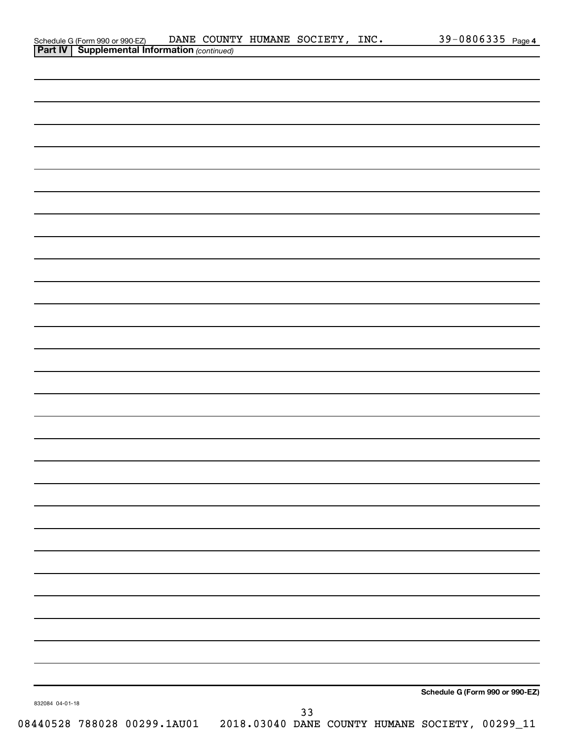|                 | Schedule G (Form 990 or 990-EZ) DANE COUNT<br><b>Part IV   Supplemental Information</b> (continued) |  | DANE COUNTY HUMANE SOCIETY, INC. |    |  |                                                                              | 39-0806335 Page 4 |
|-----------------|-----------------------------------------------------------------------------------------------------|--|----------------------------------|----|--|------------------------------------------------------------------------------|-------------------|
|                 |                                                                                                     |  |                                  |    |  |                                                                              |                   |
|                 |                                                                                                     |  |                                  |    |  |                                                                              |                   |
|                 |                                                                                                     |  |                                  |    |  |                                                                              |                   |
|                 |                                                                                                     |  |                                  |    |  |                                                                              |                   |
|                 |                                                                                                     |  |                                  |    |  |                                                                              |                   |
|                 |                                                                                                     |  |                                  |    |  |                                                                              |                   |
|                 |                                                                                                     |  |                                  |    |  |                                                                              |                   |
|                 |                                                                                                     |  |                                  |    |  |                                                                              |                   |
|                 |                                                                                                     |  |                                  |    |  |                                                                              |                   |
|                 |                                                                                                     |  |                                  |    |  |                                                                              |                   |
|                 |                                                                                                     |  |                                  |    |  |                                                                              |                   |
|                 |                                                                                                     |  |                                  |    |  |                                                                              |                   |
|                 |                                                                                                     |  |                                  |    |  |                                                                              |                   |
|                 |                                                                                                     |  |                                  |    |  |                                                                              |                   |
|                 |                                                                                                     |  |                                  |    |  |                                                                              |                   |
|                 |                                                                                                     |  |                                  |    |  |                                                                              |                   |
|                 |                                                                                                     |  |                                  |    |  |                                                                              |                   |
|                 |                                                                                                     |  |                                  |    |  |                                                                              |                   |
|                 |                                                                                                     |  |                                  |    |  |                                                                              |                   |
|                 |                                                                                                     |  |                                  |    |  |                                                                              |                   |
|                 |                                                                                                     |  |                                  |    |  |                                                                              |                   |
|                 |                                                                                                     |  |                                  |    |  |                                                                              |                   |
|                 |                                                                                                     |  |                                  |    |  |                                                                              |                   |
|                 |                                                                                                     |  |                                  |    |  |                                                                              |                   |
|                 |                                                                                                     |  |                                  |    |  |                                                                              |                   |
|                 |                                                                                                     |  |                                  |    |  |                                                                              |                   |
|                 |                                                                                                     |  |                                  |    |  |                                                                              |                   |
|                 |                                                                                                     |  |                                  |    |  |                                                                              |                   |
|                 |                                                                                                     |  |                                  |    |  |                                                                              |                   |
|                 |                                                                                                     |  |                                  |    |  |                                                                              |                   |
|                 |                                                                                                     |  |                                  |    |  |                                                                              |                   |
|                 |                                                                                                     |  |                                  |    |  |                                                                              |                   |
|                 |                                                                                                     |  |                                  |    |  |                                                                              |                   |
|                 |                                                                                                     |  |                                  |    |  |                                                                              |                   |
|                 |                                                                                                     |  |                                  |    |  |                                                                              |                   |
|                 |                                                                                                     |  |                                  |    |  |                                                                              |                   |
|                 |                                                                                                     |  |                                  |    |  |                                                                              |                   |
|                 |                                                                                                     |  |                                  |    |  |                                                                              |                   |
|                 |                                                                                                     |  |                                  |    |  |                                                                              |                   |
|                 |                                                                                                     |  |                                  |    |  |                                                                              |                   |
|                 |                                                                                                     |  |                                  |    |  |                                                                              |                   |
|                 |                                                                                                     |  |                                  |    |  | Schedule G (Form 990 or 990-EZ)                                              |                   |
| 832084 04-01-18 |                                                                                                     |  |                                  | 33 |  |                                                                              |                   |
|                 |                                                                                                     |  |                                  |    |  | 08440528 788028 00299.1AU01  2018.03040 DANE COUNTY HUMANE SOCIETY, 00299_11 |                   |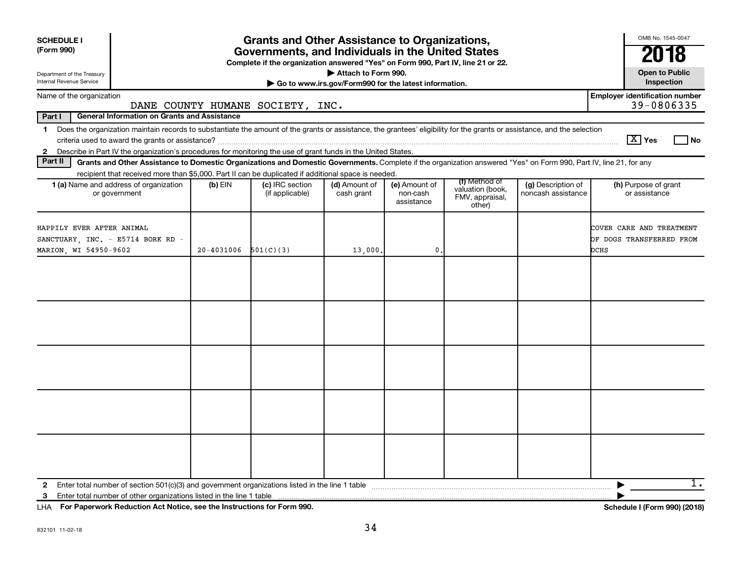| <b>SCHEDULE I</b><br>(Form 990)                                                                                                                                                         | <b>Grants and Other Assistance to Organizations,</b><br>Governments, and Individuals in the United States<br>Complete if the organization answered "Yes" on Form 990, Part IV, line 21 or 22. |                                    |                                                       |                                         |                                                                |                                          |                                                              |  |  |  |  |  |
|-----------------------------------------------------------------------------------------------------------------------------------------------------------------------------------------|-----------------------------------------------------------------------------------------------------------------------------------------------------------------------------------------------|------------------------------------|-------------------------------------------------------|-----------------------------------------|----------------------------------------------------------------|------------------------------------------|--------------------------------------------------------------|--|--|--|--|--|
| Department of the Treasury                                                                                                                                                              |                                                                                                                                                                                               |                                    | Attach to Form 990.                                   |                                         |                                                                |                                          | 2018<br><b>Open to Public</b>                                |  |  |  |  |  |
| Internal Revenue Service                                                                                                                                                                |                                                                                                                                                                                               |                                    | Go to www.irs.gov/Form990 for the latest information. |                                         |                                                                |                                          | Inspection                                                   |  |  |  |  |  |
| Name of the organization                                                                                                                                                                |                                                                                                                                                                                               | DANE COUNTY HUMANE SOCIETY, INC.   |                                                       |                                         |                                                                |                                          | <b>Employer identification number</b><br>39-0806335          |  |  |  |  |  |
| Part I<br><b>General Information on Grants and Assistance</b>                                                                                                                           |                                                                                                                                                                                               |                                    |                                                       |                                         |                                                                |                                          |                                                              |  |  |  |  |  |
| Does the organization maintain records to substantiate the amount of the grants or assistance, the grantees' eligibility for the grants or assistance, and the selection<br>$\mathbf 1$ |                                                                                                                                                                                               |                                    |                                                       |                                         |                                                                |                                          | $\lceil \text{X} \rceil$ Yes<br>l No                         |  |  |  |  |  |
| 2 Describe in Part IV the organization's procedures for monitoring the use of grant funds in the United States.<br>Part II                                                              |                                                                                                                                                                                               |                                    |                                                       |                                         |                                                                |                                          |                                                              |  |  |  |  |  |
| Grants and Other Assistance to Domestic Organizations and Domestic Governments. Complete if the organization answered "Yes" on Form 990, Part IV, line 21, for any                      |                                                                                                                                                                                               |                                    |                                                       |                                         |                                                                |                                          |                                                              |  |  |  |  |  |
| recipient that received more than \$5,000. Part II can be duplicated if additional space is needed.<br>1 (a) Name and address of organization<br>or government                          | $(b)$ EIN                                                                                                                                                                                     | (c) IRC section<br>(if applicable) | (d) Amount of<br>cash grant                           | (e) Amount of<br>non-cash<br>assistance | (f) Method of<br>valuation (book,<br>FMV, appraisal,<br>other) | (g) Description of<br>noncash assistance | (h) Purpose of grant<br>or assistance                        |  |  |  |  |  |
| HAPPILY EVER AFTER ANIMAL<br>SANCTUARY, INC. - E5714 BORK RD -<br>MARION, WI 54950-9602                                                                                                 | 20-4031006                                                                                                                                                                                    | 501(C)(3)                          | 13,000.                                               | 0                                       |                                                                |                                          | COVER CARE AND TREATMENT<br>OF DOGS TRANSFERRED FROM<br>DCHS |  |  |  |  |  |
|                                                                                                                                                                                         |                                                                                                                                                                                               |                                    |                                                       |                                         |                                                                |                                          |                                                              |  |  |  |  |  |
| $\mathbf{2}$<br>3                                                                                                                                                                       |                                                                                                                                                                                               |                                    |                                                       |                                         |                                                                |                                          | 1.                                                           |  |  |  |  |  |

**For Paperwork Reduction Act Notice, see the Instructions for Form 990. Schedule I (Form 990) (2018)** LHA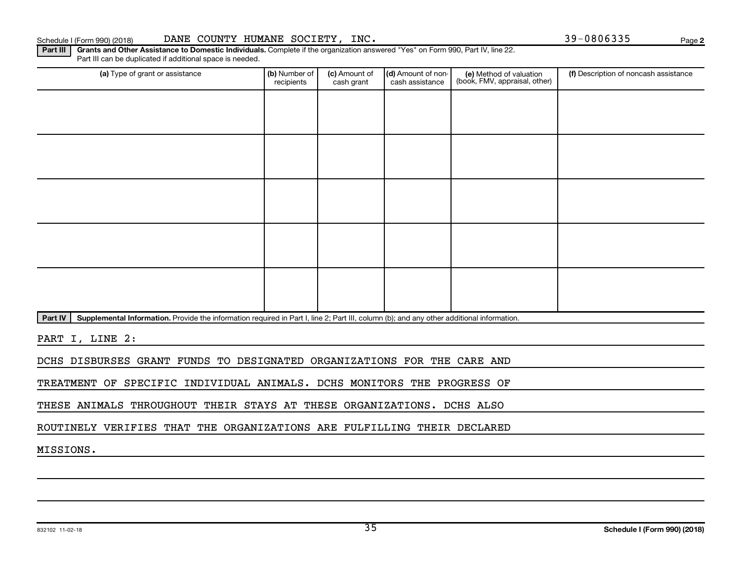#### Schedule I (Form 990) (2018) DANE COUNTY HUMANE SOCIETY, INC. 39-0806335 Page

Part III | Grants and Other Assistance to Domestic Individuals. Complete if the organization answered "Yes" on Form 990, Part IV, line 22. Part III can be duplicated if additional space is needed.

| (a) Type of grant or assistance | (b) Number of<br>recipients | (c) Amount of<br>cash grant | (d) Amount of non-<br>cash assistance | (e) Method of valuation<br>(book, FMV, appraisal, other) | (f) Description of noncash assistance |
|---------------------------------|-----------------------------|-----------------------------|---------------------------------------|----------------------------------------------------------|---------------------------------------|
|                                 |                             |                             |                                       |                                                          |                                       |
|                                 |                             |                             |                                       |                                                          |                                       |
|                                 |                             |                             |                                       |                                                          |                                       |
|                                 |                             |                             |                                       |                                                          |                                       |
|                                 |                             |                             |                                       |                                                          |                                       |
|                                 |                             |                             |                                       |                                                          |                                       |
|                                 |                             |                             |                                       |                                                          |                                       |
|                                 |                             |                             |                                       |                                                          |                                       |
|                                 |                             |                             |                                       |                                                          |                                       |
|                                 |                             |                             |                                       |                                                          |                                       |

Part IV | Supplemental Information. Provide the information required in Part I, line 2; Part III, column (b); and any other additional information.

PART I, LINE 2:

DCHS DISBURSES GRANT FUNDS TO DESIGNATED ORGANIZATIONS FOR THE CARE AND

TREATMENT OF SPECIFIC INDIVIDUAL ANIMALS. DCHS MONITORS THE PROGRESS OF

THESE ANIMALS THROUGHOUT THEIR STAYS AT THESE ORGANIZATIONS. DCHS ALSO

ROUTINELY VERIFIES THAT THE ORGANIZATIONS ARE FULFILLING THEIR DECLARED

MISSIONS.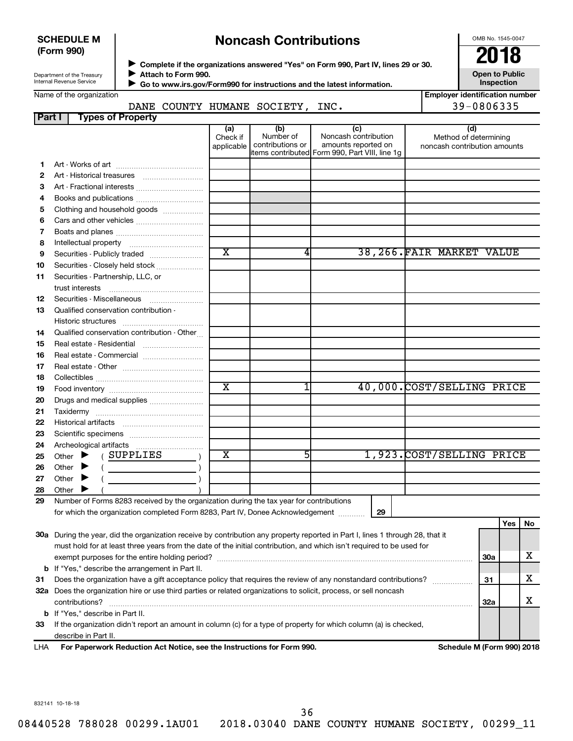#### **SCHEDULE M (Form 990)**

## **Noncash Contributions**

OMB No. 1545-0047

| Department of the Treasury |
|----------------------------|
| Internal Revenue Service   |
|                            |

◆ Complete if the organizations answered "Yes" on Form 990, Part IV, lines 29 or 30.<br>▶ Complete if the organizations answered "Yes" on Form 990, Part IV, lines 29 or 30. **Attach to Form 990.**  $\blacktriangleright$ 

 **Go to www.irs.gov/Form990 for instructions and the latest information.** J

**Inspection Employer identification number**

DANE COUNTY HUMANE SOCIETY, INC. 39-0806335

**Open to Public**

| Name of the organization |                                 |  |                                  |  |
|--------------------------|---------------------------------|--|----------------------------------|--|
|                          |                                 |  | DANE COUNTY HUMANE SOCIETY, INC. |  |
|                          | <b>Part I</b> Types of Property |  |                                  |  |

|    |                                                                                                                                | (a)<br>Check if<br>applicable | (b)<br>Number of<br>contributions or | (c)<br>Noncash contribution<br>amounts reported on<br>litems contributed Form 990, Part VIII, line 1q | (d)<br>Method of determining<br>noncash contribution amounts |            |     |    |
|----|--------------------------------------------------------------------------------------------------------------------------------|-------------------------------|--------------------------------------|-------------------------------------------------------------------------------------------------------|--------------------------------------------------------------|------------|-----|----|
| 1. |                                                                                                                                |                               |                                      |                                                                                                       |                                                              |            |     |    |
| 2  |                                                                                                                                |                               |                                      |                                                                                                       |                                                              |            |     |    |
| з  | Art - Fractional interests                                                                                                     |                               |                                      |                                                                                                       |                                                              |            |     |    |
| 4  | Books and publications                                                                                                         |                               |                                      |                                                                                                       |                                                              |            |     |    |
| 5  | Clothing and household goods                                                                                                   |                               |                                      |                                                                                                       |                                                              |            |     |    |
| 6  |                                                                                                                                |                               |                                      |                                                                                                       |                                                              |            |     |    |
| 7  |                                                                                                                                |                               |                                      |                                                                                                       |                                                              |            |     |    |
| 8  |                                                                                                                                |                               |                                      |                                                                                                       |                                                              |            |     |    |
| 9  | Securities - Publicly traded                                                                                                   | $\overline{\text{x}}$         | 4                                    |                                                                                                       | 38,266.FAIR MARKET VALUE                                     |            |     |    |
| 10 | Securities - Closely held stock                                                                                                |                               |                                      |                                                                                                       |                                                              |            |     |    |
| 11 | Securities - Partnership, LLC, or                                                                                              |                               |                                      |                                                                                                       |                                                              |            |     |    |
|    |                                                                                                                                |                               |                                      |                                                                                                       |                                                              |            |     |    |
| 12 |                                                                                                                                |                               |                                      |                                                                                                       |                                                              |            |     |    |
| 13 | Qualified conservation contribution -                                                                                          |                               |                                      |                                                                                                       |                                                              |            |     |    |
|    |                                                                                                                                |                               |                                      |                                                                                                       |                                                              |            |     |    |
| 14 | Qualified conservation contribution - Other                                                                                    |                               |                                      |                                                                                                       |                                                              |            |     |    |
| 15 |                                                                                                                                |                               |                                      |                                                                                                       |                                                              |            |     |    |
| 16 | Real estate - Commercial                                                                                                       |                               |                                      |                                                                                                       |                                                              |            |     |    |
| 17 |                                                                                                                                |                               |                                      |                                                                                                       |                                                              |            |     |    |
| 18 |                                                                                                                                |                               |                                      |                                                                                                       |                                                              |            |     |    |
| 19 |                                                                                                                                | $\overline{\text{x}}$         | 1                                    |                                                                                                       | 40,000.COST/SELLING PRICE                                    |            |     |    |
| 20 | Drugs and medical supplies                                                                                                     |                               |                                      |                                                                                                       |                                                              |            |     |    |
| 21 |                                                                                                                                |                               |                                      |                                                                                                       |                                                              |            |     |    |
| 22 |                                                                                                                                |                               |                                      |                                                                                                       |                                                              |            |     |    |
| 23 |                                                                                                                                |                               |                                      |                                                                                                       |                                                              |            |     |    |
| 24 | Archeological artifacts                                                                                                        |                               |                                      |                                                                                                       |                                                              |            |     |    |
| 25 | (SUPPLIES<br>Other $\blacktriangleright$                                                                                       | X                             | 5                                    |                                                                                                       | 1,923. COST/SELLING PRICE                                    |            |     |    |
| 26 | Other $\blacktriangleright$<br>$($ $)$                                                                                         |                               |                                      |                                                                                                       |                                                              |            |     |    |
| 27 | Other $\blacktriangleright$                                                                                                    |                               |                                      |                                                                                                       |                                                              |            |     |    |
| 28 | Other                                                                                                                          |                               |                                      |                                                                                                       |                                                              |            |     |    |
| 29 | Number of Forms 8283 received by the organization during the tax year for contributions                                        |                               |                                      |                                                                                                       |                                                              |            |     |    |
|    | for which the organization completed Form 8283, Part IV, Donee Acknowledgement                                                 |                               |                                      | 29                                                                                                    |                                                              |            |     |    |
|    |                                                                                                                                |                               |                                      |                                                                                                       |                                                              |            | Yes | No |
|    | 30a During the year, did the organization receive by contribution any property reported in Part I, lines 1 through 28, that it |                               |                                      |                                                                                                       |                                                              |            |     |    |
|    | must hold for at least three years from the date of the initial contribution, and which isn't required to be used for          |                               |                                      |                                                                                                       |                                                              |            |     |    |
|    |                                                                                                                                |                               |                                      |                                                                                                       |                                                              | <b>30a</b> |     | х  |
|    | <b>b</b> If "Yes," describe the arrangement in Part II.                                                                        |                               |                                      |                                                                                                       |                                                              |            |     |    |
| 31 | Does the organization have a gift acceptance policy that requires the review of any nonstandard contributions?                 |                               |                                      |                                                                                                       |                                                              | 31         |     | х  |
|    | 32a Does the organization hire or use third parties or related organizations to solicit, process, or sell noncash              |                               |                                      |                                                                                                       |                                                              |            |     |    |
|    | contributions?                                                                                                                 |                               |                                      |                                                                                                       |                                                              | 32a        |     | х  |
|    | <b>b</b> If "Yes," describe in Part II.                                                                                        |                               |                                      |                                                                                                       |                                                              |            |     |    |

**33** If the organization didn't report an amount in column (c) for a type of property for which column (a) is checked, describe in Part II.

**For Paperwork Reduction Act Notice, see the Instructions for Form 990. Schedule M (Form 990) 2018** LHA

832141 10-18-18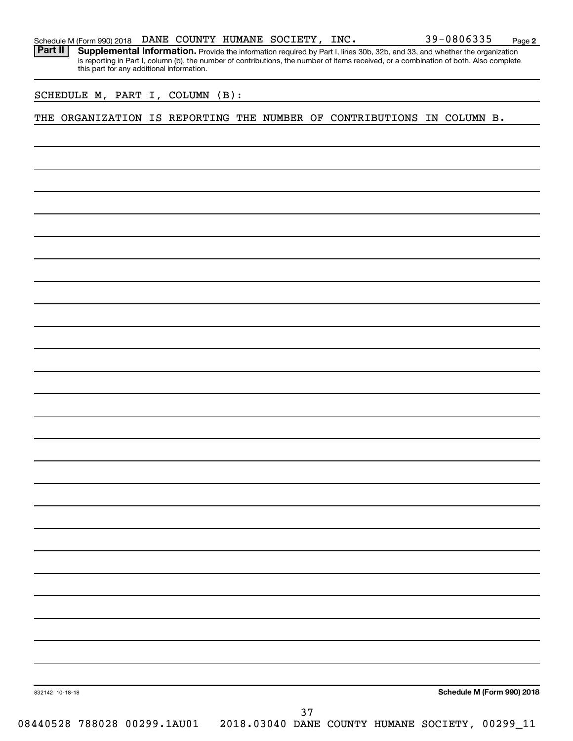|  |  |  |  |  |  | Schedule M (Form 990) 2018 DANE COUNTY HUMANE SOCIETY, INC. |  | 39-0806335 | Page |  |
|--|--|--|--|--|--|-------------------------------------------------------------|--|------------|------|--|
|--|--|--|--|--|--|-------------------------------------------------------------|--|------------|------|--|

Part II | Supplemental Information. Provide the information required by Part I, lines 30b, 32b, and 33, and whether the organization is reporting in Part I, column (b), the number of contributions, the number of items received, or a combination of both. Also complete this part for any additional information.

SCHEDULE M, PART I, COLUMN (B):

THE ORGANIZATION IS REPORTING THE NUMBER OF CONTRIBUTIONS IN COLUMN B.

**Schedule M (Form 990) 2018**

**2**

832142 10-18-18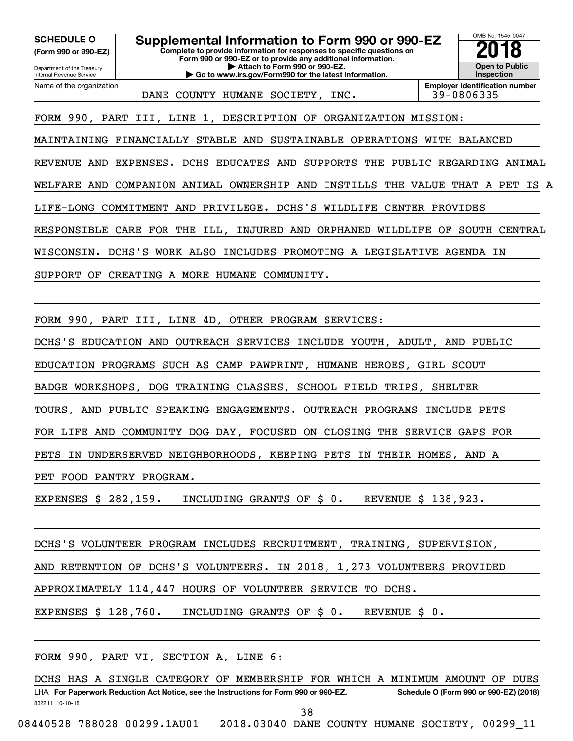**(Form 990 or 990-EZ)**

**Complete to provide information for responses to specific questions on** SCHEDULE O **Supplemental Information to Form 990 or 990-EZ 2018**<br>(Form 990 or 990-EZ) Complete to provide information for responses to specific questions on

Department of the Treasury Internal Revenue Service Name of the organization **Form 990 or 990-EZ or to provide any additional information. | Attach to Form 990 or 990-EZ. | Go to www.irs.gov/Form990 for the latest information.**



DANE COUNTY HUMANE SOCIETY, INC. 39-0806335

**Employer identification number**

FORM 990, PART III, LINE 1, DESCRIPTION OF ORGANIZATION MISSION:

MAINTAINING FINANCIALLY STABLE AND SUSTAINABLE OPERATIONS WITH BALANCED REVENUE AND EXPENSES. DCHS EDUCATES AND SUPPORTS THE PUBLIC REGARDING ANIMAL WELFARE AND COMPANION ANIMAL OWNERSHIP AND INSTILLS THE VALUE THAT A PET IS A LIFE-LONG COMMITMENT AND PRIVILEGE. DCHS'S WILDLIFE CENTER PROVIDES RESPONSIBLE CARE FOR THE ILL, INJURED AND ORPHANED WILDLIFE OF SOUTH CENTRAL WISCONSIN. DCHS'S WORK ALSO INCLUDES PROMOTING A LEGISLATIVE AGENDA IN SUPPORT OF CREATING A MORE HUMANE COMMUNITY.

FORM 990, PART III, LINE 4D, OTHER PROGRAM SERVICES:

DCHS'S EDUCATION AND OUTREACH SERVICES INCLUDE YOUTH, ADULT, AND PUBLIC

EDUCATION PROGRAMS SUCH AS CAMP PAWPRINT, HUMANE HEROES, GIRL SCOUT

BADGE WORKSHOPS, DOG TRAINING CLASSES, SCHOOL FIELD TRIPS, SHELTER

TOURS, AND PUBLIC SPEAKING ENGAGEMENTS. OUTREACH PROGRAMS INCLUDE PETS

FOR LIFE AND COMMUNITY DOG DAY, FOCUSED ON CLOSING THE SERVICE GAPS FOR

PETS IN UNDERSERVED NEIGHBORHOODS, KEEPING PETS IN THEIR HOMES, AND A

PET FOOD PANTRY PROGRAM.

EXPENSES \$ 282,159. INCLUDING GRANTS OF \$ 0. REVENUE \$ 138,923.

DCHS'S VOLUNTEER PROGRAM INCLUDES RECRUITMENT, TRAINING, SUPERVISION,

AND RETENTION OF DCHS'S VOLUNTEERS. IN 2018, 1,273 VOLUNTEERS PROVIDED

APPROXIMATELY 114,447 HOURS OF VOLUNTEER SERVICE TO DCHS.

EXPENSES \$ 128,760. INCLUDING GRANTS OF \$ 0. REVENUE \$ 0.

FORM 990, PART VI, SECTION A, LINE 6:

832211 10-10-18 LHA For Paperwork Reduction Act Notice, see the Instructions for Form 990 or 990-EZ. Schedule O (Form 990 or 990-EZ) (2018) DCHS HAS A SINGLE CATEGORY OF MEMBERSHIP FOR WHICH A MINIMUM AMOUNT OF DUES 38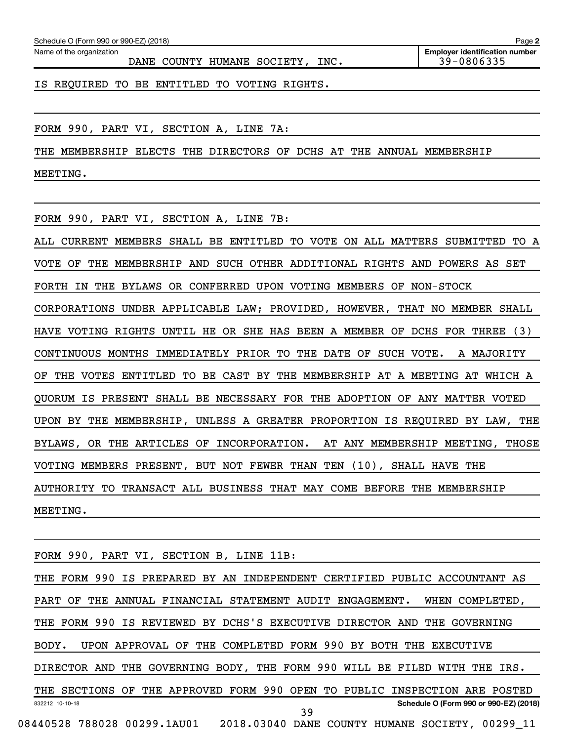| Schedule O (Form 990 or 990-EZ) (2018) |  | Page |  |
|----------------------------------------|--|------|--|
|                                        |  |      |  |

Name of the organization

DANE COUNTY HUMANE SOCIETY, INC. 49-0806335

IS REQUIRED TO BE ENTITLED TO VOTING RIGHTS.

FORM 990, PART VI, SECTION A, LINE 7A:

THE MEMBERSHIP ELECTS THE DIRECTORS OF DCHS AT THE ANNUAL MEMBERSHIP

MEETING.

FORM 990, PART VI, SECTION A, LINE 7B:

ALL CURRENT MEMBERS SHALL BE ENTITLED TO VOTE ON ALL MATTERS SUBMITTED TO A VOTE OF THE MEMBERSHIP AND SUCH OTHER ADDITIONAL RIGHTS AND POWERS AS SET FORTH IN THE BYLAWS OR CONFERRED UPON VOTING MEMBERS OF NON-STOCK CORPORATIONS UNDER APPLICABLE LAW; PROVIDED, HOWEVER, THAT NO MEMBER SHALL HAVE VOTING RIGHTS UNTIL HE OR SHE HAS BEEN A MEMBER OF DCHS FOR THREE (3) CONTINUOUS MONTHS IMMEDIATELY PRIOR TO THE DATE OF SUCH VOTE. A MAJORITY OF THE VOTES ENTITLED TO BE CAST BY THE MEMBERSHIP AT A MEETING AT WHICH A QUORUM IS PRESENT SHALL BE NECESSARY FOR THE ADOPTION OF ANY MATTER VOTED UPON BY THE MEMBERSHIP, UNLESS A GREATER PROPORTION IS REQUIRED BY LAW, THE BYLAWS, OR THE ARTICLES OF INCORPORATION. AT ANY MEMBERSHIP MEETING, THOSE VOTING MEMBERS PRESENT, BUT NOT FEWER THAN TEN (10), SHALL HAVE THE AUTHORITY TO TRANSACT ALL BUSINESS THAT MAY COME BEFORE THE MEMBERSHIP MEETING.

FORM 990, PART VI, SECTION B, LINE 11B:

832212 10-10-18 **Schedule O (Form 990 or 990-EZ) (2018)** THE FORM 990 IS PREPARED BY AN INDEPENDENT CERTIFIED PUBLIC ACCOUNTANT AS PART OF THE ANNUAL FINANCIAL STATEMENT AUDIT ENGAGEMENT. WHEN COMPLETED, THE FORM 990 IS REVIEWED BY DCHS'S EXECUTIVE DIRECTOR AND THE GOVERNING BODY. UPON APPROVAL OF THE COMPLETED FORM 990 BY BOTH THE EXECUTIVE DIRECTOR AND THE GOVERNING BODY, THE FORM 990 WILL BE FILED WITH THE IRS. THE SECTIONS OF THE APPROVED FORM 990 OPEN TO PUBLIC INSPECTION ARE POSTED 08440528 788028 00299.1AU01 2018.03040 DANE COUNTY HUMANE SOCIETY, 00299\_11 39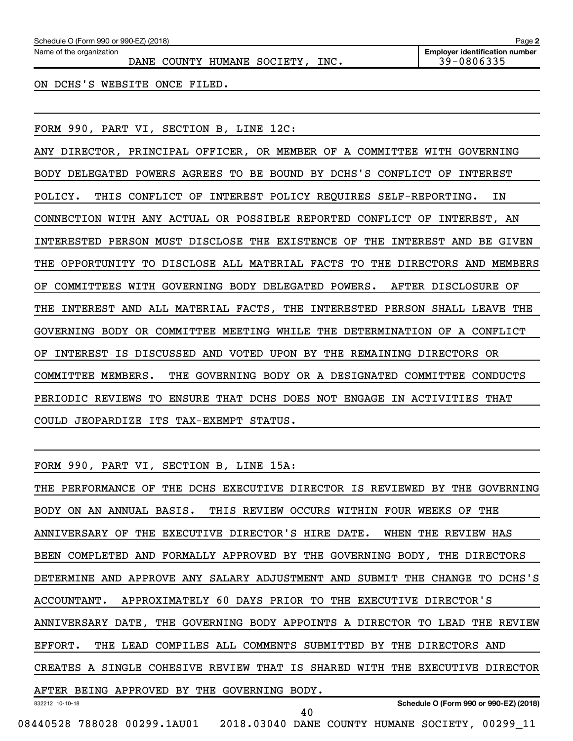| Schedule O (Form 990 or 990-EZ) (2018)                       | Page 2                                              |
|--------------------------------------------------------------|-----------------------------------------------------|
| Name of the organization<br>DANE COUNTY HUMANE SOCIETY, INC. | <b>Employer identification number</b><br>39-0806335 |
| ON DCHS'S WEBSITE ONCE FILED.                                |                                                     |

FORM 990, PART VI, SECTION B, LINE 12C:

ANY DIRECTOR, PRINCIPAL OFFICER, OR MEMBER OF A COMMITTEE WITH GOVERNING BODY DELEGATED POWERS AGREES TO BE BOUND BY DCHS'S CONFLICT OF INTEREST POLICY. THIS CONFLICT OF INTEREST POLICY REQUIRES SELF-REPORTING. IN CONNECTION WITH ANY ACTUAL OR POSSIBLE REPORTED CONFLICT OF INTEREST, AN INTERESTED PERSON MUST DISCLOSE THE EXISTENCE OF THE INTEREST AND BE GIVEN THE OPPORTUNITY TO DISCLOSE ALL MATERIAL FACTS TO THE DIRECTORS AND MEMBERS OF COMMITTEES WITH GOVERNING BODY DELEGATED POWERS. AFTER DISCLOSURE OF THE INTEREST AND ALL MATERIAL FACTS, THE INTERESTED PERSON SHALL LEAVE THE GOVERNING BODY OR COMMITTEE MEETING WHILE THE DETERMINATION OF A CONFLICT OF INTEREST IS DISCUSSED AND VOTED UPON BY THE REMAINING DIRECTORS OR COMMITTEE MEMBERS. THE GOVERNING BODY OR A DESIGNATED COMMITTEE CONDUCTS PERIODIC REVIEWS TO ENSURE THAT DCHS DOES NOT ENGAGE IN ACTIVITIES THAT COULD JEOPARDIZE ITS TAX-EXEMPT STATUS.

FORM 990, PART VI, SECTION B, LINE 15A:

832212 10-10-18 **Schedule O (Form 990 or 990-EZ) (2018)** THE PERFORMANCE OF THE DCHS EXECUTIVE DIRECTOR IS REVIEWED BY THE GOVERNING BODY ON AN ANNUAL BASIS. THIS REVIEW OCCURS WITHIN FOUR WEEKS OF THE ANNIVERSARY OF THE EXECUTIVE DIRECTOR'S HIRE DATE. WHEN THE REVIEW HAS BEEN COMPLETED AND FORMALLY APPROVED BY THE GOVERNING BODY, THE DIRECTORS DETERMINE AND APPROVE ANY SALARY ADJUSTMENT AND SUBMIT THE CHANGE TO DCHS'S ACCOUNTANT. APPROXIMATELY 60 DAYS PRIOR TO THE EXECUTIVE DIRECTOR'S ANNIVERSARY DATE, THE GOVERNING BODY APPOINTS A DIRECTOR TO LEAD THE REVIEW EFFORT. THE LEAD COMPILES ALL COMMENTS SUBMITTED BY THE DIRECTORS AND CREATES A SINGLE COHESIVE REVIEW THAT IS SHARED WITH THE EXECUTIVE DIRECTOR AFTER BEING APPROVED BY THE GOVERNING BODY. 40